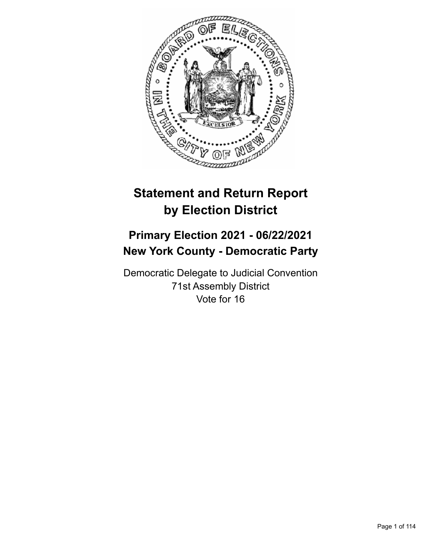

# **Statement and Return Report by Election District**

# **Primary Election 2021 - 06/22/2021 New York County - Democratic Party**

Democratic Delegate to Judicial Convention 71st Assembly District Vote for 16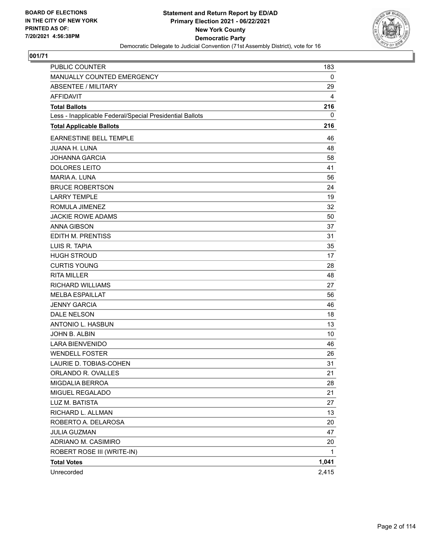

| <b>PUBLIC COUNTER</b>                                    | 183   |
|----------------------------------------------------------|-------|
| MANUALLY COUNTED EMERGENCY                               | 0     |
| <b>ABSENTEE / MILITARY</b>                               | 29    |
| <b>AFFIDAVIT</b>                                         | 4     |
| <b>Total Ballots</b>                                     | 216   |
| Less - Inapplicable Federal/Special Presidential Ballots | 0     |
| <b>Total Applicable Ballots</b>                          | 216   |
| EARNESTINE BELL TEMPLE                                   | 46    |
| <b>JUANA H. LUNA</b>                                     | 48    |
| JOHANNA GARCIA                                           | 58    |
| <b>DOLORES LEITO</b>                                     | 41    |
| <b>MARIA A. LUNA</b>                                     | 56    |
| <b>BRUCE ROBERTSON</b>                                   | 24    |
| <b>LARRY TEMPLE</b>                                      | 19    |
| ROMULA JIMENEZ                                           | 32    |
| <b>JACKIE ROWE ADAMS</b>                                 | 50    |
| <b>ANNA GIBSON</b>                                       | 37    |
| <b>EDITH M. PRENTISS</b>                                 | 31    |
| LUIS R. TAPIA                                            | 35    |
| <b>HUGH STROUD</b>                                       | 17    |
| <b>CURTIS YOUNG</b>                                      | 28    |
| <b>RITA MILLER</b>                                       | 48    |
| RICHARD WILLIAMS                                         | 27    |
| <b>MELBA ESPAILLAT</b>                                   | 56    |
| <b>JENNY GARCIA</b>                                      | 46    |
| <b>DALE NELSON</b>                                       | 18    |
| <b>ANTONIO L. HASBUN</b>                                 | 13    |
| JOHN B. ALBIN                                            | 10    |
| <b>LARA BIENVENIDO</b>                                   | 46    |
| <b>WENDELL FOSTER</b>                                    | 26    |
| LAURIE D. TOBIAS-COHEN                                   | 31    |
| ORLANDO R. OVALLES                                       | 21    |
| MIGDALIA BERROA                                          | 28    |
| MIGUEL REGALADO                                          | 21    |
| LUZ M. BATISTA                                           | 27    |
| RICHARD L. ALLMAN                                        | 13    |
| ROBERTO A. DELAROSA                                      | 20    |
| JULIA GUZMAN                                             | 47    |
| ADRIANO M. CASIMIRO                                      | 20    |
| ROBERT ROSE III (WRITE-IN)                               | 1     |
| <b>Total Votes</b>                                       | 1,041 |
| Unrecorded                                               | 2,415 |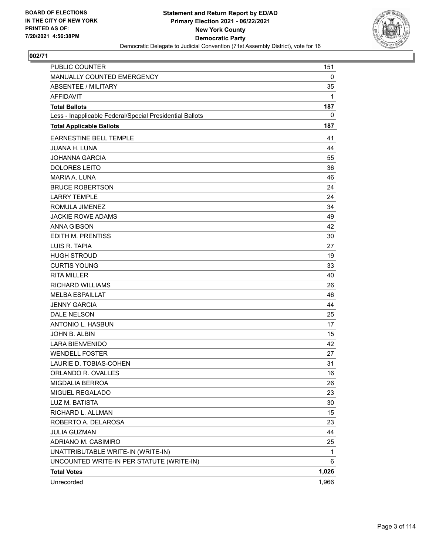

| PUBLIC COUNTER                                           | 151   |
|----------------------------------------------------------|-------|
| MANUALLY COUNTED EMERGENCY                               | 0     |
| <b>ABSENTEE / MILITARY</b>                               | 35    |
| <b>AFFIDAVIT</b>                                         | 1     |
| <b>Total Ballots</b>                                     | 187   |
| Less - Inapplicable Federal/Special Presidential Ballots | 0     |
| <b>Total Applicable Ballots</b>                          | 187   |
| <b>EARNESTINE BELL TEMPLE</b>                            | 41    |
| <b>JUANA H. LUNA</b>                                     | 44    |
| <b>JOHANNA GARCIA</b>                                    | 55    |
| <b>DOLORES LEITO</b>                                     | 36    |
| MARIA A. LUNA                                            | 46    |
| <b>BRUCE ROBERTSON</b>                                   | 24    |
| <b>LARRY TEMPLE</b>                                      | 24    |
| ROMULA JIMENEZ                                           | 34    |
| <b>JACKIE ROWE ADAMS</b>                                 | 49    |
| <b>ANNA GIBSON</b>                                       | 42    |
| EDITH M. PRENTISS                                        | 30    |
| LUIS R. TAPIA                                            | 27    |
| <b>HUGH STROUD</b>                                       | 19    |
| <b>CURTIS YOUNG</b>                                      | 33    |
| <b>RITA MILLER</b>                                       | 40    |
| <b>RICHARD WILLIAMS</b>                                  | 26    |
| <b>MELBA ESPAILLAT</b>                                   | 46    |
| <b>JENNY GARCIA</b>                                      | 44    |
| DALE NELSON                                              | 25    |
| ANTONIO L. HASBUN                                        | 17    |
| JOHN B. ALBIN                                            | 15    |
| <b>LARA BIENVENIDO</b>                                   | 42    |
| <b>WENDELL FOSTER</b>                                    | 27    |
| LAURIE D. TOBIAS-COHEN                                   | 31    |
| ORLANDO R. OVALLES                                       | 16    |
| MIGDALIA BERROA                                          | 26    |
| MIGUEL REGALADO                                          | 23    |
| LUZ M. BATISTA                                           | 30    |
| RICHARD L. ALLMAN                                        | 15    |
| ROBERTO A. DELAROSA                                      | 23    |
| <b>JULIA GUZMAN</b>                                      | 44    |
| ADRIANO M. CASIMIRO                                      | 25    |
| UNATTRIBUTABLE WRITE-IN (WRITE-IN)                       | 1     |
| UNCOUNTED WRITE-IN PER STATUTE (WRITE-IN)                | 6     |
| <b>Total Votes</b>                                       | 1,026 |
| Unrecorded                                               | 1,966 |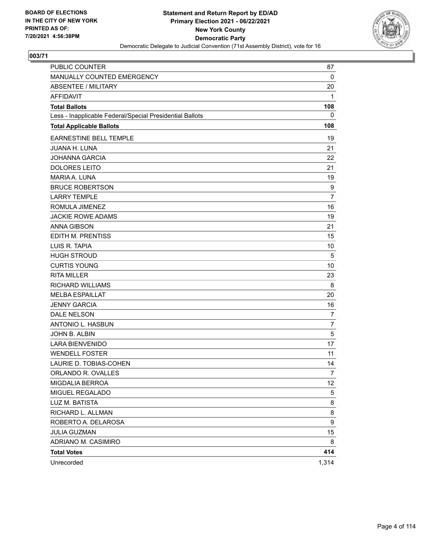

| PUBLIC COUNTER                                           | 87             |
|----------------------------------------------------------|----------------|
| MANUALLY COUNTED EMERGENCY                               | 0              |
| <b>ABSENTEE / MILITARY</b>                               | 20             |
| AFFIDAVIT                                                | 1              |
| <b>Total Ballots</b>                                     | 108            |
| Less - Inapplicable Federal/Special Presidential Ballots | 0              |
| <b>Total Applicable Ballots</b>                          | 108            |
| <b>EARNESTINE BELL TEMPLE</b>                            | 19             |
| <b>JUANA H. LUNA</b>                                     | 21             |
| <b>JOHANNA GARCIA</b>                                    | 22             |
| <b>DOLORES LEITO</b>                                     | 21             |
| MARIA A. LUNA                                            | 19             |
| <b>BRUCE ROBERTSON</b>                                   | 9              |
| <b>LARRY TEMPLE</b>                                      | $\overline{7}$ |
| ROMULA JIMENEZ                                           | 16             |
| <b>JACKIE ROWE ADAMS</b>                                 | 19             |
| <b>ANNA GIBSON</b>                                       | 21             |
| <b>EDITH M. PRENTISS</b>                                 | 15             |
| LUIS R. TAPIA                                            | 10             |
| <b>HUGH STROUD</b>                                       | 5              |
| <b>CURTIS YOUNG</b>                                      | 10             |
| <b>RITA MILLER</b>                                       | 23             |
| <b>RICHARD WILLIAMS</b>                                  | 8              |
| <b>MELBA ESPAILLAT</b>                                   | 20             |
| <b>JENNY GARCIA</b>                                      | 16             |
| <b>DALE NELSON</b>                                       | 7              |
| <b>ANTONIO L. HASBUN</b>                                 | $\overline{7}$ |
| JOHN B. ALBIN                                            | 5              |
| <b>LARA BIENVENIDO</b>                                   | 17             |
| <b>WENDELL FOSTER</b>                                    | 11             |
| LAURIE D. TOBIAS-COHEN                                   | 14             |
| ORLANDO R. OVALLES                                       | 7              |
| MIGDALIA BERROA                                          | 12             |
| MIGUEL REGALADO                                          | 5              |
| LUZ M. BATISTA                                           | 8              |
| RICHARD L. ALLMAN                                        | 8              |
| ROBERTO A. DELAROSA                                      | 9              |
| <b>JULIA GUZMAN</b>                                      | 15             |
| ADRIANO M. CASIMIRO                                      | 8              |
| <b>Total Votes</b>                                       | 414            |
| Unrecorded                                               | 1,314          |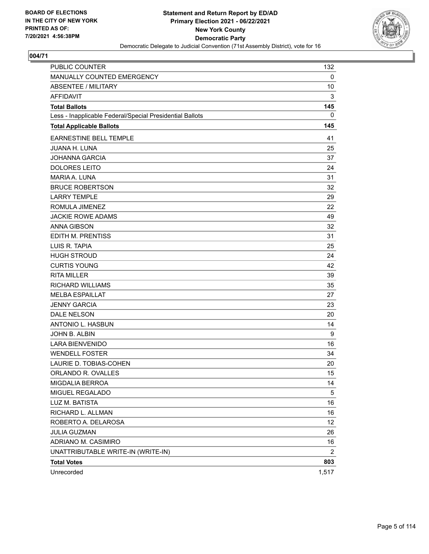

| <b>PUBLIC COUNTER</b>                                    | 132   |
|----------------------------------------------------------|-------|
| MANUALLY COUNTED EMERGENCY                               | 0     |
| <b>ABSENTEE / MILITARY</b>                               | 10    |
| <b>AFFIDAVIT</b>                                         | 3     |
| <b>Total Ballots</b>                                     | 145   |
| Less - Inapplicable Federal/Special Presidential Ballots | 0     |
| <b>Total Applicable Ballots</b>                          | 145   |
| <b>EARNESTINE BELL TEMPLE</b>                            | 41    |
| <b>JUANA H. LUNA</b>                                     | 25    |
| JOHANNA GARCIA                                           | 37    |
| <b>DOLORES LEITO</b>                                     | 24    |
| <b>MARIA A. LUNA</b>                                     | 31    |
| <b>BRUCE ROBERTSON</b>                                   | 32    |
| <b>LARRY TEMPLE</b>                                      | 29    |
| ROMULA JIMENEZ                                           | 22    |
| <b>JACKIE ROWE ADAMS</b>                                 | 49    |
| <b>ANNA GIBSON</b>                                       | 32    |
| EDITH M. PRENTISS                                        | 31    |
| LUIS R. TAPIA                                            | 25    |
| <b>HUGH STROUD</b>                                       | 24    |
| <b>CURTIS YOUNG</b>                                      | 42    |
| <b>RITA MILLER</b>                                       | 39    |
| <b>RICHARD WILLIAMS</b>                                  | 35    |
| <b>MELBA ESPAILLAT</b>                                   | 27    |
| <b>JENNY GARCIA</b>                                      | 23    |
| <b>DALE NELSON</b>                                       | 20    |
| ANTONIO L. HASBUN                                        | 14    |
| JOHN B. ALBIN                                            | 9     |
| <b>LARA BIENVENIDO</b>                                   | 16    |
| <b>WENDELL FOSTER</b>                                    | 34    |
| LAURIE D. TOBIAS-COHEN                                   | 20    |
| ORLANDO R. OVALLES                                       | 15    |
| MIGDALIA BERROA                                          | 14    |
| MIGUEL REGALADO                                          | 5     |
| LUZ M. BATISTA                                           | 16    |
| RICHARD L. ALLMAN                                        | 16    |
| ROBERTO A. DELAROSA                                      | 12    |
| <b>JULIA GUZMAN</b>                                      | 26    |
| ADRIANO M. CASIMIRO                                      | 16    |
| UNATTRIBUTABLE WRITE-IN (WRITE-IN)                       | 2     |
| <b>Total Votes</b>                                       | 803   |
| Unrecorded                                               | 1,517 |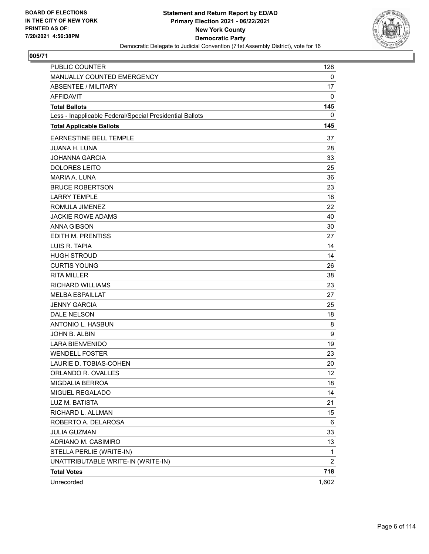

| <b>PUBLIC COUNTER</b>                                    | 128            |
|----------------------------------------------------------|----------------|
| MANUALLY COUNTED EMERGENCY                               | 0              |
| <b>ABSENTEE / MILITARY</b>                               | 17             |
| <b>AFFIDAVIT</b>                                         | 0              |
| <b>Total Ballots</b>                                     | 145            |
| Less - Inapplicable Federal/Special Presidential Ballots | 0              |
| <b>Total Applicable Ballots</b>                          | 145            |
| <b>EARNESTINE BELL TEMPLE</b>                            | 37             |
| <b>JUANA H. LUNA</b>                                     | 28             |
| <b>JOHANNA GARCIA</b>                                    | 33             |
| <b>DOLORES LEITO</b>                                     | 25             |
| <b>MARIA A. LUNA</b>                                     | 36             |
| <b>BRUCE ROBERTSON</b>                                   | 23             |
| <b>LARRY TEMPLE</b>                                      | 18             |
| ROMULA JIMENEZ                                           | 22             |
| <b>JACKIE ROWE ADAMS</b>                                 | 40             |
| <b>ANNA GIBSON</b>                                       | 30             |
| EDITH M. PRENTISS                                        | 27             |
| LUIS R. TAPIA                                            | 14             |
| <b>HUGH STROUD</b>                                       | 14             |
| <b>CURTIS YOUNG</b>                                      | 26             |
| <b>RITA MILLER</b>                                       | 38             |
| <b>RICHARD WILLIAMS</b>                                  | 23             |
| <b>MELBA ESPAILLAT</b>                                   | 27             |
| <b>JENNY GARCIA</b>                                      | 25             |
| <b>DALE NELSON</b>                                       | 18             |
| ANTONIO L. HASBUN                                        | 8              |
| JOHN B. ALBIN                                            | 9              |
| <b>LARA BIENVENIDO</b>                                   | 19             |
| <b>WENDELL FOSTER</b>                                    | 23             |
| LAURIE D. TOBIAS-COHEN                                   | 20             |
| ORLANDO R. OVALLES                                       | 12             |
| MIGDALIA BERROA                                          | 18             |
| MIGUEL REGALADO                                          | 14             |
| LUZ M. BATISTA                                           | 21             |
| RICHARD L. ALLMAN                                        | 15             |
| ROBERTO A. DELAROSA                                      | 6              |
| <b>JULIA GUZMAN</b>                                      | 33             |
| ADRIANO M. CASIMIRO                                      | 13             |
| STELLA PERLIE (WRITE-IN)                                 | 1              |
| UNATTRIBUTABLE WRITE-IN (WRITE-IN)                       | $\overline{c}$ |
| <b>Total Votes</b>                                       | 718            |
| Unrecorded                                               | 1,602          |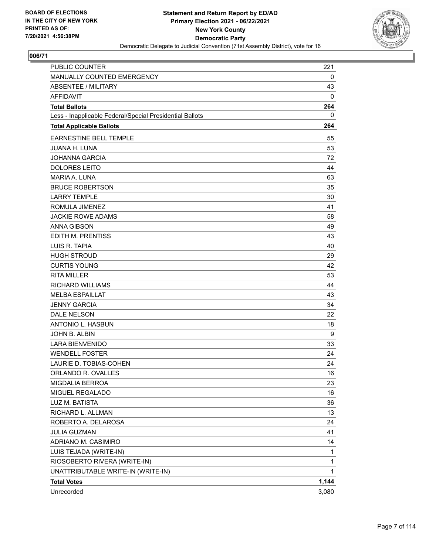

| <b>PUBLIC COUNTER</b>                                    | 221          |
|----------------------------------------------------------|--------------|
| MANUALLY COUNTED EMERGENCY                               | 0            |
| <b>ABSENTEE / MILITARY</b>                               | 43           |
| <b>AFFIDAVIT</b>                                         | 0            |
| <b>Total Ballots</b>                                     | 264          |
| Less - Inapplicable Federal/Special Presidential Ballots | 0            |
| <b>Total Applicable Ballots</b>                          | 264          |
| <b>EARNESTINE BELL TEMPLE</b>                            | 55           |
| <b>JUANA H. LUNA</b>                                     | 53           |
| <b>JOHANNA GARCIA</b>                                    | 72           |
| <b>DOLORES LEITO</b>                                     | 44           |
| <b>MARIA A. LUNA</b>                                     | 63           |
| <b>BRUCE ROBERTSON</b>                                   | 35           |
| <b>LARRY TEMPLE</b>                                      | 30           |
| ROMULA JIMENEZ                                           | 41           |
| <b>JACKIE ROWE ADAMS</b>                                 | 58           |
| <b>ANNA GIBSON</b>                                       | 49           |
| EDITH M. PRENTISS                                        | 43           |
| LUIS R. TAPIA                                            | 40           |
| <b>HUGH STROUD</b>                                       | 29           |
| <b>CURTIS YOUNG</b>                                      | 42           |
| <b>RITA MILLER</b>                                       | 53           |
| <b>RICHARD WILLIAMS</b>                                  | 44           |
| <b>MELBA ESPAILLAT</b>                                   | 43           |
| <b>JENNY GARCIA</b>                                      | 34           |
| <b>DALE NELSON</b>                                       | 22           |
| ANTONIO L. HASBUN                                        | 18           |
| JOHN B. ALBIN                                            | 9            |
| <b>LARA BIENVENIDO</b>                                   | 33           |
| <b>WENDELL FOSTER</b>                                    | 24           |
| LAURIE D. TOBIAS-COHEN                                   | 24           |
| ORLANDO R. OVALLES                                       | 16           |
| MIGDALIA BERROA                                          | 23           |
| MIGUEL REGALADO                                          | 16           |
| LUZ M. BATISTA                                           | 36           |
| RICHARD L. ALLMAN                                        | 13           |
| ROBERTO A. DELAROSA                                      | 24           |
| <b>JULIA GUZMAN</b>                                      | 41           |
| ADRIANO M. CASIMIRO                                      | 14           |
| LUIS TEJADA (WRITE-IN)                                   | 1            |
| RIOSOBERTO RIVERA (WRITE-IN)                             | 1            |
| UNATTRIBUTABLE WRITE-IN (WRITE-IN)                       | $\mathbf{1}$ |
| <b>Total Votes</b>                                       | 1,144        |
| Unrecorded                                               | 3,080        |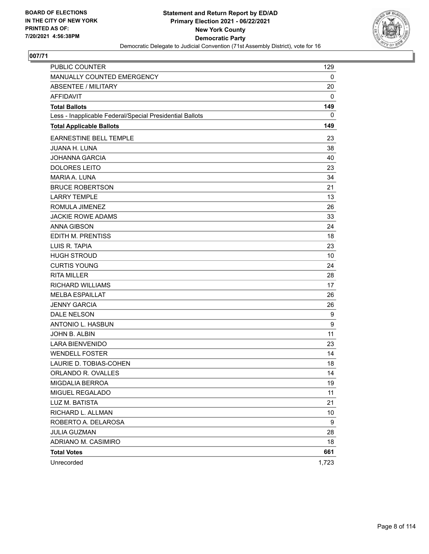

| PUBLIC COUNTER                                           | 129   |
|----------------------------------------------------------|-------|
| MANUALLY COUNTED EMERGENCY                               | 0     |
| <b>ABSENTEE / MILITARY</b>                               | 20    |
| <b>AFFIDAVIT</b>                                         | 0     |
| <b>Total Ballots</b>                                     | 149   |
| Less - Inapplicable Federal/Special Presidential Ballots | 0     |
| <b>Total Applicable Ballots</b>                          | 149   |
| <b>EARNESTINE BELL TEMPLE</b>                            | 23    |
| <b>JUANA H. LUNA</b>                                     | 38    |
| <b>JOHANNA GARCIA</b>                                    | 40    |
| <b>DOLORES LEITO</b>                                     | 23    |
| <b>MARIA A. LUNA</b>                                     | 34    |
| <b>BRUCE ROBERTSON</b>                                   | 21    |
| <b>LARRY TEMPLE</b>                                      | 13    |
| ROMULA JIMENEZ                                           | 26    |
| <b>JACKIE ROWE ADAMS</b>                                 | 33    |
| <b>ANNA GIBSON</b>                                       | 24    |
| EDITH M. PRENTISS                                        | 18    |
| LUIS R. TAPIA                                            | 23    |
| <b>HUGH STROUD</b>                                       | 10    |
| <b>CURTIS YOUNG</b>                                      | 24    |
| <b>RITA MILLER</b>                                       | 28    |
| <b>RICHARD WILLIAMS</b>                                  | 17    |
| <b>MELBA ESPAILLAT</b>                                   | 26    |
| <b>JENNY GARCIA</b>                                      | 26    |
| DALE NELSON                                              | 9     |
| ANTONIO L. HASBUN                                        | 9     |
| JOHN B. ALBIN                                            | 11    |
| <b>LARA BIENVENIDO</b>                                   | 23    |
| <b>WENDELL FOSTER</b>                                    | 14    |
| LAURIE D. TOBIAS-COHEN                                   | 18    |
| ORLANDO R. OVALLES                                       | 14    |
| MIGDALIA BERROA                                          | 19    |
| MIGUEL REGALADO                                          | 11    |
| LUZ M. BATISTA                                           | 21    |
| RICHARD L. ALLMAN                                        | 10    |
| ROBERTO A. DELAROSA                                      | 9     |
| <b>JULIA GUZMAN</b>                                      | 28    |
| ADRIANO M. CASIMIRO                                      | 18    |
| <b>Total Votes</b>                                       | 661   |
| Unrecorded                                               | 1,723 |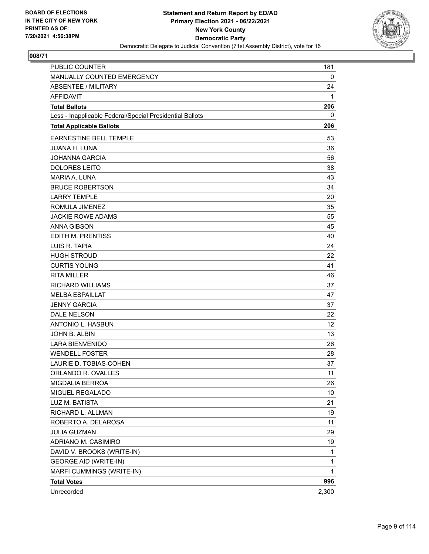

| PUBLIC COUNTER                                           | 181          |
|----------------------------------------------------------|--------------|
| MANUALLY COUNTED EMERGENCY                               | 0            |
| <b>ABSENTEE / MILITARY</b>                               | 24           |
| <b>AFFIDAVIT</b>                                         | 1            |
| <b>Total Ballots</b>                                     | 206          |
| Less - Inapplicable Federal/Special Presidential Ballots | 0            |
| <b>Total Applicable Ballots</b>                          | 206          |
| EARNESTINE BELL TEMPLE                                   | 53           |
| <b>JUANA H. LUNA</b>                                     | 36           |
| <b>JOHANNA GARCIA</b>                                    | 56           |
| <b>DOLORES LEITO</b>                                     | 38           |
| MARIA A. LUNA                                            | 43           |
| <b>BRUCE ROBERTSON</b>                                   | 34           |
| <b>LARRY TEMPLE</b>                                      | 20           |
| ROMULA JIMENEZ                                           | 35           |
| <b>JACKIE ROWE ADAMS</b>                                 | 55           |
| <b>ANNA GIBSON</b>                                       | 45           |
| EDITH M. PRENTISS                                        | 40           |
| LUIS R. TAPIA                                            | 24           |
| <b>HUGH STROUD</b>                                       | 22           |
| <b>CURTIS YOUNG</b>                                      | 41           |
| <b>RITA MILLER</b>                                       | 46           |
| <b>RICHARD WILLIAMS</b>                                  | 37           |
| <b>MELBA ESPAILLAT</b>                                   | 47           |
| <b>JENNY GARCIA</b>                                      | 37           |
| <b>DALE NELSON</b>                                       | 22           |
| ANTONIO L. HASBUN                                        | 12           |
| JOHN B. ALBIN                                            | 13           |
| <b>LARA BIENVENIDO</b>                                   | 26           |
| <b>WENDELL FOSTER</b>                                    | 28           |
| LAURIE D. TOBIAS-COHEN                                   | 37           |
| ORLANDO R. OVALLES                                       | 11           |
| MIGDALIA BERROA                                          | 26           |
| MIGUEL REGALADO                                          | 10           |
| LUZ M. BATISTA                                           | 21           |
| RICHARD L. ALLMAN                                        | 19           |
| ROBERTO A. DELAROSA                                      | 11           |
| <b>JULIA GUZMAN</b>                                      | 29           |
| ADRIANO M. CASIMIRO                                      | 19           |
| DAVID V. BROOKS (WRITE-IN)                               | 1            |
| <b>GEORGE AID (WRITE-IN)</b>                             | 1            |
| MARFI CUMMINGS (WRITE-IN)                                | $\mathbf{1}$ |
| <b>Total Votes</b>                                       | 996          |
| Unrecorded                                               | 2,300        |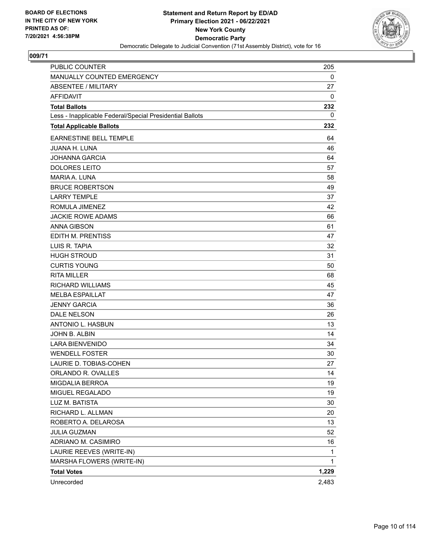

| <b>PUBLIC COUNTER</b>                                    | 205          |
|----------------------------------------------------------|--------------|
| MANUALLY COUNTED EMERGENCY                               | 0            |
| <b>ABSENTEE / MILITARY</b>                               | 27           |
| <b>AFFIDAVIT</b>                                         | 0            |
| <b>Total Ballots</b>                                     | 232          |
| Less - Inapplicable Federal/Special Presidential Ballots | 0            |
| <b>Total Applicable Ballots</b>                          | 232          |
| EARNESTINE BELL TEMPLE                                   | 64           |
| <b>JUANA H. LUNA</b>                                     | 46           |
| <b>JOHANNA GARCIA</b>                                    | 64           |
| <b>DOLORES LEITO</b>                                     | 57           |
| MARIA A. LUNA                                            | 58           |
| <b>BRUCE ROBERTSON</b>                                   | 49           |
| <b>LARRY TEMPLE</b>                                      | 37           |
| ROMULA JIMENEZ                                           | 42           |
| <b>JACKIE ROWE ADAMS</b>                                 | 66           |
| <b>ANNA GIBSON</b>                                       | 61           |
| EDITH M. PRENTISS                                        | 47           |
| LUIS R. TAPIA                                            | 32           |
| <b>HUGH STROUD</b>                                       | 31           |
| <b>CURTIS YOUNG</b>                                      | 50           |
| <b>RITA MILLER</b>                                       | 68           |
| <b>RICHARD WILLIAMS</b>                                  | 45           |
| <b>MELBA ESPAILLAT</b>                                   | 47           |
| <b>JENNY GARCIA</b>                                      | 36           |
| <b>DALE NELSON</b>                                       | 26           |
| ANTONIO L. HASBUN                                        | 13           |
| JOHN B. ALBIN                                            | 14           |
| <b>LARA BIENVENIDO</b>                                   | 34           |
| <b>WENDELL FOSTER</b>                                    | 30           |
| LAURIE D. TOBIAS-COHEN                                   | 27           |
| ORLANDO R. OVALLES                                       | 14           |
| <b>MIGDALIA BERROA</b>                                   | 19           |
| MIGUEL REGALADO                                          | 19           |
| LUZ M. BATISTA                                           | 30           |
| RICHARD L. ALLMAN                                        | 20           |
| ROBERTO A. DELAROSA                                      | 13           |
| <b>JULIA GUZMAN</b>                                      | 52           |
| ADRIANO M. CASIMIRO                                      | 16           |
| LAURIE REEVES (WRITE-IN)                                 | 1            |
| MARSHA FLOWERS (WRITE-IN)                                | $\mathbf{1}$ |
| <b>Total Votes</b>                                       | 1,229        |
| Unrecorded                                               | 2,483        |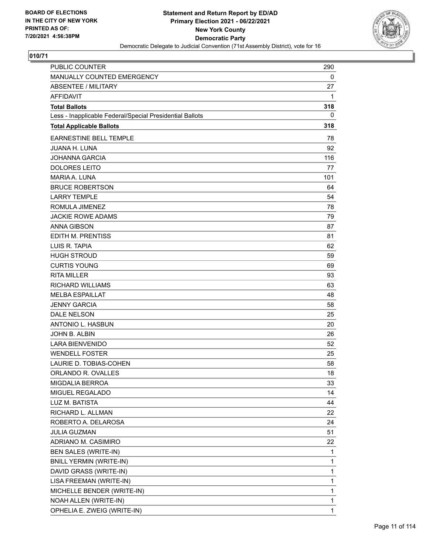

| PUBLIC COUNTER                                           | 290          |
|----------------------------------------------------------|--------------|
| MANUALLY COUNTED EMERGENCY                               | 0            |
| <b>ABSENTEE / MILITARY</b>                               | 27           |
| <b>AFFIDAVIT</b>                                         | 1            |
| <b>Total Ballots</b>                                     | 318          |
| Less - Inapplicable Federal/Special Presidential Ballots | 0            |
| <b>Total Applicable Ballots</b>                          | 318          |
| EARNESTINE BELL TEMPLE                                   | 78           |
| <b>JUANA H. LUNA</b>                                     | 92           |
| <b>JOHANNA GARCIA</b>                                    | 116          |
| <b>DOLORES LEITO</b>                                     | 77           |
| MARIA A. LUNA                                            | 101          |
| <b>BRUCE ROBERTSON</b>                                   | 64           |
| <b>LARRY TEMPLE</b>                                      | 54           |
| ROMULA JIMENEZ                                           | 78           |
| <b>JACKIE ROWE ADAMS</b>                                 | 79           |
| <b>ANNA GIBSON</b>                                       | 87           |
| EDITH M. PRENTISS                                        | 81           |
| LUIS R. TAPIA                                            | 62           |
| <b>HUGH STROUD</b>                                       | 59           |
| <b>CURTIS YOUNG</b>                                      | 69           |
| <b>RITA MILLER</b>                                       | 93           |
| <b>RICHARD WILLIAMS</b>                                  | 63           |
| <b>MELBA ESPAILLAT</b>                                   | 48           |
| <b>JENNY GARCIA</b>                                      | 58           |
| <b>DALE NELSON</b>                                       | 25           |
| ANTONIO L. HASBUN                                        | 20           |
| JOHN B. ALBIN                                            | 26           |
| <b>LARA BIENVENIDO</b>                                   | 52           |
| <b>WENDELL FOSTER</b>                                    | 25           |
| LAURIE D. TOBIAS-COHEN                                   | 58           |
| ORLANDO R. OVALLES                                       | 18           |
| MIGDALIA BERROA                                          | 33           |
| MIGUEL REGALADO                                          | 14           |
| LUZ M. BATISTA                                           | 44           |
| RICHARD L. ALLMAN                                        | 22           |
| ROBERTO A. DELAROSA                                      | 24           |
| <b>JULIA GUZMAN</b>                                      | 51           |
| ADRIANO M. CASIMIRO                                      | 22           |
| BEN SALES (WRITE-IN)                                     | 1            |
| <b>BNILL YERMIN (WRITE-IN)</b>                           | 1            |
| DAVID GRASS (WRITE-IN)                                   | 1            |
| LISA FREEMAN (WRITE-IN)                                  | 1            |
| MICHELLE BENDER (WRITE-IN)                               | 1            |
| NOAH ALLEN (WRITE-IN)                                    | 1            |
| OPHELIA E. ZWEIG (WRITE-IN)                              | $\mathbf{1}$ |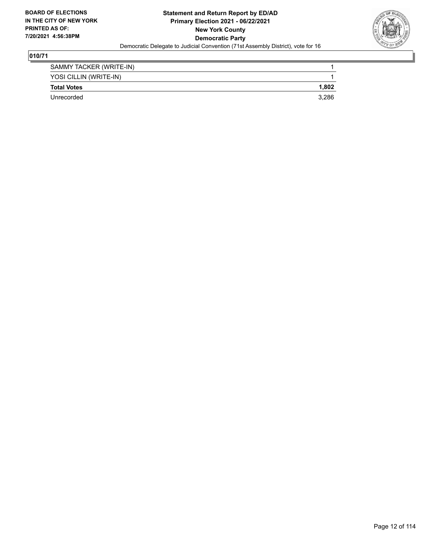

| SAMMY TACKER (WRITE-IN) |       |
|-------------------------|-------|
| YOSI CILLIN (WRITE-IN)  |       |
| <b>Total Votes</b>      | 1.802 |
| Unrecorded              | 3.286 |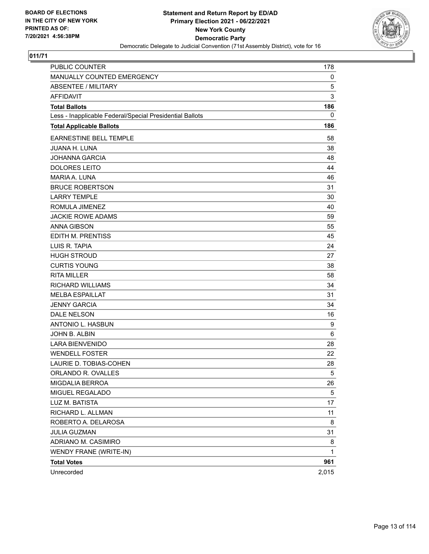

| PUBLIC COUNTER                                           | 178   |
|----------------------------------------------------------|-------|
| MANUALLY COUNTED EMERGENCY                               | 0     |
| ABSENTEE / MILITARY                                      | 5     |
| <b>AFFIDAVIT</b>                                         | 3     |
| <b>Total Ballots</b>                                     | 186   |
| Less - Inapplicable Federal/Special Presidential Ballots | 0     |
| <b>Total Applicable Ballots</b>                          | 186   |
| <b>EARNESTINE BELL TEMPLE</b>                            | 58    |
| <b>JUANA H. LUNA</b>                                     | 38    |
| <b>JOHANNA GARCIA</b>                                    | 48    |
| <b>DOLORES LEITO</b>                                     | 44    |
| MARIA A. LUNA                                            | 46    |
| <b>BRUCE ROBERTSON</b>                                   | 31    |
| <b>LARRY TEMPLE</b>                                      | 30    |
| ROMULA JIMENEZ                                           | 40    |
| <b>JACKIE ROWE ADAMS</b>                                 | 59    |
| <b>ANNA GIBSON</b>                                       | 55    |
| <b>EDITH M. PRENTISS</b>                                 | 45    |
| LUIS R. TAPIA                                            | 24    |
| <b>HUGH STROUD</b>                                       | 27    |
| <b>CURTIS YOUNG</b>                                      | 38    |
| <b>RITA MILLER</b>                                       | 58    |
| <b>RICHARD WILLIAMS</b>                                  | 34    |
| <b>MELBA ESPAILLAT</b>                                   | 31    |
| <b>JENNY GARCIA</b>                                      | 34    |
| <b>DALE NELSON</b>                                       | 16    |
| ANTONIO L. HASBUN                                        | 9     |
| JOHN B. ALBIN                                            | 6     |
| <b>LARA BIENVENIDO</b>                                   | 28    |
| <b>WENDELL FOSTER</b>                                    | 22    |
| LAURIE D. TOBIAS-COHEN                                   | 28    |
| ORLANDO R. OVALLES                                       | 5     |
| MIGDALIA BERROA                                          | 26    |
| MIGUEL REGALADO                                          | 5     |
| LUZ M. BATISTA                                           | 17    |
| RICHARD L. ALLMAN                                        | 11    |
| ROBERTO A. DELAROSA                                      | 8     |
| <b>JULIA GUZMAN</b>                                      | 31    |
| ADRIANO M. CASIMIRO                                      | 8     |
| WENDY FRANE (WRITE-IN)                                   | 1     |
| <b>Total Votes</b>                                       | 961   |
| Unrecorded                                               | 2,015 |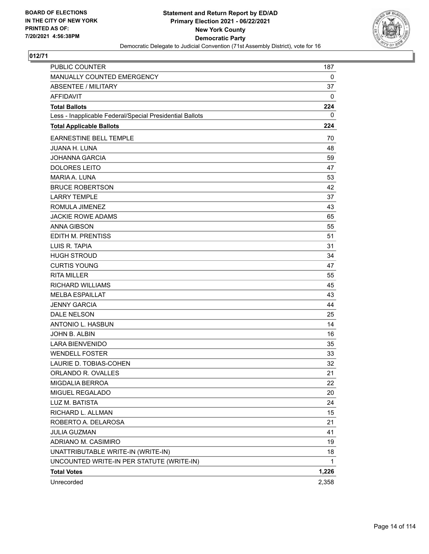

| PUBLIC COUNTER                                           | 187   |
|----------------------------------------------------------|-------|
| MANUALLY COUNTED EMERGENCY                               | 0     |
| ABSENTEE / MILITARY                                      | 37    |
| <b>AFFIDAVIT</b>                                         | 0     |
| <b>Total Ballots</b>                                     | 224   |
| Less - Inapplicable Federal/Special Presidential Ballots | 0     |
| <b>Total Applicable Ballots</b>                          | 224   |
| <b>EARNESTINE BELL TEMPLE</b>                            | 70    |
| <b>JUANA H. LUNA</b>                                     | 48    |
| <b>JOHANNA GARCIA</b>                                    | 59    |
| <b>DOLORES LEITO</b>                                     | 47    |
| MARIA A. LUNA                                            | 53    |
| <b>BRUCE ROBERTSON</b>                                   | 42    |
| <b>LARRY TEMPLE</b>                                      | 37    |
| ROMULA JIMENEZ                                           | 43    |
| <b>JACKIE ROWE ADAMS</b>                                 | 65    |
| <b>ANNA GIBSON</b>                                       | 55    |
| EDITH M. PRENTISS                                        | 51    |
| LUIS R. TAPIA                                            | 31    |
| <b>HUGH STROUD</b>                                       | 34    |
| <b>CURTIS YOUNG</b>                                      | 47    |
| <b>RITA MILLER</b>                                       | 55    |
| <b>RICHARD WILLIAMS</b>                                  | 45    |
| <b>MELBA ESPAILLAT</b>                                   | 43    |
| <b>JENNY GARCIA</b>                                      | 44    |
| <b>DALE NELSON</b>                                       | 25    |
| ANTONIO L. HASBUN                                        | 14    |
| JOHN B. ALBIN                                            | 16    |
| <b>LARA BIENVENIDO</b>                                   | 35    |
| <b>WENDELL FOSTER</b>                                    | 33    |
| LAURIE D. TOBIAS-COHEN                                   | 32    |
| ORLANDO R. OVALLES                                       | 21    |
| MIGDALIA BERROA                                          | 22    |
| MIGUEL REGALADO                                          | 20    |
| LUZ M. BATISTA                                           | 24    |
| RICHARD L. ALLMAN                                        | 15    |
| ROBERTO A. DELAROSA                                      | 21    |
| <b>JULIA GUZMAN</b>                                      | 41    |
| ADRIANO M. CASIMIRO                                      | 19    |
| UNATTRIBUTABLE WRITE-IN (WRITE-IN)                       | 18    |
| UNCOUNTED WRITE-IN PER STATUTE (WRITE-IN)                | 1     |
| <b>Total Votes</b>                                       | 1,226 |
| Unrecorded                                               | 2,358 |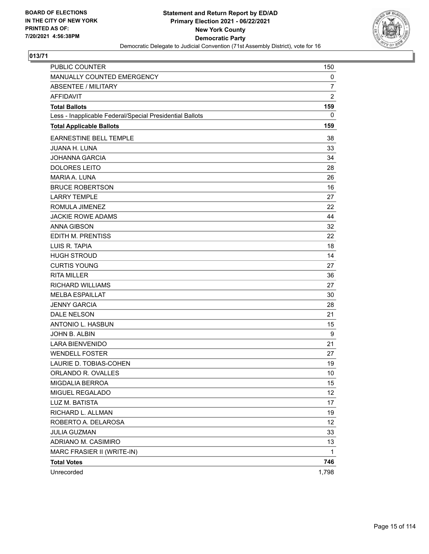

| <b>PUBLIC COUNTER</b>                                    | 150            |
|----------------------------------------------------------|----------------|
| MANUALLY COUNTED EMERGENCY                               | 0              |
| <b>ABSENTEE / MILITARY</b>                               | $\overline{7}$ |
| <b>AFFIDAVIT</b>                                         | $\overline{c}$ |
| <b>Total Ballots</b>                                     | 159            |
| Less - Inapplicable Federal/Special Presidential Ballots | 0              |
| <b>Total Applicable Ballots</b>                          | 159            |
| <b>EARNESTINE BELL TEMPLE</b>                            | 38             |
| <b>JUANA H. LUNA</b>                                     | 33             |
| <b>JOHANNA GARCIA</b>                                    | 34             |
| <b>DOLORES LEITO</b>                                     | 28             |
| <b>MARIA A. LUNA</b>                                     | 26             |
| <b>BRUCE ROBERTSON</b>                                   | 16             |
| <b>LARRY TEMPLE</b>                                      | 27             |
| ROMULA JIMENEZ                                           | 22             |
| <b>JACKIE ROWE ADAMS</b>                                 | 44             |
| <b>ANNA GIBSON</b>                                       | 32             |
| EDITH M. PRENTISS                                        | 22             |
| LUIS R. TAPIA                                            | 18             |
| <b>HUGH STROUD</b>                                       | 14             |
| <b>CURTIS YOUNG</b>                                      | 27             |
| <b>RITA MILLER</b>                                       | 36             |
| <b>RICHARD WILLIAMS</b>                                  | 27             |
| <b>MELBA ESPAILLAT</b>                                   | 30             |
| <b>JENNY GARCIA</b>                                      | 28             |
| <b>DALE NELSON</b>                                       | 21             |
| ANTONIO L. HASBUN                                        | 15             |
| JOHN B. ALBIN                                            | 9              |
| <b>LARA BIENVENIDO</b>                                   | 21             |
| <b>WENDELL FOSTER</b>                                    | 27             |
| LAURIE D. TOBIAS-COHEN                                   | 19             |
| ORLANDO R. OVALLES                                       | 10             |
| MIGDALIA BERROA                                          | 15             |
| MIGUEL REGALADO                                          | 12             |
| LUZ M. BATISTA                                           | 17             |
| RICHARD L. ALLMAN                                        | 19             |
| ROBERTO A. DELAROSA                                      | 12             |
| <b>JULIA GUZMAN</b>                                      | 33             |
| ADRIANO M. CASIMIRO                                      | 13             |
| MARC FRASIER II (WRITE-IN)                               | 1              |
| <b>Total Votes</b>                                       | 746            |
| Unrecorded                                               | 1,798          |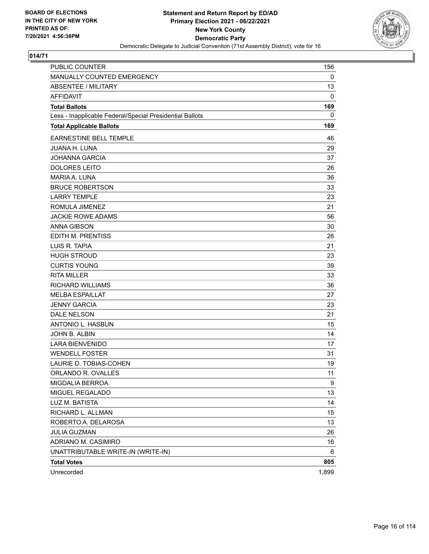

| <b>PUBLIC COUNTER</b>                                    | 156   |
|----------------------------------------------------------|-------|
| MANUALLY COUNTED EMERGENCY                               | 0     |
| <b>ABSENTEE / MILITARY</b>                               | 13    |
| <b>AFFIDAVIT</b>                                         | 0     |
| <b>Total Ballots</b>                                     | 169   |
| Less - Inapplicable Federal/Special Presidential Ballots | 0     |
| <b>Total Applicable Ballots</b>                          | 169   |
| <b>EARNESTINE BELL TEMPLE</b>                            | 46    |
| <b>JUANA H. LUNA</b>                                     | 29    |
| <b>JOHANNA GARCIA</b>                                    | 37    |
| <b>DOLORES LEITO</b>                                     | 26    |
| <b>MARIA A. LUNA</b>                                     | 36    |
| <b>BRUCE ROBERTSON</b>                                   | 33    |
| <b>LARRY TEMPLE</b>                                      | 23    |
| ROMULA JIMENEZ                                           | 21    |
| <b>JACKIE ROWE ADAMS</b>                                 | 56    |
| <b>ANNA GIBSON</b>                                       | 30    |
| EDITH M. PRENTISS                                        | 26    |
| LUIS R. TAPIA                                            | 21    |
| <b>HUGH STROUD</b>                                       | 23    |
| <b>CURTIS YOUNG</b>                                      | 39    |
| <b>RITA MILLER</b>                                       | 33    |
| <b>RICHARD WILLIAMS</b>                                  | 36    |
| <b>MELBA ESPAILLAT</b>                                   | 27    |
| <b>JENNY GARCIA</b>                                      | 23    |
| <b>DALE NELSON</b>                                       | 21    |
| ANTONIO L. HASBUN                                        | 15    |
| JOHN B. ALBIN                                            | 14    |
| <b>LARA BIENVENIDO</b>                                   | 17    |
| <b>WENDELL FOSTER</b>                                    | 31    |
| LAURIE D. TOBIAS-COHEN                                   | 19    |
| ORLANDO R. OVALLES                                       | 11    |
| MIGDALIA BERROA                                          | 9     |
| MIGUEL REGALADO                                          | 13    |
| LUZ M. BATISTA                                           | 14    |
| RICHARD L. ALLMAN                                        | 15    |
| ROBERTO A. DELAROSA                                      | 13    |
| <b>JULIA GUZMAN</b>                                      | 26    |
| ADRIANO M. CASIMIRO                                      | 16    |
| UNATTRIBUTABLE WRITE-IN (WRITE-IN)                       | 6     |
| <b>Total Votes</b>                                       | 805   |
| Unrecorded                                               | 1,899 |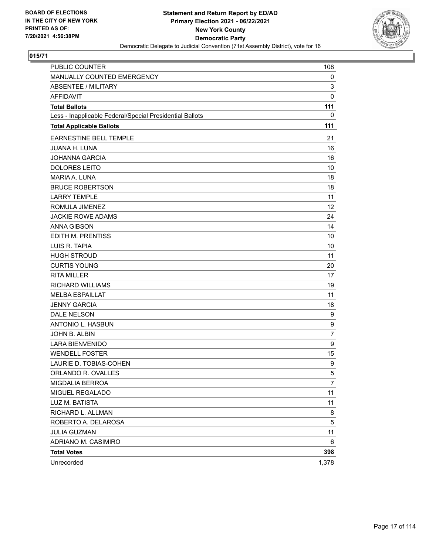

| PUBLIC COUNTER                                           | 108            |
|----------------------------------------------------------|----------------|
| MANUALLY COUNTED EMERGENCY                               | 0              |
| <b>ABSENTEE / MILITARY</b>                               | 3              |
| <b>AFFIDAVIT</b>                                         | $\mathbf 0$    |
| <b>Total Ballots</b>                                     | 111            |
| Less - Inapplicable Federal/Special Presidential Ballots | 0              |
| <b>Total Applicable Ballots</b>                          | 111            |
| <b>EARNESTINE BELL TEMPLE</b>                            | 21             |
| <b>JUANA H. LUNA</b>                                     | 16             |
| <b>JOHANNA GARCIA</b>                                    | 16             |
| <b>DOLORES LEITO</b>                                     | 10             |
| <b>MARIA A. LUNA</b>                                     | 18             |
| <b>BRUCE ROBERTSON</b>                                   | 18             |
| <b>LARRY TEMPLE</b>                                      | 11             |
| ROMULA JIMENEZ                                           | 12             |
| <b>JACKIE ROWE ADAMS</b>                                 | 24             |
| <b>ANNA GIBSON</b>                                       | 14             |
| <b>EDITH M. PRENTISS</b>                                 | 10             |
| LUIS R. TAPIA                                            | 10             |
| <b>HUGH STROUD</b>                                       | 11             |
| <b>CURTIS YOUNG</b>                                      | 20             |
| <b>RITA MILLER</b>                                       | 17             |
| <b>RICHARD WILLIAMS</b>                                  | 19             |
| <b>MELBA ESPAILLAT</b>                                   | 11             |
| <b>JENNY GARCIA</b>                                      | 18             |
| DALE NELSON                                              | 9              |
| ANTONIO L. HASBUN                                        | 9              |
| JOHN B. ALBIN                                            | $\overline{7}$ |
| <b>LARA BIENVENIDO</b>                                   | 9              |
| <b>WENDELL FOSTER</b>                                    | 15             |
| LAURIE D. TOBIAS-COHEN                                   | 9              |
| ORLANDO R. OVALLES                                       | 5              |
| MIGDALIA BERROA                                          | 7              |
| MIGUEL REGALADO                                          | 11             |
| LUZ M. BATISTA                                           | 11             |
| RICHARD L. ALLMAN                                        | 8              |
| ROBERTO A. DELAROSA                                      | 5              |
| <b>JULIA GUZMAN</b>                                      | 11             |
| ADRIANO M. CASIMIRO                                      | 6              |
| <b>Total Votes</b>                                       | 398            |
| Unrecorded                                               | 1,378          |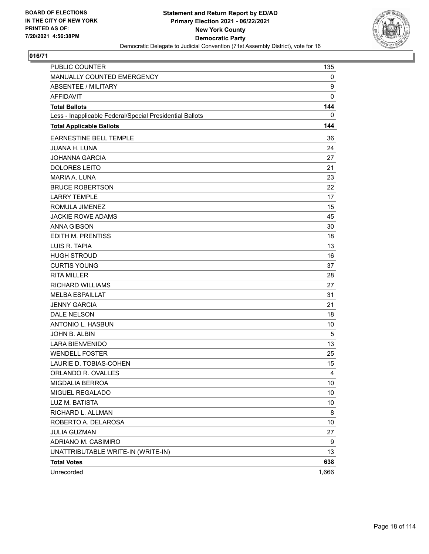

| <b>PUBLIC COUNTER</b>                                    | 135            |
|----------------------------------------------------------|----------------|
| MANUALLY COUNTED EMERGENCY                               | 0              |
| <b>ABSENTEE / MILITARY</b>                               | 9              |
| <b>AFFIDAVIT</b>                                         | 0              |
| <b>Total Ballots</b>                                     | 144            |
| Less - Inapplicable Federal/Special Presidential Ballots | 0              |
| <b>Total Applicable Ballots</b>                          | 144            |
| <b>EARNESTINE BELL TEMPLE</b>                            | 36             |
| <b>JUANA H. LUNA</b>                                     | 24             |
| <b>JOHANNA GARCIA</b>                                    | 27             |
| <b>DOLORES LEITO</b>                                     | 21             |
| <b>MARIA A. LUNA</b>                                     | 23             |
| <b>BRUCE ROBERTSON</b>                                   | 22             |
| <b>LARRY TEMPLE</b>                                      | 17             |
| ROMULA JIMENEZ                                           | 15             |
| <b>JACKIE ROWE ADAMS</b>                                 | 45             |
| <b>ANNA GIBSON</b>                                       | 30             |
| EDITH M. PRENTISS                                        | 18             |
| LUIS R. TAPIA                                            | 13             |
| <b>HUGH STROUD</b>                                       | 16             |
| <b>CURTIS YOUNG</b>                                      | 37             |
| <b>RITA MILLER</b>                                       | 28             |
| <b>RICHARD WILLIAMS</b>                                  | 27             |
| <b>MELBA ESPAILLAT</b>                                   | 31             |
| <b>JENNY GARCIA</b>                                      | 21             |
| <b>DALE NELSON</b>                                       | 18             |
| ANTONIO L. HASBUN                                        | 10             |
| JOHN B. ALBIN                                            | 5              |
| <b>LARA BIENVENIDO</b>                                   | 13             |
| <b>WENDELL FOSTER</b>                                    | 25             |
| LAURIE D. TOBIAS-COHEN                                   | 15             |
| ORLANDO R. OVALLES                                       | $\overline{4}$ |
| MIGDALIA BERROA                                          | 10             |
| MIGUEL REGALADO                                          | 10             |
| LUZ M. BATISTA                                           | 10             |
| RICHARD L. ALLMAN                                        | 8              |
| ROBERTO A. DELAROSA                                      | 10             |
| <b>JULIA GUZMAN</b>                                      | 27             |
| ADRIANO M. CASIMIRO                                      | 9              |
| UNATTRIBUTABLE WRITE-IN (WRITE-IN)                       | 13             |
| <b>Total Votes</b>                                       | 638            |
| Unrecorded                                               | 1,666          |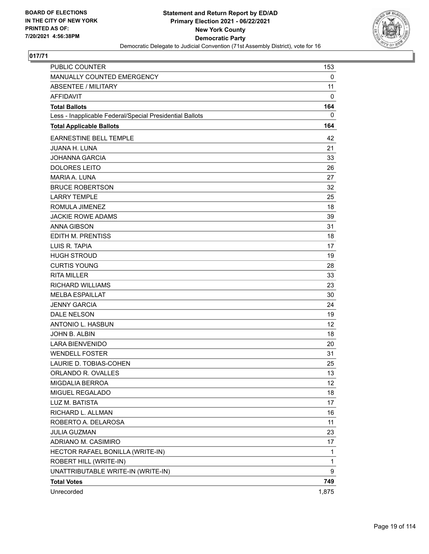

| <b>PUBLIC COUNTER</b><br>MANUALLY COUNTED EMERGENCY      | 153<br>0 |
|----------------------------------------------------------|----------|
| <b>ABSENTEE / MILITARY</b>                               | 11       |
| <b>AFFIDAVIT</b>                                         | 0        |
| <b>Total Ballots</b>                                     | 164      |
| Less - Inapplicable Federal/Special Presidential Ballots | 0        |
| <b>Total Applicable Ballots</b>                          | 164      |
|                                                          |          |
| <b>EARNESTINE BELL TEMPLE</b>                            | 42       |
| <b>JUANA H. LUNA</b>                                     | 21       |
| <b>JOHANNA GARCIA</b>                                    | 33       |
| <b>DOLORES LEITO</b>                                     | 26       |
| MARIA A. LUNA                                            | 27       |
| <b>BRUCE ROBERTSON</b>                                   | 32       |
| <b>LARRY TEMPLE</b>                                      | 25       |
| ROMULA JIMENEZ                                           | 18       |
| <b>JACKIE ROWE ADAMS</b>                                 | 39       |
| <b>ANNA GIBSON</b>                                       | 31       |
| <b>EDITH M. PRENTISS</b>                                 | 18       |
| LUIS R. TAPIA                                            | 17       |
| <b>HUGH STROUD</b>                                       | 19       |
| <b>CURTIS YOUNG</b>                                      | 28       |
| <b>RITA MILLER</b>                                       | 33       |
| <b>RICHARD WILLIAMS</b>                                  | 23       |
| <b>MELBA ESPAILLAT</b>                                   | 30       |
| <b>JENNY GARCIA</b>                                      | 24       |
| <b>DALE NELSON</b>                                       | 19       |
| ANTONIO L. HASBUN                                        | 12       |
| JOHN B. ALBIN                                            | 18       |
| <b>LARA BIENVENIDO</b>                                   | 20       |
| <b>WENDELL FOSTER</b>                                    | 31       |
| LAURIE D. TOBIAS-COHEN                                   | 25       |
| ORLANDO R. OVALLES                                       | 13       |
| MIGDALIA BERROA                                          | 12       |
| MIGUEL REGALADO                                          | 18       |
| LUZ M. BATISTA                                           | 17       |
| RICHARD L. ALLMAN                                        | 16       |
| ROBERTO A. DELAROSA                                      | 11       |
| <b>JULIA GUZMAN</b>                                      | 23       |
| ADRIANO M. CASIMIRO                                      | 17       |
| HECTOR RAFAEL BONILLA (WRITE-IN)                         | 1        |
| ROBERT HILL (WRITE-IN)                                   | 1        |
| UNATTRIBUTABLE WRITE-IN (WRITE-IN)                       | 9        |
| <b>Total Votes</b>                                       | 749      |
| Unrecorded                                               | 1,875    |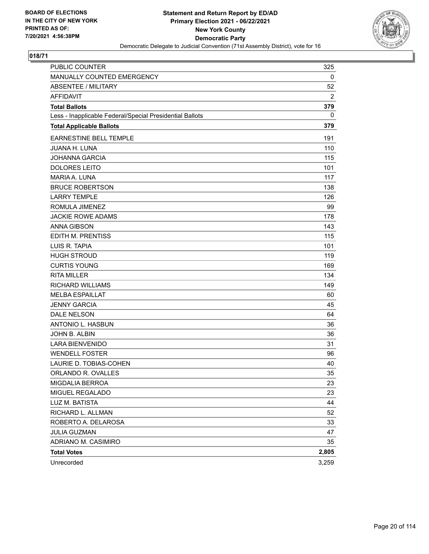

| PUBLIC COUNTER                                           | 325   |
|----------------------------------------------------------|-------|
| MANUALLY COUNTED EMERGENCY                               | 0     |
| <b>ABSENTEE / MILITARY</b>                               | 52    |
| <b>AFFIDAVIT</b>                                         | 2     |
| <b>Total Ballots</b>                                     | 379   |
| Less - Inapplicable Federal/Special Presidential Ballots | 0     |
| <b>Total Applicable Ballots</b>                          | 379   |
| <b>EARNESTINE BELL TEMPLE</b>                            | 191   |
| <b>JUANA H. LUNA</b>                                     | 110   |
| <b>JOHANNA GARCIA</b>                                    | 115   |
| <b>DOLORES LEITO</b>                                     | 101   |
| <b>MARIA A. LUNA</b>                                     | 117   |
| <b>BRUCE ROBERTSON</b>                                   | 138   |
| <b>LARRY TEMPLE</b>                                      | 126   |
| ROMULA JIMENEZ                                           | 99    |
| <b>JACKIE ROWE ADAMS</b>                                 | 178   |
| <b>ANNA GIBSON</b>                                       | 143   |
| EDITH M. PRENTISS                                        | 115   |
| LUIS R. TAPIA                                            | 101   |
| <b>HUGH STROUD</b>                                       | 119   |
| <b>CURTIS YOUNG</b>                                      | 169   |
| <b>RITA MILLER</b>                                       | 134   |
| <b>RICHARD WILLIAMS</b>                                  | 149   |
| <b>MELBA ESPAILLAT</b>                                   | 60    |
| <b>JENNY GARCIA</b>                                      | 45    |
| DALE NELSON                                              | 64    |
| ANTONIO L. HASBUN                                        | 36    |
| JOHN B. ALBIN                                            | 36    |
| <b>LARA BIENVENIDO</b>                                   | 31    |
| <b>WENDELL FOSTER</b>                                    | 96    |
| LAURIE D. TOBIAS-COHEN                                   | 40    |
| ORLANDO R. OVALLES                                       | 35    |
| MIGDALIA BERROA                                          | 23    |
| MIGUEL REGALADO                                          | 23    |
| LUZ M. BATISTA                                           | 44    |
| RICHARD L. ALLMAN                                        | 52    |
| ROBERTO A. DELAROSA                                      | 33    |
| <b>JULIA GUZMAN</b>                                      | 47    |
| ADRIANO M. CASIMIRO                                      | 35    |
| <b>Total Votes</b>                                       | 2,805 |
| Unrecorded                                               | 3,259 |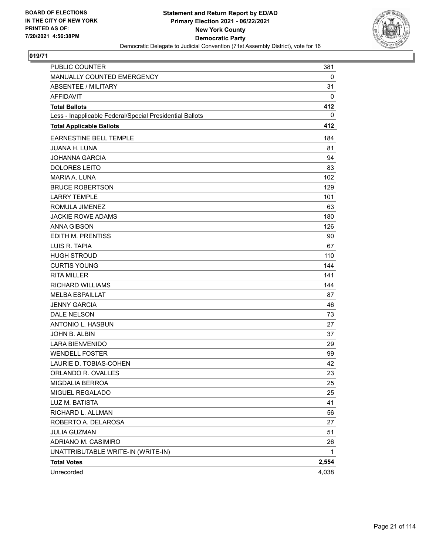

| <b>PUBLIC COUNTER</b>                                    | 381   |
|----------------------------------------------------------|-------|
| MANUALLY COUNTED EMERGENCY                               | 0     |
| <b>ABSENTEE / MILITARY</b>                               | 31    |
| <b>AFFIDAVIT</b>                                         | 0     |
| <b>Total Ballots</b>                                     | 412   |
| Less - Inapplicable Federal/Special Presidential Ballots | 0     |
| <b>Total Applicable Ballots</b>                          | 412   |
| <b>EARNESTINE BELL TEMPLE</b>                            | 184   |
| <b>JUANA H. LUNA</b>                                     | 81    |
| <b>JOHANNA GARCIA</b>                                    | 94    |
| <b>DOLORES LEITO</b>                                     | 83    |
| MARIA A. LUNA                                            | 102   |
| <b>BRUCE ROBERTSON</b>                                   | 129   |
| <b>LARRY TEMPLE</b>                                      | 101   |
| ROMULA JIMENEZ                                           | 63    |
| <b>JACKIE ROWE ADAMS</b>                                 | 180   |
| <b>ANNA GIBSON</b>                                       | 126   |
| EDITH M. PRENTISS                                        | 90    |
| LUIS R. TAPIA                                            | 67    |
| <b>HUGH STROUD</b>                                       | 110   |
| <b>CURTIS YOUNG</b>                                      | 144   |
| <b>RITA MILLER</b>                                       | 141   |
| RICHARD WILLIAMS                                         | 144   |
| <b>MELBA ESPAILLAT</b>                                   | 87    |
| <b>JENNY GARCIA</b>                                      | 46    |
| <b>DALE NELSON</b>                                       | 73    |
| <b>ANTONIO L. HASBUN</b>                                 | 27    |
| JOHN B. ALBIN                                            | 37    |
| <b>LARA BIENVENIDO</b>                                   | 29    |
| <b>WENDELL FOSTER</b>                                    | 99    |
| LAURIE D. TOBIAS-COHEN                                   | 42    |
| ORLANDO R. OVALLES                                       | 23    |
| MIGDALIA BERROA                                          | 25    |
| MIGUEL REGALADO                                          | 25    |
| LUZ M. BATISTA                                           | 41    |
| RICHARD L. ALLMAN                                        | 56    |
| ROBERTO A. DELAROSA                                      | 27    |
| JULIA GUZMAN                                             | 51    |
| ADRIANO M. CASIMIRO                                      | 26    |
| UNATTRIBUTABLE WRITE-IN (WRITE-IN)                       | 1     |
| <b>Total Votes</b>                                       | 2,554 |
| Unrecorded                                               | 4,038 |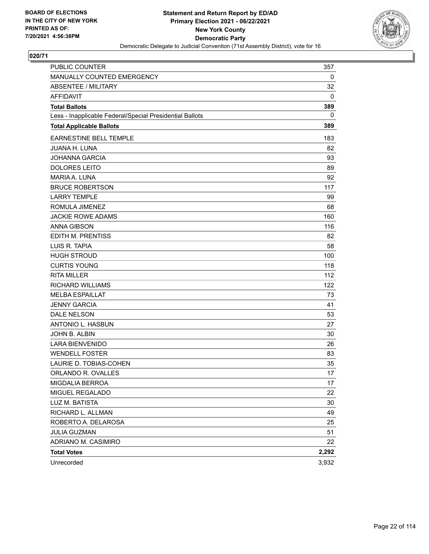

| PUBLIC COUNTER                                           | 357   |
|----------------------------------------------------------|-------|
| MANUALLY COUNTED EMERGENCY                               | 0     |
| <b>ABSENTEE / MILITARY</b>                               | 32    |
| AFFIDAVIT                                                | 0     |
| <b>Total Ballots</b>                                     | 389   |
| Less - Inapplicable Federal/Special Presidential Ballots | 0     |
| <b>Total Applicable Ballots</b>                          | 389   |
| <b>EARNESTINE BELL TEMPLE</b>                            | 183   |
| <b>JUANA H. LUNA</b>                                     | 82    |
| <b>JOHANNA GARCIA</b>                                    | 93    |
| <b>DOLORES LEITO</b>                                     | 89    |
| MARIA A. LUNA                                            | 92    |
| <b>BRUCE ROBERTSON</b>                                   | 117   |
| <b>LARRY TEMPLE</b>                                      | 99    |
| ROMULA JIMENEZ                                           | 68    |
| <b>JACKIE ROWE ADAMS</b>                                 | 160   |
| <b>ANNA GIBSON</b>                                       | 116   |
| EDITH M. PRENTISS                                        | 82    |
| LUIS R. TAPIA                                            | 58    |
| <b>HUGH STROUD</b>                                       | 100   |
| <b>CURTIS YOUNG</b>                                      | 118   |
| <b>RITA MILLER</b>                                       | 112   |
| <b>RICHARD WILLIAMS</b>                                  | 122   |
| <b>MELBA ESPAILLAT</b>                                   | 73    |
| <b>JENNY GARCIA</b>                                      | 41    |
| <b>DALE NELSON</b>                                       | 53    |
| <b>ANTONIO L. HASBUN</b>                                 | 27    |
| JOHN B. ALBIN                                            | 30    |
| <b>LARA BIENVENIDO</b>                                   | 26    |
| <b>WENDELL FOSTER</b>                                    | 83    |
| LAURIE D. TOBIAS-COHEN                                   | 35    |
| ORLANDO R. OVALLES                                       | 17    |
| MIGDALIA BERROA                                          | 17    |
| MIGUEL REGALADO                                          | 22    |
| LUZ M. BATISTA                                           | 30    |
| RICHARD L. ALLMAN                                        | 49    |
| ROBERTO A. DELAROSA                                      | 25    |
| <b>JULIA GUZMAN</b>                                      | 51    |
| ADRIANO M. CASIMIRO                                      | 22    |
| <b>Total Votes</b>                                       | 2,292 |
| Unrecorded                                               | 3,932 |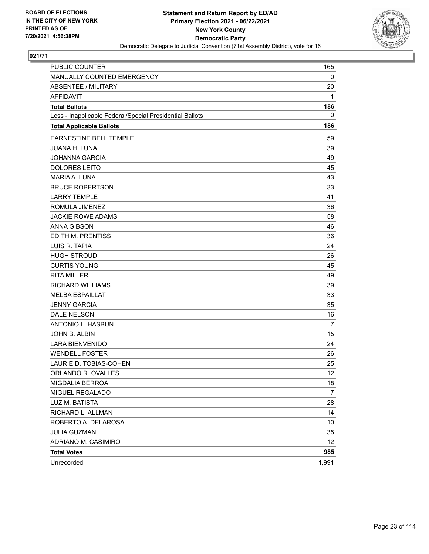

| <b>PUBLIC COUNTER</b>                                    | 165             |
|----------------------------------------------------------|-----------------|
| MANUALLY COUNTED EMERGENCY                               | 0               |
| <b>ABSENTEE / MILITARY</b>                               | 20              |
| <b>AFFIDAVIT</b>                                         | 1               |
| <b>Total Ballots</b>                                     | 186             |
| Less - Inapplicable Federal/Special Presidential Ballots | 0               |
| <b>Total Applicable Ballots</b>                          | 186             |
| <b>EARNESTINE BELL TEMPLE</b>                            | 59              |
| <b>JUANA H. LUNA</b>                                     | 39              |
| <b>JOHANNA GARCIA</b>                                    | 49              |
| <b>DOLORES LEITO</b>                                     | 45              |
| <b>MARIA A. LUNA</b>                                     | 43              |
| <b>BRUCE ROBERTSON</b>                                   | 33              |
| <b>LARRY TEMPLE</b>                                      | 41              |
| ROMULA JIMENEZ                                           | 36              |
| <b>JACKIE ROWE ADAMS</b>                                 | 58              |
| <b>ANNA GIBSON</b>                                       | 46              |
| EDITH M. PRENTISS                                        | 36              |
| LUIS R. TAPIA                                            | 24              |
| <b>HUGH STROUD</b>                                       | 26              |
| <b>CURTIS YOUNG</b>                                      | 45              |
| <b>RITA MILLER</b>                                       | 49              |
| <b>RICHARD WILLIAMS</b>                                  | 39              |
| <b>MELBA ESPAILLAT</b>                                   | 33              |
| <b>JENNY GARCIA</b>                                      | 35              |
| <b>DALE NELSON</b>                                       | 16              |
| ANTONIO L. HASBUN                                        | $\overline{7}$  |
| JOHN B. ALBIN                                            | 15              |
| <b>LARA BIENVENIDO</b>                                   | 24              |
| <b>WENDELL FOSTER</b>                                    | 26              |
| LAURIE D. TOBIAS-COHEN                                   | 25              |
| ORLANDO R. OVALLES                                       | 12              |
| MIGDALIA BERROA                                          | 18              |
| MIGUEL REGALADO                                          | 7               |
| LUZ M. BATISTA                                           | 28              |
| RICHARD L. ALLMAN                                        | 14              |
| ROBERTO A. DELAROSA                                      | 10              |
| <b>JULIA GUZMAN</b>                                      | 35              |
| ADRIANO M. CASIMIRO                                      | 12 <sub>2</sub> |
| <b>Total Votes</b>                                       | 985             |
| Unrecorded                                               | 1,991           |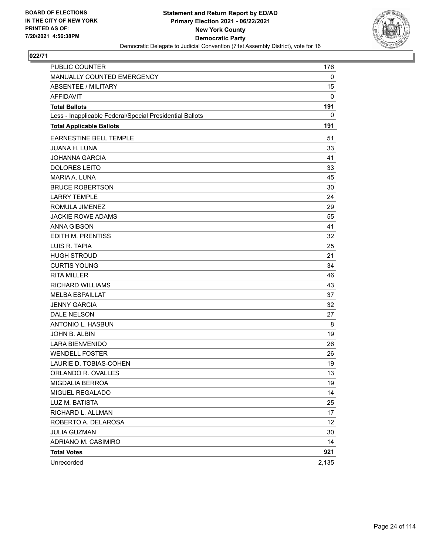

| PUBLIC COUNTER                                           | 176   |
|----------------------------------------------------------|-------|
| MANUALLY COUNTED EMERGENCY                               | 0     |
| <b>ABSENTEE / MILITARY</b>                               | 15    |
| <b>AFFIDAVIT</b>                                         | 0     |
| <b>Total Ballots</b>                                     | 191   |
| Less - Inapplicable Federal/Special Presidential Ballots | 0     |
| <b>Total Applicable Ballots</b>                          | 191   |
| EARNESTINE BELL TEMPLE                                   | 51    |
| <b>JUANA H. LUNA</b>                                     | 33    |
| <b>JOHANNA GARCIA</b>                                    | 41    |
| <b>DOLORES LEITO</b>                                     | 33    |
| <b>MARIA A. LUNA</b>                                     | 45    |
| <b>BRUCE ROBERTSON</b>                                   | 30    |
| <b>LARRY TEMPLE</b>                                      | 24    |
| ROMULA JIMENEZ                                           | 29    |
| <b>JACKIE ROWE ADAMS</b>                                 | 55    |
| <b>ANNA GIBSON</b>                                       | 41    |
| EDITH M. PRENTISS                                        | 32    |
| LUIS R. TAPIA                                            | 25    |
| <b>HUGH STROUD</b>                                       | 21    |
| <b>CURTIS YOUNG</b>                                      | 34    |
| <b>RITA MILLER</b>                                       | 46    |
| <b>RICHARD WILLIAMS</b>                                  | 43    |
| <b>MELBA ESPAILLAT</b>                                   | 37    |
| <b>JENNY GARCIA</b>                                      | 32    |
| DALE NELSON                                              | 27    |
| ANTONIO L. HASBUN                                        | 8     |
| JOHN B. ALBIN                                            | 19    |
| <b>LARA BIENVENIDO</b>                                   | 26    |
| <b>WENDELL FOSTER</b>                                    | 26    |
| LAURIE D. TOBIAS-COHEN                                   | 19    |
| ORLANDO R. OVALLES                                       | 13    |
| MIGDALIA BERROA                                          | 19    |
| MIGUEL REGALADO                                          | 14    |
| LUZ M. BATISTA                                           | 25    |
| RICHARD L. ALLMAN                                        | 17    |
| ROBERTO A. DELAROSA                                      | 12    |
| <b>JULIA GUZMAN</b>                                      | 30    |
| ADRIANO M. CASIMIRO                                      | 14    |
| <b>Total Votes</b>                                       | 921   |
| Unrecorded                                               | 2,135 |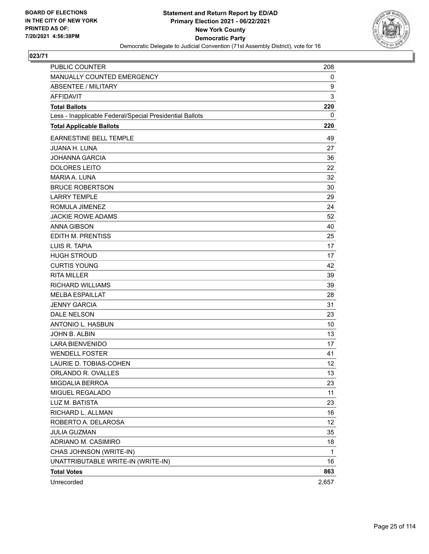

| PUBLIC COUNTER                                           | 208   |
|----------------------------------------------------------|-------|
| MANUALLY COUNTED EMERGENCY                               | 0     |
| <b>ABSENTEE / MILITARY</b>                               | 9     |
| <b>AFFIDAVIT</b>                                         | 3     |
| <b>Total Ballots</b>                                     | 220   |
| Less - Inapplicable Federal/Special Presidential Ballots | 0     |
| <b>Total Applicable Ballots</b>                          | 220   |
| EARNESTINE BELL TEMPLE                                   | 49    |
| <b>JUANA H. LUNA</b>                                     | 27    |
| <b>JOHANNA GARCIA</b>                                    | 36    |
| <b>DOLORES LEITO</b>                                     | 22    |
| MARIA A. LUNA                                            | 32    |
| <b>BRUCE ROBERTSON</b>                                   | 30    |
| <b>LARRY TEMPLE</b>                                      | 29    |
| ROMULA JIMENEZ                                           | 24    |
| <b>JACKIE ROWE ADAMS</b>                                 | 52    |
| <b>ANNA GIBSON</b>                                       | 40    |
| EDITH M. PRENTISS                                        | 25    |
| LUIS R. TAPIA                                            | 17    |
| <b>HUGH STROUD</b>                                       | 17    |
| <b>CURTIS YOUNG</b>                                      | 42    |
| <b>RITA MILLER</b>                                       | 39    |
| <b>RICHARD WILLIAMS</b>                                  | 39    |
| <b>MELBA ESPAILLAT</b>                                   | 28    |
| <b>JENNY GARCIA</b>                                      | 31    |
| <b>DALE NELSON</b>                                       | 23    |
| ANTONIO L. HASBUN                                        | 10    |
| JOHN B. ALBIN                                            | 13    |
| <b>LARA BIENVENIDO</b>                                   | 17    |
| <b>WENDELL FOSTER</b>                                    | 41    |
| LAURIE D. TOBIAS-COHEN                                   | 12    |
| ORLANDO R. OVALLES                                       | 13    |
| MIGDALIA BERROA                                          | 23    |
| MIGUEL REGALADO                                          | 11    |
| LUZ M. BATISTA                                           | 23    |
| RICHARD L. ALLMAN                                        | 16    |
| ROBERTO A. DELAROSA                                      | 12    |
| <b>JULIA GUZMAN</b>                                      | 35    |
| ADRIANO M. CASIMIRO                                      | 18    |
| CHAS JOHNSON (WRITE-IN)                                  | 1     |
| UNATTRIBUTABLE WRITE-IN (WRITE-IN)                       | 16    |
| <b>Total Votes</b>                                       | 863   |
| Unrecorded                                               | 2,657 |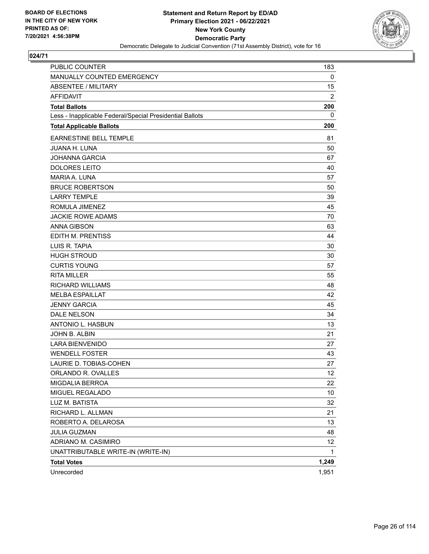

| PUBLIC COUNTER                                           | 183            |
|----------------------------------------------------------|----------------|
| MANUALLY COUNTED EMERGENCY                               | 0              |
| <b>ABSENTEE / MILITARY</b>                               | 15             |
| <b>AFFIDAVIT</b>                                         | $\overline{2}$ |
| <b>Total Ballots</b>                                     | 200            |
| Less - Inapplicable Federal/Special Presidential Ballots | 0              |
| <b>Total Applicable Ballots</b>                          | 200            |
| <b>EARNESTINE BELL TEMPLE</b>                            | 81             |
| <b>JUANA H. LUNA</b>                                     | 50             |
| <b>JOHANNA GARCIA</b>                                    | 67             |
| <b>DOLORES LEITO</b>                                     | 40             |
| <b>MARIA A. LUNA</b>                                     | 57             |
| <b>BRUCE ROBERTSON</b>                                   | 50             |
| <b>LARRY TEMPLE</b>                                      | 39             |
| ROMULA JIMENEZ                                           | 45             |
| <b>JACKIE ROWE ADAMS</b>                                 | 70             |
| <b>ANNA GIBSON</b>                                       | 63             |
| EDITH M. PRENTISS                                        | 44             |
| LUIS R. TAPIA                                            | 30             |
| <b>HUGH STROUD</b>                                       | 30             |
| <b>CURTIS YOUNG</b>                                      | 57             |
| <b>RITA MILLER</b>                                       | 55             |
| <b>RICHARD WILLIAMS</b>                                  | 48             |
| <b>MELBA ESPAILLAT</b>                                   | 42             |
| <b>JENNY GARCIA</b>                                      | 45             |
| DALE NELSON                                              | 34             |
| ANTONIO L. HASBUN                                        | 13             |
| JOHN B. ALBIN                                            | 21             |
| <b>LARA BIENVENIDO</b>                                   | 27             |
| <b>WENDELL FOSTER</b>                                    | 43             |
| LAURIE D. TOBIAS-COHEN                                   | 27             |
| ORLANDO R. OVALLES                                       | 12             |
| MIGDALIA BERROA                                          | 22             |
| MIGUEL REGALADO                                          | 10             |
| LUZ M. BATISTA                                           | 32             |
| RICHARD L. ALLMAN                                        | 21             |
| ROBERTO A. DELAROSA                                      | 13             |
| <b>JULIA GUZMAN</b>                                      | 48             |
| ADRIANO M. CASIMIRO                                      | 12             |
| UNATTRIBUTABLE WRITE-IN (WRITE-IN)                       | 1              |
| <b>Total Votes</b>                                       | 1,249          |
| Unrecorded                                               | 1,951          |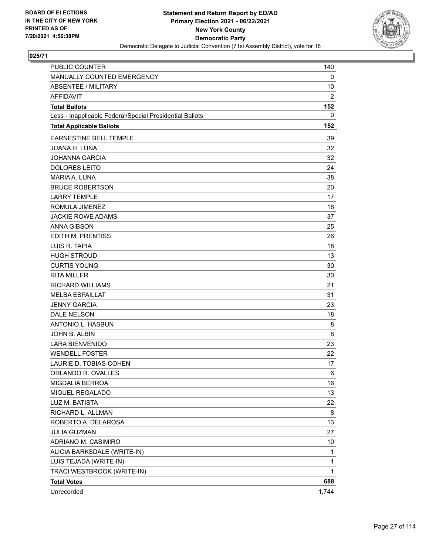

| <b>PUBLIC COUNTER</b>                                    | 140            |
|----------------------------------------------------------|----------------|
| MANUALLY COUNTED EMERGENCY                               | 0              |
| ABSENTEE / MILITARY                                      | 10             |
| <b>AFFIDAVIT</b>                                         | $\overline{c}$ |
| <b>Total Ballots</b>                                     | 152            |
| Less - Inapplicable Federal/Special Presidential Ballots | 0              |
| <b>Total Applicable Ballots</b>                          | 152            |
| EARNESTINE BELL TEMPLE                                   | 39             |
| <b>JUANA H. LUNA</b>                                     | 32             |
| <b>JOHANNA GARCIA</b>                                    | 32             |
| <b>DOLORES LEITO</b>                                     | 24             |
| MARIA A. LUNA                                            | 38             |
| <b>BRUCE ROBERTSON</b>                                   | 20             |
| <b>LARRY TEMPLE</b>                                      | 17             |
| ROMULA JIMENEZ                                           | 18             |
| <b>JACKIE ROWE ADAMS</b>                                 | 37             |
| <b>ANNA GIBSON</b>                                       | 25             |
| EDITH M. PRENTISS                                        | 26             |
| LUIS R. TAPIA                                            | 18             |
| <b>HUGH STROUD</b>                                       | 13             |
| <b>CURTIS YOUNG</b>                                      | 30             |
| <b>RITA MILLER</b>                                       | 30             |
| <b>RICHARD WILLIAMS</b>                                  | 21             |
| <b>MELBA ESPAILLAT</b>                                   | 31             |
| <b>JENNY GARCIA</b>                                      | 23             |
| <b>DALE NELSON</b>                                       | 18             |
| ANTONIO L. HASBUN                                        | 8              |
| JOHN B. ALBIN                                            | 8              |
| <b>LARA BIENVENIDO</b>                                   | 23             |
| <b>WENDELL FOSTER</b>                                    | 22             |
| LAURIE D. TOBIAS-COHEN                                   | 17             |
| ORLANDO R. OVALLES                                       | 6              |
| MIGDALIA BERROA                                          | 16             |
| MIGUEL REGALADO                                          | 13             |
| LUZ M. BATISTA                                           | 22             |
| RICHARD L. ALLMAN                                        | 8              |
| ROBERTO A. DELAROSA                                      | 13             |
| <b>JULIA GUZMAN</b>                                      | 27             |
| ADRIANO M. CASIMIRO                                      | 10             |
| ALICIA BARKSDALE (WRITE-IN)                              | 1              |
| LUIS TEJADA (WRITE-IN)                                   | 1              |
| TRACI WESTBROOK (WRITE-IN)                               | $\mathbf{1}$   |
| <b>Total Votes</b>                                       | 688            |
| Unrecorded                                               | 1,744          |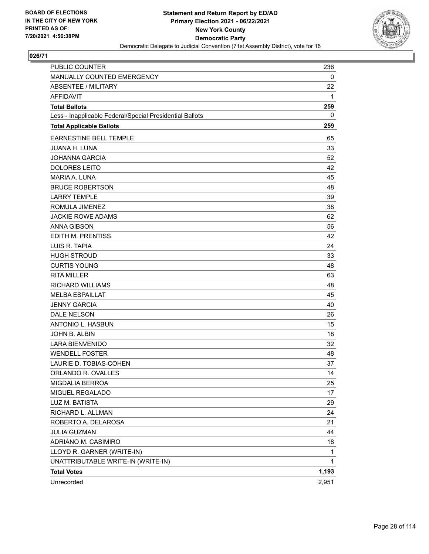

| PUBLIC COUNTER                                           | 236   |
|----------------------------------------------------------|-------|
| MANUALLY COUNTED EMERGENCY                               | 0     |
| ABSENTEE / MILITARY                                      | 22    |
| <b>AFFIDAVIT</b>                                         | 1     |
| <b>Total Ballots</b>                                     | 259   |
| Less - Inapplicable Federal/Special Presidential Ballots | 0     |
| <b>Total Applicable Ballots</b>                          | 259   |
| EARNESTINE BELL TEMPLE                                   | 65    |
| <b>JUANA H. LUNA</b>                                     | 33    |
| <b>JOHANNA GARCIA</b>                                    | 52    |
| <b>DOLORES LEITO</b>                                     | 42    |
| <b>MARIA A. LUNA</b>                                     | 45    |
| <b>BRUCE ROBERTSON</b>                                   | 48    |
| <b>LARRY TEMPLE</b>                                      | 39    |
| ROMULA JIMENEZ                                           | 38    |
| <b>JACKIE ROWE ADAMS</b>                                 | 62    |
| <b>ANNA GIBSON</b>                                       | 56    |
| EDITH M. PRENTISS                                        | 42    |
| LUIS R. TAPIA                                            | 24    |
| <b>HUGH STROUD</b>                                       | 33    |
| <b>CURTIS YOUNG</b>                                      | 48    |
| <b>RITA MILLER</b>                                       | 63    |
| <b>RICHARD WILLIAMS</b>                                  | 48    |
| <b>MELBA ESPAILLAT</b>                                   | 45    |
| <b>JENNY GARCIA</b>                                      | 40    |
| DALE NELSON                                              | 26    |
| ANTONIO L. HASBUN                                        | 15    |
| JOHN B. ALBIN                                            | 18    |
| <b>LARA BIENVENIDO</b>                                   | 32    |
| <b>WENDELL FOSTER</b>                                    | 48    |
| LAURIE D. TOBIAS-COHEN                                   | 37    |
| ORLANDO R. OVALLES                                       | 14    |
| MIGDALIA BERROA                                          | 25    |
| MIGUEL REGALADO                                          | 17    |
| LUZ M. BATISTA                                           | 29    |
| RICHARD L. ALLMAN                                        | 24    |
| ROBERTO A. DELAROSA                                      | 21    |
| <b>JULIA GUZMAN</b>                                      | 44    |
| ADRIANO M. CASIMIRO                                      | 18    |
| LLOYD R. GARNER (WRITE-IN)                               | 1     |
| UNATTRIBUTABLE WRITE-IN (WRITE-IN)                       | 1     |
| <b>Total Votes</b>                                       | 1,193 |
| Unrecorded                                               | 2,951 |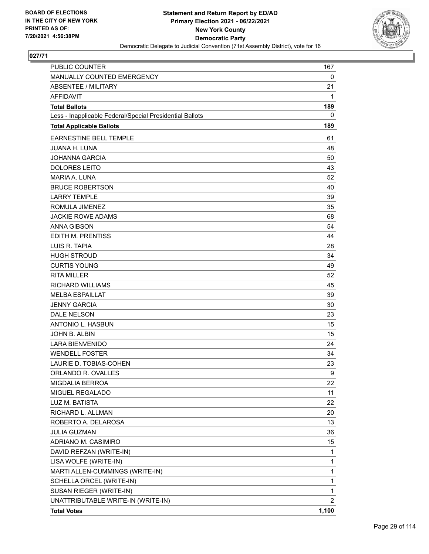

| <b>PUBLIC COUNTER</b>                                    | 167            |
|----------------------------------------------------------|----------------|
| MANUALLY COUNTED EMERGENCY                               | 0              |
| <b>ABSENTEE / MILITARY</b>                               | 21             |
| <b>AFFIDAVIT</b>                                         | 1              |
| <b>Total Ballots</b>                                     | 189            |
| Less - Inapplicable Federal/Special Presidential Ballots | 0              |
| <b>Total Applicable Ballots</b>                          | 189            |
| <b>EARNESTINE BELL TEMPLE</b>                            | 61             |
| <b>JUANA H. LUNA</b>                                     | 48             |
| <b>JOHANNA GARCIA</b>                                    | 50             |
| <b>DOLORES LEITO</b>                                     | 43             |
| MARIA A. LUNA                                            | 52             |
| <b>BRUCE ROBERTSON</b>                                   | 40             |
| <b>LARRY TEMPLE</b>                                      | 39             |
| ROMULA JIMENEZ                                           | 35             |
| <b>JACKIE ROWE ADAMS</b>                                 | 68             |
| <b>ANNA GIBSON</b>                                       | 54             |
| EDITH M. PRENTISS                                        | 44             |
| LUIS R. TAPIA                                            | 28             |
| <b>HUGH STROUD</b>                                       | 34             |
| <b>CURTIS YOUNG</b>                                      | 49             |
| <b>RITA MILLER</b>                                       | 52             |
| <b>RICHARD WILLIAMS</b>                                  | 45             |
| <b>MELBA ESPAILLAT</b>                                   | 39             |
| <b>JENNY GARCIA</b>                                      | 30             |
| <b>DALE NELSON</b>                                       | 23             |
| ANTONIO L. HASBUN                                        | 15             |
| JOHN B. ALBIN                                            | 15             |
| <b>LARA BIENVENIDO</b>                                   | 24             |
| <b>WENDELL FOSTER</b>                                    | 34             |
| LAURIE D. TOBIAS-COHEN                                   | 23             |
| ORLANDO R. OVALLES                                       | 9              |
| <b>MIGDALIA BERROA</b>                                   | 22             |
| MIGUEL REGALADO                                          | 11             |
| LUZ M. BATISTA                                           | 22             |
| RICHARD L. ALLMAN                                        | 20             |
| ROBERTO A. DELAROSA                                      | 13             |
| <b>JULIA GUZMAN</b>                                      | 36             |
| ADRIANO M. CASIMIRO                                      | 15             |
| DAVID REFZAN (WRITE-IN)                                  | 1              |
| LISA WOLFE (WRITE-IN)                                    | $\mathbf{1}$   |
| MARTI ALLEN-CUMMINGS (WRITE-IN)                          | 1              |
| SCHELLA ORCEL (WRITE-IN)                                 | 1              |
| SUSAN RIEGER (WRITE-IN)                                  | 1              |
| UNATTRIBUTABLE WRITE-IN (WRITE-IN)                       | $\overline{2}$ |
| <b>Total Votes</b>                                       | 1,100          |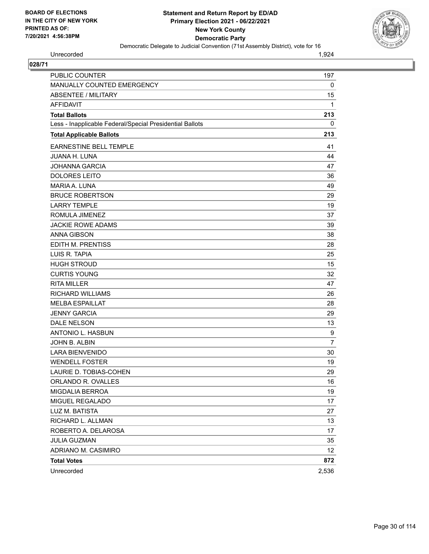

Unrecorded 1,924

| PUBLIC COUNTER                                           | 197            |
|----------------------------------------------------------|----------------|
| MANUALLY COUNTED EMERGENCY                               | $\mathbf 0$    |
| ABSENTEE / MILITARY                                      | 15             |
| <b>AFFIDAVIT</b>                                         | 1              |
| <b>Total Ballots</b>                                     | 213            |
| Less - Inapplicable Federal/Special Presidential Ballots | 0              |
| <b>Total Applicable Ballots</b>                          | 213            |
| <b>EARNESTINE BELL TEMPLE</b>                            | 41             |
| JUANA H. LUNA                                            | 44             |
| JOHANNA GARCIA                                           | 47             |
| <b>DOLORES LEITO</b>                                     | 36             |
| MARIA A. LUNA                                            | 49             |
| <b>BRUCE ROBERTSON</b>                                   | 29             |
| <b>LARRY TEMPLE</b>                                      | 19             |
| ROMULA JIMENEZ                                           | 37             |
| <b>JACKIE ROWE ADAMS</b>                                 | 39             |
| <b>ANNA GIBSON</b>                                       | 38             |
| EDITH M. PRENTISS                                        | 28             |
| LUIS R. TAPIA                                            | 25             |
| <b>HUGH STROUD</b>                                       | 15             |
| <b>CURTIS YOUNG</b>                                      | 32             |
| <b>RITA MILLER</b>                                       | 47             |
| <b>RICHARD WILLIAMS</b>                                  | 26             |
| <b>MELBA ESPAILLAT</b>                                   | 28             |
| <b>JENNY GARCIA</b>                                      | 29             |
| <b>DALE NELSON</b>                                       | 13             |
| ANTONIO L. HASBUN                                        | 9              |
| JOHN B. ALBIN                                            | $\overline{7}$ |
| <b>LARA BIENVENIDO</b>                                   | 30             |
| <b>WENDELL FOSTER</b>                                    | 19             |
| LAURIE D. TOBIAS-COHEN                                   | 29             |
| ORLANDO R. OVALLES                                       | 16             |
| <b>MIGDALIA BERROA</b>                                   | 19             |
| MIGUEL REGALADO                                          | 17             |
| LUZ M. BATISTA                                           | 27             |
| RICHARD L. ALLMAN                                        | 13             |
| ROBERTO A. DELAROSA                                      | 17             |
| <b>JULIA GUZMAN</b>                                      | 35             |
| ADRIANO M. CASIMIRO                                      | 12             |
| <b>Total Votes</b>                                       | 872            |
| Unrecorded                                               | 2,536          |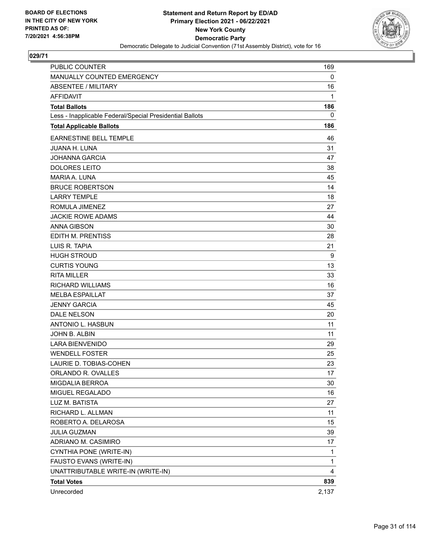

| <b>PUBLIC COUNTER</b>                                    | 169          |
|----------------------------------------------------------|--------------|
| MANUALLY COUNTED EMERGENCY                               | 0            |
| ABSENTEE / MILITARY                                      | 16           |
| <b>AFFIDAVIT</b>                                         | 1            |
| <b>Total Ballots</b>                                     | 186          |
| Less - Inapplicable Federal/Special Presidential Ballots | 0            |
| <b>Total Applicable Ballots</b>                          | 186          |
| <b>EARNESTINE BELL TEMPLE</b>                            | 46           |
| <b>JUANA H. LUNA</b>                                     | 31           |
| <b>JOHANNA GARCIA</b>                                    | 47           |
| <b>DOLORES LEITO</b>                                     | 38           |
| <b>MARIA A. LUNA</b>                                     | 45           |
| <b>BRUCE ROBERTSON</b>                                   | 14           |
| <b>LARRY TEMPLE</b>                                      | 18           |
| ROMULA JIMENEZ                                           | 27           |
| <b>JACKIE ROWE ADAMS</b>                                 | 44           |
| <b>ANNA GIBSON</b>                                       | 30           |
| <b>EDITH M. PRENTISS</b>                                 | 28           |
| LUIS R. TAPIA                                            | 21           |
| <b>HUGH STROUD</b>                                       | 9            |
| <b>CURTIS YOUNG</b>                                      | 13           |
| <b>RITA MILLER</b>                                       | 33           |
| <b>RICHARD WILLIAMS</b>                                  | 16           |
| <b>MELBA ESPAILLAT</b>                                   | 37           |
| <b>JENNY GARCIA</b>                                      | 45           |
| <b>DALE NELSON</b>                                       | 20           |
| ANTONIO L. HASBUN                                        | 11           |
| JOHN B. ALBIN                                            | 11           |
| <b>LARA BIENVENIDO</b>                                   | 29           |
| <b>WENDELL FOSTER</b>                                    | 25           |
| LAURIE D. TOBIAS-COHEN                                   | 23           |
| ORLANDO R. OVALLES                                       | 17           |
| <b>MIGDALIA BERROA</b>                                   | 30           |
| MIGUEL REGALADO                                          | 16           |
| LUZ M. BATISTA                                           | 27           |
| RICHARD L. ALLMAN                                        | 11           |
| ROBERTO A. DELAROSA                                      | 15           |
| <b>JULIA GUZMAN</b>                                      | 39           |
| ADRIANO M. CASIMIRO                                      | 17           |
| CYNTHIA PONE (WRITE-IN)                                  | 1            |
| FAUSTO EVANS (WRITE-IN)                                  | $\mathbf{1}$ |
| UNATTRIBUTABLE WRITE-IN (WRITE-IN)                       | 4            |
| <b>Total Votes</b>                                       | 839          |
| Unrecorded                                               | 2,137        |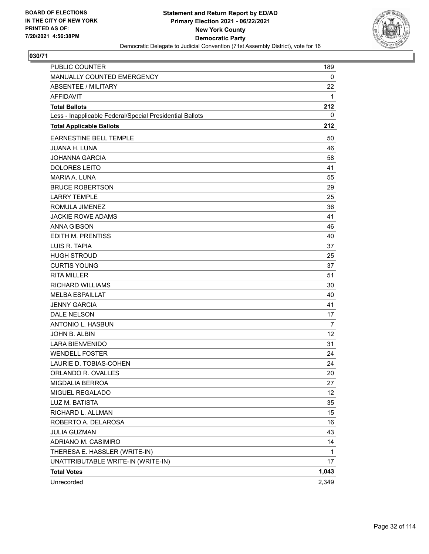

| PUBLIC COUNTER                                           | 189   |
|----------------------------------------------------------|-------|
| MANUALLY COUNTED EMERGENCY                               | 0     |
| <b>ABSENTEE / MILITARY</b>                               | 22    |
| <b>AFFIDAVIT</b>                                         | 1     |
| <b>Total Ballots</b>                                     | 212   |
| Less - Inapplicable Federal/Special Presidential Ballots | 0     |
| <b>Total Applicable Ballots</b>                          | 212   |
| EARNESTINE BELL TEMPLE                                   | 50    |
| <b>JUANA H. LUNA</b>                                     | 46    |
| <b>JOHANNA GARCIA</b>                                    | 58    |
| <b>DOLORES LEITO</b>                                     | 41    |
| MARIA A. LUNA                                            | 55    |
| <b>BRUCE ROBERTSON</b>                                   | 29    |
| <b>LARRY TEMPLE</b>                                      | 25    |
| ROMULA JIMENEZ                                           | 36    |
| <b>JACKIE ROWE ADAMS</b>                                 | 41    |
| <b>ANNA GIBSON</b>                                       | 46    |
| EDITH M. PRENTISS                                        | 40    |
| LUIS R. TAPIA                                            | 37    |
| <b>HUGH STROUD</b>                                       | 25    |
| <b>CURTIS YOUNG</b>                                      | 37    |
| <b>RITA MILLER</b>                                       | 51    |
| <b>RICHARD WILLIAMS</b>                                  | 30    |
| <b>MELBA ESPAILLAT</b>                                   | 40    |
| <b>JENNY GARCIA</b>                                      | 41    |
| <b>DALE NELSON</b>                                       | 17    |
| ANTONIO L. HASBUN                                        | 7     |
| JOHN B. ALBIN                                            | 12    |
| <b>LARA BIENVENIDO</b>                                   | 31    |
| <b>WENDELL FOSTER</b>                                    | 24    |
| LAURIE D. TOBIAS-COHEN                                   | 24    |
| ORLANDO R. OVALLES                                       | 20    |
| MIGDALIA BERROA                                          | 27    |
| MIGUEL REGALADO                                          | 12    |
| LUZ M. BATISTA                                           | 35    |
| RICHARD L. ALLMAN                                        | 15    |
| ROBERTO A. DELAROSA                                      | 16    |
| JULIA GUZMAN                                             | 43    |
| ADRIANO M. CASIMIRO                                      | 14    |
| THERESA E. HASSLER (WRITE-IN)                            | 1     |
| UNATTRIBUTABLE WRITE-IN (WRITE-IN)                       | 17    |
| <b>Total Votes</b>                                       | 1,043 |
| Unrecorded                                               | 2,349 |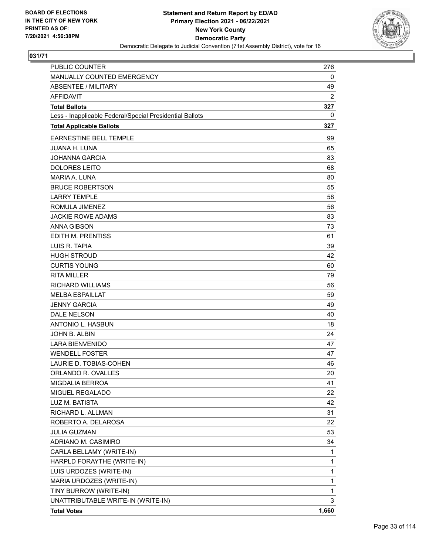

| <b>PUBLIC COUNTER</b>                                    | 276            |
|----------------------------------------------------------|----------------|
| MANUALLY COUNTED EMERGENCY                               | 0              |
| <b>ABSENTEE / MILITARY</b>                               | 49             |
| <b>AFFIDAVIT</b>                                         | $\overline{2}$ |
| <b>Total Ballots</b>                                     | 327            |
| Less - Inapplicable Federal/Special Presidential Ballots | 0              |
| <b>Total Applicable Ballots</b>                          | 327            |
| <b>EARNESTINE BELL TEMPLE</b>                            | 99             |
| <b>JUANA H. LUNA</b>                                     | 65             |
| <b>JOHANNA GARCIA</b>                                    | 83             |
| <b>DOLORES LEITO</b>                                     | 68             |
| MARIA A. LUNA                                            | 80             |
| <b>BRUCE ROBERTSON</b>                                   | 55             |
| <b>LARRY TEMPLE</b>                                      | 58             |
| ROMULA JIMENEZ                                           | 56             |
| <b>JACKIE ROWE ADAMS</b>                                 | 83             |
| <b>ANNA GIBSON</b>                                       | 73             |
| EDITH M. PRENTISS                                        | 61             |
| LUIS R. TAPIA                                            | 39             |
| <b>HUGH STROUD</b>                                       | 42             |
| <b>CURTIS YOUNG</b>                                      | 60             |
| <b>RITA MILLER</b>                                       | 79             |
| <b>RICHARD WILLIAMS</b>                                  | 56             |
| <b>MELBA ESPAILLAT</b>                                   | 59             |
| <b>JENNY GARCIA</b>                                      | 49             |
| <b>DALE NELSON</b>                                       | 40             |
| ANTONIO L. HASBUN                                        | 18             |
| JOHN B. ALBIN                                            | 24             |
| <b>LARA BIENVENIDO</b>                                   | 47             |
| <b>WENDELL FOSTER</b>                                    | 47             |
| LAURIE D. TOBIAS-COHEN                                   | 46             |
| ORLANDO R. OVALLES                                       | 20             |
| MIGDALIA BERROA                                          | 41             |
| MIGUEL REGALADO                                          | 22             |
| LUZ M. BATISTA                                           | 42             |
| RICHARD L. ALLMAN                                        | 31             |
| ROBERTO A. DELAROSA                                      | 22             |
| JULIA GUZMAN                                             | 53             |
| ADRIANO M. CASIMIRO                                      | 34             |
| CARLA BELLAMY (WRITE-IN)                                 | 1              |
| HARPLD FORAYTHE (WRITE-IN)                               | 1              |
| LUIS URDOZES (WRITE-IN)                                  | 1              |
| MARIA URDOZES (WRITE-IN)                                 | 1              |
| TINY BURROW (WRITE-IN)                                   | 1              |
| UNATTRIBUTABLE WRITE-IN (WRITE-IN)                       | 3              |
| <b>Total Votes</b>                                       | 1,660          |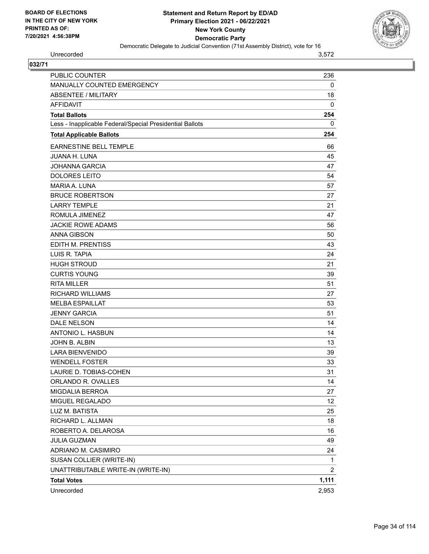

Unrecorded 3,572

| PUBLIC COUNTER                                           | 236             |
|----------------------------------------------------------|-----------------|
| MANUALLY COUNTED EMERGENCY                               | 0               |
| <b>ABSENTEE / MILITARY</b>                               | 18              |
| <b>AFFIDAVIT</b>                                         | $\mathbf 0$     |
| <b>Total Ballots</b>                                     | 254             |
| Less - Inapplicable Federal/Special Presidential Ballots | 0               |
| <b>Total Applicable Ballots</b>                          | 254             |
| <b>EARNESTINE BELL TEMPLE</b>                            | 66              |
| <b>JUANA H. LUNA</b>                                     | 45              |
| JOHANNA GARCIA                                           | 47              |
| <b>DOLORES LEITO</b>                                     | 54              |
| <b>MARIA A. LUNA</b>                                     | 57              |
| <b>BRUCE ROBERTSON</b>                                   | 27              |
| <b>LARRY TEMPLE</b>                                      | 21              |
| ROMULA JIMENEZ                                           | 47              |
| <b>JACKIE ROWE ADAMS</b>                                 | 56              |
| <b>ANNA GIBSON</b>                                       | 50              |
| <b>EDITH M. PRENTISS</b>                                 | 43              |
| LUIS R. TAPIA                                            | 24              |
| <b>HUGH STROUD</b>                                       | 21              |
| <b>CURTIS YOUNG</b>                                      | 39              |
| <b>RITA MILLER</b>                                       | 51              |
| <b>RICHARD WILLIAMS</b>                                  | 27              |
| <b>MELBA ESPAILLAT</b>                                   | 53              |
| <b>JENNY GARCIA</b>                                      | 51              |
| <b>DALE NELSON</b>                                       | 14              |
| ANTONIO L. HASBUN                                        | 14              |
| JOHN B. ALBIN                                            | 13              |
| <b>LARA BIENVENIDO</b>                                   | 39              |
| <b>WENDELL FOSTER</b>                                    | 33              |
| LAURIE D. TOBIAS-COHEN                                   | 31              |
| ORLANDO R. OVALLES                                       | 14              |
| <b>MIGDALIA BERROA</b>                                   | 27              |
| MIGUEL REGALADO                                          | 12 <sup>°</sup> |
| LUZ M. BATISTA                                           | 25              |
| RICHARD L. ALLMAN                                        | 18              |
| ROBERTO A. DELAROSA                                      | 16              |
| <b>JULIA GUZMAN</b>                                      | 49              |
| ADRIANO M. CASIMIRO                                      | 24              |
| SUSAN COLLIER (WRITE-IN)                                 | $\mathbf{1}$    |
| UNATTRIBUTABLE WRITE-IN (WRITE-IN)                       | $\overline{2}$  |
| <b>Total Votes</b>                                       | 1,111           |
| Unrecorded                                               | 2,953           |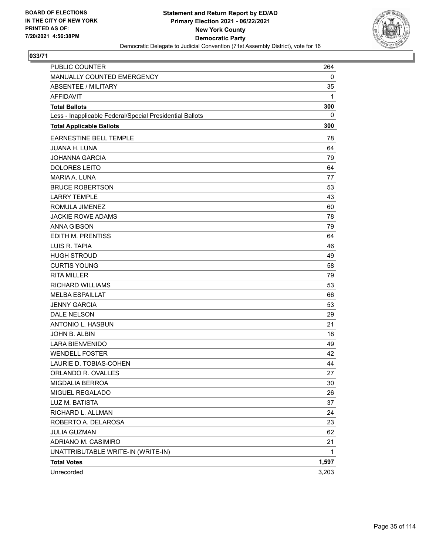

| PUBLIC COUNTER                                           | 264   |
|----------------------------------------------------------|-------|
| MANUALLY COUNTED EMERGENCY                               | 0     |
| <b>ABSENTEE / MILITARY</b>                               | 35    |
| <b>AFFIDAVIT</b>                                         | 1     |
| <b>Total Ballots</b>                                     | 300   |
| Less - Inapplicable Federal/Special Presidential Ballots | 0     |
| <b>Total Applicable Ballots</b>                          | 300   |
| EARNESTINE BELL TEMPLE                                   | 78    |
| <b>JUANA H. LUNA</b>                                     | 64    |
| <b>JOHANNA GARCIA</b>                                    | 79    |
| <b>DOLORES LEITO</b>                                     | 64    |
| <b>MARIA A. LUNA</b>                                     | 77    |
| <b>BRUCE ROBERTSON</b>                                   | 53    |
| <b>LARRY TEMPLE</b>                                      | 43    |
| ROMULA JIMENEZ                                           | 60    |
| <b>JACKIE ROWE ADAMS</b>                                 | 78    |
| <b>ANNA GIBSON</b>                                       | 79    |
| EDITH M. PRENTISS                                        | 64    |
| LUIS R. TAPIA                                            | 46    |
| <b>HUGH STROUD</b>                                       | 49    |
| <b>CURTIS YOUNG</b>                                      | 58    |
| <b>RITA MILLER</b>                                       | 79    |
| <b>RICHARD WILLIAMS</b>                                  | 53    |
| <b>MELBA ESPAILLAT</b>                                   | 66    |
| <b>JENNY GARCIA</b>                                      | 53    |
| DALE NELSON                                              | 29    |
| ANTONIO L. HASBUN                                        | 21    |
| JOHN B. ALBIN                                            | 18    |
| <b>LARA BIENVENIDO</b>                                   | 49    |
| <b>WENDELL FOSTER</b>                                    | 42    |
| LAURIE D. TOBIAS-COHEN                                   | 44    |
| ORLANDO R. OVALLES                                       | 27    |
| MIGDALIA BERROA                                          | 30    |
| MIGUEL REGALADO                                          | 26    |
| LUZ M. BATISTA                                           | 37    |
| RICHARD L. ALLMAN                                        | 24    |
| ROBERTO A. DELAROSA                                      | 23    |
| <b>JULIA GUZMAN</b>                                      | 62    |
| ADRIANO M. CASIMIRO                                      | 21    |
| UNATTRIBUTABLE WRITE-IN (WRITE-IN)                       | 1     |
| <b>Total Votes</b>                                       | 1,597 |
| Unrecorded                                               | 3,203 |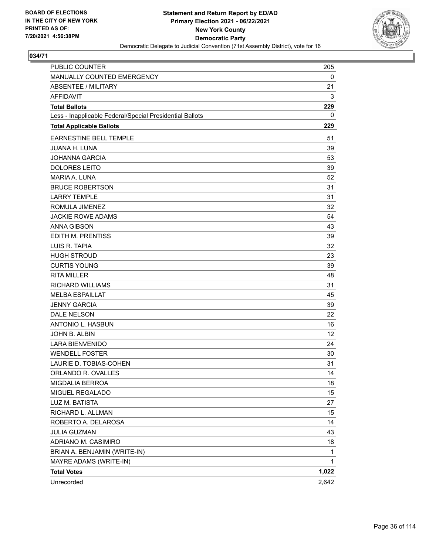

| <b>PUBLIC COUNTER</b>                                    | 205   |
|----------------------------------------------------------|-------|
| MANUALLY COUNTED EMERGENCY                               | 0     |
| ABSENTEE / MILITARY                                      | 21    |
| <b>AFFIDAVIT</b>                                         | 3     |
| <b>Total Ballots</b>                                     | 229   |
| Less - Inapplicable Federal/Special Presidential Ballots | 0     |
| <b>Total Applicable Ballots</b>                          | 229   |
| EARNESTINE BELL TEMPLE                                   | 51    |
| <b>JUANA H. LUNA</b>                                     | 39    |
| <b>JOHANNA GARCIA</b>                                    | 53    |
| <b>DOLORES LEITO</b>                                     | 39    |
| MARIA A. LUNA                                            | 52    |
| <b>BRUCE ROBERTSON</b>                                   | 31    |
| <b>LARRY TEMPLE</b>                                      | 31    |
| ROMULA JIMENEZ                                           | 32    |
| <b>JACKIE ROWE ADAMS</b>                                 | 54    |
| <b>ANNA GIBSON</b>                                       | 43    |
| EDITH M. PRENTISS                                        | 39    |
| LUIS R. TAPIA                                            | 32    |
| <b>HUGH STROUD</b>                                       | 23    |
| <b>CURTIS YOUNG</b>                                      | 39    |
| <b>RITA MILLER</b>                                       | 48    |
| <b>RICHARD WILLIAMS</b>                                  | 31    |
| <b>MELBA ESPAILLAT</b>                                   | 45    |
| <b>JENNY GARCIA</b>                                      | 39    |
| <b>DALE NELSON</b>                                       | 22    |
| ANTONIO L. HASBUN                                        | 16    |
| JOHN B. ALBIN                                            | 12    |
| <b>LARA BIENVENIDO</b>                                   | 24    |
| <b>WENDELL FOSTER</b>                                    | 30    |
| LAURIE D. TOBIAS-COHEN                                   | 31    |
| ORLANDO R. OVALLES                                       | 14    |
| MIGDALIA BERROA                                          | 18    |
| MIGUEL REGALADO                                          | 15    |
| LUZ M. BATISTA                                           | 27    |
| RICHARD L. ALLMAN                                        | 15    |
| ROBERTO A. DELAROSA                                      | 14    |
| <b>JULIA GUZMAN</b>                                      | 43    |
| ADRIANO M. CASIMIRO                                      | 18    |
| BRIAN A. BENJAMIN (WRITE-IN)                             | 1     |
| MAYRE ADAMS (WRITE-IN)                                   | 1     |
| <b>Total Votes</b>                                       | 1,022 |
| Unrecorded                                               | 2,642 |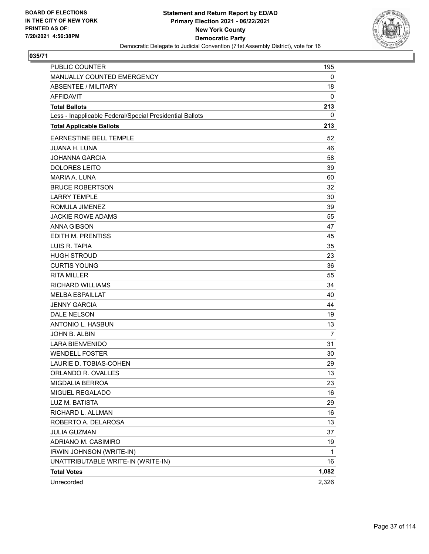

| PUBLIC COUNTER                                           | 195            |
|----------------------------------------------------------|----------------|
| MANUALLY COUNTED EMERGENCY                               | 0              |
| <b>ABSENTEE / MILITARY</b>                               | 18             |
| <b>AFFIDAVIT</b>                                         | 0              |
| <b>Total Ballots</b>                                     | 213            |
| Less - Inapplicable Federal/Special Presidential Ballots | 0              |
| <b>Total Applicable Ballots</b>                          | 213            |
| <b>EARNESTINE BELL TEMPLE</b>                            | 52             |
| <b>JUANA H. LUNA</b>                                     | 46             |
| <b>JOHANNA GARCIA</b>                                    | 58             |
| <b>DOLORES LEITO</b>                                     | 39             |
| MARIA A. LUNA                                            | 60             |
| <b>BRUCE ROBERTSON</b>                                   | 32             |
| <b>LARRY TEMPLE</b>                                      | 30             |
| ROMULA JIMENEZ                                           | 39             |
| <b>JACKIE ROWE ADAMS</b>                                 | 55             |
| <b>ANNA GIBSON</b>                                       | 47             |
| <b>EDITH M. PRENTISS</b>                                 | 45             |
| LUIS R. TAPIA                                            | 35             |
| <b>HUGH STROUD</b>                                       | 23             |
| <b>CURTIS YOUNG</b>                                      | 36             |
| <b>RITA MILLER</b>                                       | 55             |
| <b>RICHARD WILLIAMS</b>                                  | 34             |
| <b>MELBA ESPAILLAT</b>                                   | 40             |
| <b>JENNY GARCIA</b>                                      | 44             |
| <b>DALE NELSON</b>                                       | 19             |
| ANTONIO L. HASBUN                                        | 13             |
| JOHN B. ALBIN                                            | $\overline{7}$ |
| <b>LARA BIENVENIDO</b>                                   | 31             |
| <b>WENDELL FOSTER</b>                                    | 30             |
| LAURIE D. TOBIAS-COHEN                                   | 29             |
| ORLANDO R. OVALLES                                       | 13             |
| MIGDALIA BERROA                                          | 23             |
| MIGUEL REGALADO                                          | 16             |
| LUZ M. BATISTA                                           | 29             |
| RICHARD L. ALLMAN                                        | 16             |
| ROBERTO A. DELAROSA                                      | 13             |
| <b>JULIA GUZMAN</b>                                      | 37             |
| ADRIANO M. CASIMIRO                                      | 19             |
| IRWIN JOHNSON (WRITE-IN)                                 | 1              |
| UNATTRIBUTABLE WRITE-IN (WRITE-IN)                       | 16             |
| <b>Total Votes</b>                                       | 1,082          |
| Unrecorded                                               | 2,326          |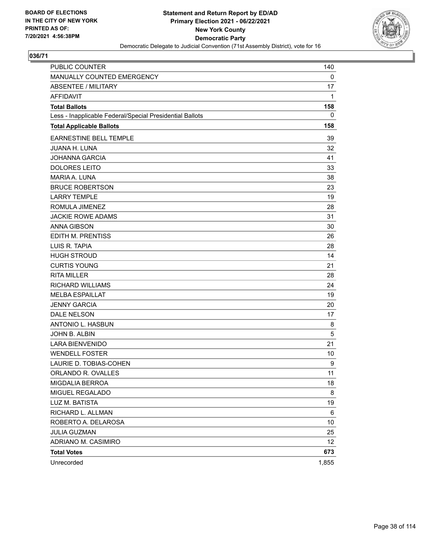

| PUBLIC COUNTER                                           | 140         |
|----------------------------------------------------------|-------------|
| MANUALLY COUNTED EMERGENCY                               | 0           |
| <b>ABSENTEE / MILITARY</b>                               | 17          |
| <b>AFFIDAVIT</b>                                         | 1           |
| <b>Total Ballots</b>                                     | 158         |
| Less - Inapplicable Federal/Special Presidential Ballots | $\mathbf 0$ |
| <b>Total Applicable Ballots</b>                          | 158         |
| EARNESTINE BELL TEMPLE                                   | 39          |
| <b>JUANA H. LUNA</b>                                     | 32          |
| <b>JOHANNA GARCIA</b>                                    | 41          |
| <b>DOLORES LEITO</b>                                     | 33          |
| <b>MARIA A. LUNA</b>                                     | 38          |
| <b>BRUCE ROBERTSON</b>                                   | 23          |
| <b>LARRY TEMPLE</b>                                      | 19          |
| ROMULA JIMENEZ                                           | 28          |
| <b>JACKIE ROWE ADAMS</b>                                 | 31          |
| <b>ANNA GIBSON</b>                                       | 30          |
| EDITH M. PRENTISS                                        | 26          |
| LUIS R. TAPIA                                            | 28          |
| <b>HUGH STROUD</b>                                       | 14          |
| <b>CURTIS YOUNG</b>                                      | 21          |
| <b>RITA MILLER</b>                                       | 28          |
| <b>RICHARD WILLIAMS</b>                                  | 24          |
| <b>MELBA ESPAILLAT</b>                                   | 19          |
| <b>JENNY GARCIA</b>                                      | 20          |
| DALE NELSON                                              | 17          |
| ANTONIO L. HASBUN                                        | 8           |
| JOHN B. ALBIN                                            | 5           |
| <b>LARA BIENVENIDO</b>                                   | 21          |
| <b>WENDELL FOSTER</b>                                    | 10          |
| LAURIE D. TOBIAS-COHEN                                   | 9           |
| ORLANDO R. OVALLES                                       | 11          |
| MIGDALIA BERROA                                          | 18          |
| MIGUEL REGALADO                                          | 8           |
| LUZ M. BATISTA                                           | 19          |
| RICHARD L. ALLMAN                                        | 6           |
| ROBERTO A. DELAROSA                                      | 10          |
| <b>JULIA GUZMAN</b>                                      | 25          |
| ADRIANO M. CASIMIRO                                      | 12          |
| <b>Total Votes</b>                                       | 673         |
| Unrecorded                                               | 1,855       |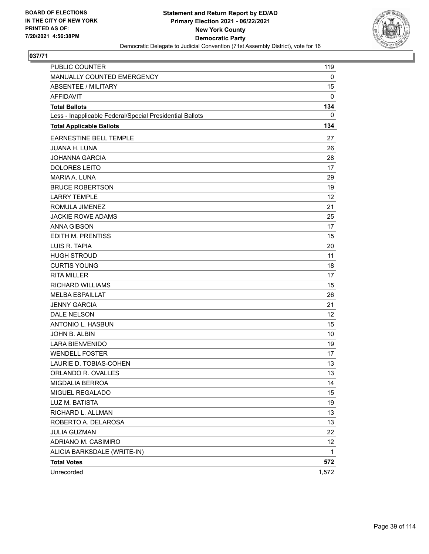

| PUBLIC COUNTER                                           | 119   |
|----------------------------------------------------------|-------|
| MANUALLY COUNTED EMERGENCY                               | 0     |
| <b>ABSENTEE / MILITARY</b>                               | 15    |
| <b>AFFIDAVIT</b>                                         | 0     |
| <b>Total Ballots</b>                                     | 134   |
| Less - Inapplicable Federal/Special Presidential Ballots | 0     |
| <b>Total Applicable Ballots</b>                          | 134   |
| EARNESTINE BELL TEMPLE                                   | 27    |
| <b>JUANA H. LUNA</b>                                     | 26    |
| <b>JOHANNA GARCIA</b>                                    | 28    |
| <b>DOLORES LEITO</b>                                     | 17    |
| <b>MARIA A. LUNA</b>                                     | 29    |
| <b>BRUCE ROBERTSON</b>                                   | 19    |
| <b>LARRY TEMPLE</b>                                      | 12    |
| ROMULA JIMENEZ                                           | 21    |
| <b>JACKIE ROWE ADAMS</b>                                 | 25    |
| <b>ANNA GIBSON</b>                                       | 17    |
| EDITH M. PRENTISS                                        | 15    |
| LUIS R. TAPIA                                            | 20    |
| <b>HUGH STROUD</b>                                       | 11    |
| <b>CURTIS YOUNG</b>                                      | 18    |
| <b>RITA MILLER</b>                                       | 17    |
| <b>RICHARD WILLIAMS</b>                                  | 15    |
| <b>MELBA ESPAILLAT</b>                                   | 26    |
| <b>JENNY GARCIA</b>                                      | 21    |
| DALE NELSON                                              | 12    |
| ANTONIO L. HASBUN                                        | 15    |
| JOHN B. ALBIN                                            | 10    |
| LARA BIENVENIDO                                          | 19    |
| <b>WENDELL FOSTER</b>                                    | 17    |
| LAURIE D. TOBIAS-COHEN                                   | 13    |
| ORLANDO R. OVALLES                                       | 13    |
| MIGDALIA BERROA                                          | 14    |
| MIGUEL REGALADO                                          | 15    |
| LUZ M. BATISTA                                           | 19    |
| RICHARD L. ALLMAN                                        | 13    |
| ROBERTO A. DELAROSA                                      | 13    |
| <b>JULIA GUZMAN</b>                                      | 22    |
| ADRIANO M. CASIMIRO                                      | 12    |
| ALICIA BARKSDALE (WRITE-IN)                              | 1     |
| <b>Total Votes</b>                                       | 572   |
| Unrecorded                                               | 1,572 |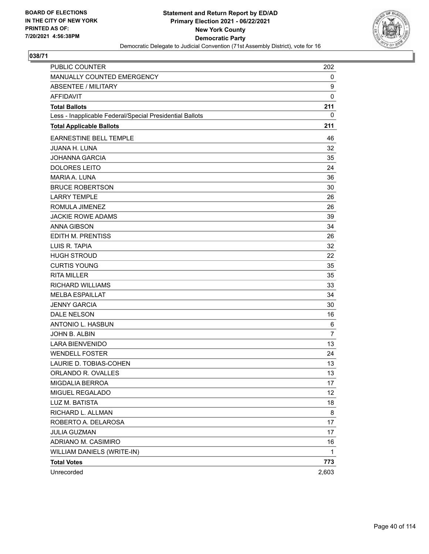

| PUBLIC COUNTER                                           | 202            |
|----------------------------------------------------------|----------------|
| MANUALLY COUNTED EMERGENCY                               | 0              |
| <b>ABSENTEE / MILITARY</b>                               | 9              |
| <b>AFFIDAVIT</b>                                         | 0              |
| <b>Total Ballots</b>                                     | 211            |
| Less - Inapplicable Federal/Special Presidential Ballots | 0              |
| <b>Total Applicable Ballots</b>                          | 211            |
| EARNESTINE BELL TEMPLE                                   | 46             |
| <b>JUANA H. LUNA</b>                                     | 32             |
| <b>JOHANNA GARCIA</b>                                    | 35             |
| <b>DOLORES LEITO</b>                                     | 24             |
| <b>MARIA A. LUNA</b>                                     | 36             |
| <b>BRUCE ROBERTSON</b>                                   | 30             |
| <b>LARRY TEMPLE</b>                                      | 26             |
| ROMULA JIMENEZ                                           | 26             |
| <b>JACKIE ROWE ADAMS</b>                                 | 39             |
| <b>ANNA GIBSON</b>                                       | 34             |
| EDITH M. PRENTISS                                        | 26             |
| LUIS R. TAPIA                                            | 32             |
| <b>HUGH STROUD</b>                                       | 22             |
| <b>CURTIS YOUNG</b>                                      | 35             |
| <b>RITA MILLER</b>                                       | 35             |
| <b>RICHARD WILLIAMS</b>                                  | 33             |
| <b>MELBA ESPAILLAT</b>                                   | 34             |
| <b>JENNY GARCIA</b>                                      | 30             |
| DALE NELSON                                              | 16             |
| ANTONIO L. HASBUN                                        | 6              |
| JOHN B. ALBIN                                            | $\overline{7}$ |
| <b>LARA BIENVENIDO</b>                                   | 13             |
| <b>WENDELL FOSTER</b>                                    | 24             |
| LAURIE D. TOBIAS-COHEN                                   | 13             |
| ORLANDO R. OVALLES                                       | 13             |
| MIGDALIA BERROA                                          | 17             |
| MIGUEL REGALADO                                          | 12             |
| LUZ M. BATISTA                                           | 18             |
| RICHARD L. ALLMAN                                        | 8              |
| ROBERTO A. DELAROSA                                      | 17             |
| <b>JULIA GUZMAN</b>                                      | 17             |
| ADRIANO M. CASIMIRO                                      | 16             |
| WILLIAM DANIELS (WRITE-IN)                               | 1              |
| <b>Total Votes</b>                                       | 773            |
| Unrecorded                                               | 2,603          |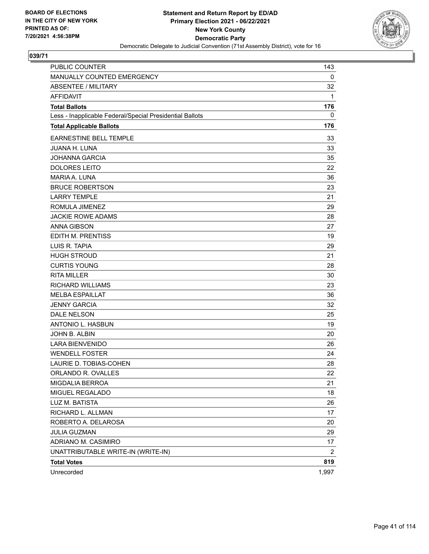

| <b>PUBLIC COUNTER</b>                                    | 143   |
|----------------------------------------------------------|-------|
| MANUALLY COUNTED EMERGENCY                               | 0     |
| <b>ABSENTEE / MILITARY</b>                               | 32    |
| <b>AFFIDAVIT</b>                                         | 1     |
| <b>Total Ballots</b>                                     | 176   |
| Less - Inapplicable Federal/Special Presidential Ballots | 0     |
| <b>Total Applicable Ballots</b>                          | 176   |
| <b>EARNESTINE BELL TEMPLE</b>                            | 33    |
| <b>JUANA H. LUNA</b>                                     | 33    |
| <b>JOHANNA GARCIA</b>                                    | 35    |
| <b>DOLORES LEITO</b>                                     | 22    |
| <b>MARIA A. LUNA</b>                                     | 36    |
| <b>BRUCE ROBERTSON</b>                                   | 23    |
| <b>LARRY TEMPLE</b>                                      | 21    |
| ROMULA JIMENEZ                                           | 29    |
| <b>JACKIE ROWE ADAMS</b>                                 | 28    |
| <b>ANNA GIBSON</b>                                       | 27    |
| EDITH M. PRENTISS                                        | 19    |
| LUIS R. TAPIA                                            | 29    |
| <b>HUGH STROUD</b>                                       | 21    |
| <b>CURTIS YOUNG</b>                                      | 28    |
| <b>RITA MILLER</b>                                       | 30    |
| <b>RICHARD WILLIAMS</b>                                  | 23    |
| <b>MELBA ESPAILLAT</b>                                   | 36    |
| <b>JENNY GARCIA</b>                                      | 32    |
| DALE NELSON                                              | 25    |
| ANTONIO L. HASBUN                                        | 19    |
| JOHN B. ALBIN                                            | 20    |
| <b>LARA BIENVENIDO</b>                                   | 26    |
| <b>WENDELL FOSTER</b>                                    | 24    |
| LAURIE D. TOBIAS-COHEN                                   | 28    |
| ORLANDO R. OVALLES                                       | 22    |
| MIGDALIA BERROA                                          | 21    |
| MIGUEL REGALADO                                          | 18    |
| LUZ M. BATISTA                                           | 26    |
| RICHARD L. ALLMAN                                        | 17    |
| ROBERTO A. DELAROSA                                      | 20    |
| JULIA GUZMAN                                             | 29    |
| ADRIANO M. CASIMIRO                                      | 17    |
| UNATTRIBUTABLE WRITE-IN (WRITE-IN)                       | 2     |
| <b>Total Votes</b>                                       | 819   |
| Unrecorded                                               | 1,997 |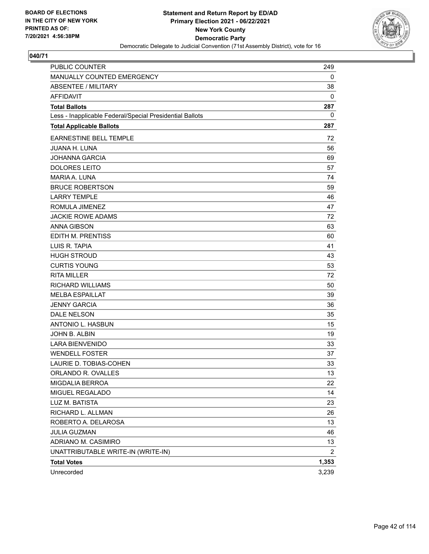

| <b>PUBLIC COUNTER</b>                                    | 249            |
|----------------------------------------------------------|----------------|
| MANUALLY COUNTED EMERGENCY                               | 0              |
| <b>ABSENTEE / MILITARY</b>                               | 38             |
| <b>AFFIDAVIT</b>                                         | 0              |
| <b>Total Ballots</b>                                     | 287            |
| Less - Inapplicable Federal/Special Presidential Ballots | 0              |
| <b>Total Applicable Ballots</b>                          | 287            |
| <b>EARNESTINE BELL TEMPLE</b>                            | 72             |
| <b>JUANA H. LUNA</b>                                     | 56             |
| <b>JOHANNA GARCIA</b>                                    | 69             |
| <b>DOLORES LEITO</b>                                     | 57             |
| MARIA A. LUNA                                            | 74             |
| <b>BRUCE ROBERTSON</b>                                   | 59             |
| <b>LARRY TEMPLE</b>                                      | 46             |
| ROMULA JIMENEZ                                           | 47             |
| <b>JACKIE ROWE ADAMS</b>                                 | 72             |
| <b>ANNA GIBSON</b>                                       | 63             |
| EDITH M. PRENTISS                                        | 60             |
| LUIS R. TAPIA                                            | 41             |
| <b>HUGH STROUD</b>                                       | 43             |
| <b>CURTIS YOUNG</b>                                      | 53             |
| <b>RITA MILLER</b>                                       | 72             |
| <b>RICHARD WILLIAMS</b>                                  | 50             |
| <b>MELBA ESPAILLAT</b>                                   | 39             |
| <b>JENNY GARCIA</b>                                      | 36             |
| <b>DALE NELSON</b>                                       | 35             |
| ANTONIO L. HASBUN                                        | 15             |
| JOHN B. ALBIN                                            | 19             |
| <b>LARA BIENVENIDO</b>                                   | 33             |
| <b>WENDELL FOSTER</b>                                    | 37             |
| LAURIE D. TOBIAS-COHEN                                   | 33             |
| ORLANDO R. OVALLES                                       | 13             |
| MIGDALIA BERROA                                          | 22             |
| MIGUEL REGALADO                                          | 14             |
| LUZ M. BATISTA                                           | 23             |
| RICHARD L. ALLMAN                                        | 26             |
| ROBERTO A. DELAROSA                                      | 13             |
| <b>JULIA GUZMAN</b>                                      | 46             |
| ADRIANO M. CASIMIRO                                      | 13             |
| UNATTRIBUTABLE WRITE-IN (WRITE-IN)                       | $\overline{2}$ |
| <b>Total Votes</b>                                       | 1,353          |
| Unrecorded                                               | 3,239          |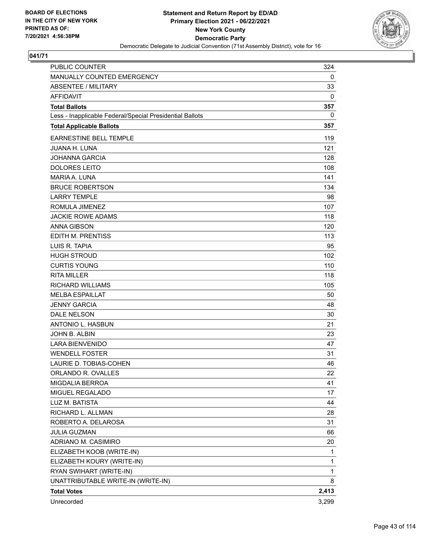

| PUBLIC COUNTER                                           | 324          |
|----------------------------------------------------------|--------------|
| MANUALLY COUNTED EMERGENCY                               | 0            |
| ABSENTEE / MILITARY                                      | 33           |
| <b>AFFIDAVIT</b>                                         | 0            |
| <b>Total Ballots</b>                                     | 357          |
| Less - Inapplicable Federal/Special Presidential Ballots | 0            |
| <b>Total Applicable Ballots</b>                          | 357          |
| <b>EARNESTINE BELL TEMPLE</b>                            | 119          |
| <b>JUANA H. LUNA</b>                                     | 121          |
| <b>JOHANNA GARCIA</b>                                    | 128          |
| <b>DOLORES LEITO</b>                                     | 108          |
| MARIA A. LUNA                                            | 141          |
| <b>BRUCE ROBERTSON</b>                                   | 134          |
| <b>LARRY TEMPLE</b>                                      | 98           |
| ROMULA JIMENEZ                                           | 107          |
| <b>JACKIE ROWE ADAMS</b>                                 | 118          |
| <b>ANNA GIBSON</b>                                       | 120          |
| <b>EDITH M. PRENTISS</b>                                 | 113          |
| LUIS R. TAPIA                                            | 95           |
| <b>HUGH STROUD</b>                                       | 102          |
| <b>CURTIS YOUNG</b>                                      | 110          |
| <b>RITA MILLER</b>                                       | 118          |
| <b>RICHARD WILLIAMS</b>                                  | 105          |
| <b>MELBA ESPAILLAT</b>                                   | 50           |
| <b>JENNY GARCIA</b>                                      | 48           |
| <b>DALE NELSON</b>                                       | 30           |
| ANTONIO L. HASBUN                                        | 21           |
| JOHN B. ALBIN                                            | 23           |
| <b>LARA BIENVENIDO</b>                                   | 47           |
| <b>WENDELL FOSTER</b>                                    | 31           |
| LAURIE D. TOBIAS-COHEN                                   | 46           |
| ORLANDO R. OVALLES                                       | 22           |
| <b>MIGDALIA BERROA</b>                                   | 41           |
| MIGUEL REGALADO                                          | 17           |
| LUZ M. BATISTA                                           | 44           |
| RICHARD L. ALLMAN                                        | 28           |
| ROBERTO A. DELAROSA                                      | 31           |
| <b>JULIA GUZMAN</b>                                      | 66           |
| ADRIANO M. CASIMIRO                                      | 20           |
| ELIZABETH KOOB (WRITE-IN)                                | 1            |
| ELIZABETH KOURY (WRITE-IN)                               | $\mathbf{1}$ |
| RYAN SWIHART (WRITE-IN)                                  | 1            |
| UNATTRIBUTABLE WRITE-IN (WRITE-IN)                       | 8            |
| <b>Total Votes</b>                                       | 2,413        |
| Unrecorded                                               | 3,299        |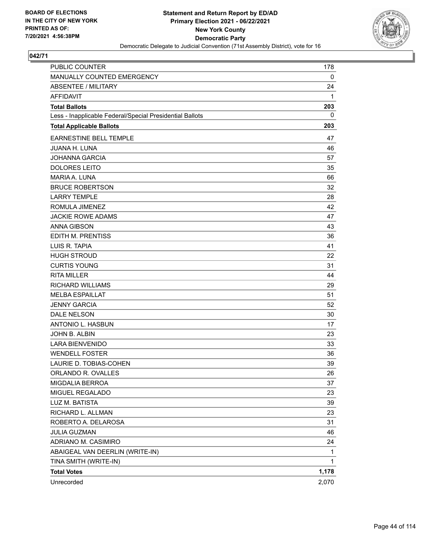

| PUBLIC COUNTER                                           | 178   |
|----------------------------------------------------------|-------|
| MANUALLY COUNTED EMERGENCY                               | 0     |
| <b>ABSENTEE / MILITARY</b>                               | 24    |
| <b>AFFIDAVIT</b>                                         | 1     |
| <b>Total Ballots</b>                                     | 203   |
| Less - Inapplicable Federal/Special Presidential Ballots | 0     |
| <b>Total Applicable Ballots</b>                          | 203   |
| EARNESTINE BELL TEMPLE                                   | 47    |
| <b>JUANA H. LUNA</b>                                     | 46    |
| <b>JOHANNA GARCIA</b>                                    | 57    |
| <b>DOLORES LEITO</b>                                     | 35    |
| MARIA A. LUNA                                            | 66    |
| <b>BRUCE ROBERTSON</b>                                   | 32    |
| <b>LARRY TEMPLE</b>                                      | 28    |
| ROMULA JIMENEZ                                           | 42    |
| <b>JACKIE ROWE ADAMS</b>                                 | 47    |
| <b>ANNA GIBSON</b>                                       | 43    |
| <b>EDITH M. PRENTISS</b>                                 | 36    |
| LUIS R. TAPIA                                            | 41    |
| <b>HUGH STROUD</b>                                       | 22    |
| <b>CURTIS YOUNG</b>                                      | 31    |
| <b>RITA MILLER</b>                                       | 44    |
| <b>RICHARD WILLIAMS</b>                                  | 29    |
| <b>MELBA ESPAILLAT</b>                                   | 51    |
| <b>JENNY GARCIA</b>                                      | 52    |
| <b>DALE NELSON</b>                                       | 30    |
| ANTONIO L. HASBUN                                        | 17    |
| JOHN B. ALBIN                                            | 23    |
| <b>LARA BIENVENIDO</b>                                   | 33    |
| <b>WENDELL FOSTER</b>                                    | 36    |
| LAURIE D. TOBIAS-COHEN                                   | 39    |
| ORLANDO R. OVALLES                                       | 26    |
| MIGDALIA BERROA                                          | 37    |
| MIGUEL REGALADO                                          | 23    |
| LUZ M. BATISTA                                           | 39    |
| RICHARD L. ALLMAN                                        | 23    |
| ROBERTO A. DELAROSA                                      | 31    |
| JULIA GUZMAN                                             | 46    |
| ADRIANO M. CASIMIRO                                      | 24    |
| ABAIGEAL VAN DEERLIN (WRITE-IN)                          | 1     |
| TINA SMITH (WRITE-IN)                                    | 1     |
| <b>Total Votes</b>                                       | 1,178 |
| Unrecorded                                               | 2,070 |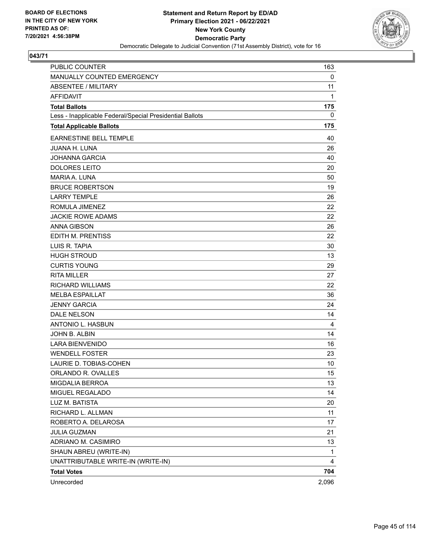

| PUBLIC COUNTER                                           | 163   |
|----------------------------------------------------------|-------|
| MANUALLY COUNTED EMERGENCY                               | 0     |
| <b>ABSENTEE / MILITARY</b>                               | 11    |
| <b>AFFIDAVIT</b>                                         | 1     |
| <b>Total Ballots</b>                                     | 175   |
| Less - Inapplicable Federal/Special Presidential Ballots | 0     |
| <b>Total Applicable Ballots</b>                          | 175   |
| EARNESTINE BELL TEMPLE                                   | 40    |
| <b>JUANA H. LUNA</b>                                     | 26    |
| <b>JOHANNA GARCIA</b>                                    | 40    |
| <b>DOLORES LEITO</b>                                     | 20    |
| <b>MARIA A. LUNA</b>                                     | 50    |
| <b>BRUCE ROBERTSON</b>                                   | 19    |
| <b>LARRY TEMPLE</b>                                      | 26    |
| ROMULA JIMENEZ                                           | 22    |
| <b>JACKIE ROWE ADAMS</b>                                 | 22    |
| <b>ANNA GIBSON</b>                                       | 26    |
| EDITH M. PRENTISS                                        | 22    |
| LUIS R. TAPIA                                            | 30    |
| <b>HUGH STROUD</b>                                       | 13    |
| <b>CURTIS YOUNG</b>                                      | 29    |
| <b>RITA MILLER</b>                                       | 27    |
| <b>RICHARD WILLIAMS</b>                                  | 22    |
| <b>MELBA ESPAILLAT</b>                                   | 36    |
| <b>JENNY GARCIA</b>                                      | 24    |
| DALE NELSON                                              | 14    |
| ANTONIO L. HASBUN                                        | 4     |
| JOHN B. ALBIN                                            | 14    |
| <b>LARA BIENVENIDO</b>                                   | 16    |
| <b>WENDELL FOSTER</b>                                    | 23    |
| LAURIE D. TOBIAS-COHEN                                   | 10    |
| ORLANDO R. OVALLES                                       | 15    |
| MIGDALIA BERROA                                          | 13    |
| MIGUEL REGALADO                                          | 14    |
| LUZ M. BATISTA                                           | 20    |
| RICHARD L. ALLMAN                                        | 11    |
| ROBERTO A. DELAROSA                                      | 17    |
| <b>JULIA GUZMAN</b>                                      | 21    |
| ADRIANO M. CASIMIRO                                      | 13    |
| SHAUN ABREU (WRITE-IN)                                   | 1     |
| UNATTRIBUTABLE WRITE-IN (WRITE-IN)                       | 4     |
| <b>Total Votes</b>                                       | 704   |
| Unrecorded                                               | 2,096 |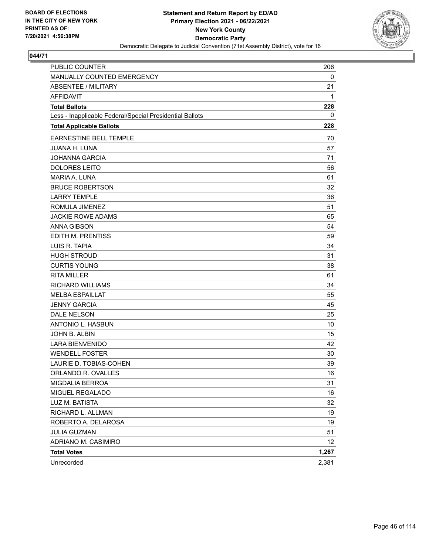

| PUBLIC COUNTER                                           | 206   |
|----------------------------------------------------------|-------|
| MANUALLY COUNTED EMERGENCY                               | 0     |
| <b>ABSENTEE / MILITARY</b>                               | 21    |
| <b>AFFIDAVIT</b>                                         | 1     |
| <b>Total Ballots</b>                                     | 228   |
| Less - Inapplicable Federal/Special Presidential Ballots | 0     |
| <b>Total Applicable Ballots</b>                          | 228   |
| <b>EARNESTINE BELL TEMPLE</b>                            | 70    |
| <b>JUANA H. LUNA</b>                                     | 57    |
| <b>JOHANNA GARCIA</b>                                    | 71    |
| <b>DOLORES LEITO</b>                                     | 56    |
| <b>MARIA A. LUNA</b>                                     | 61    |
| <b>BRUCE ROBERTSON</b>                                   | 32    |
| <b>LARRY TEMPLE</b>                                      | 36    |
| ROMULA JIMENEZ                                           | 51    |
| <b>JACKIE ROWE ADAMS</b>                                 | 65    |
| <b>ANNA GIBSON</b>                                       | 54    |
| EDITH M. PRENTISS                                        | 59    |
| LUIS R. TAPIA                                            | 34    |
| <b>HUGH STROUD</b>                                       | 31    |
| <b>CURTIS YOUNG</b>                                      | 38    |
| <b>RITA MILLER</b>                                       | 61    |
| <b>RICHARD WILLIAMS</b>                                  | 34    |
| <b>MELBA ESPAILLAT</b>                                   | 55    |
| <b>JENNY GARCIA</b>                                      | 45    |
| DALE NELSON                                              | 25    |
| ANTONIO L. HASBUN                                        | 10    |
| JOHN B. ALBIN                                            | 15    |
| <b>LARA BIENVENIDO</b>                                   | 42    |
| <b>WENDELL FOSTER</b>                                    | 30    |
| LAURIE D. TOBIAS-COHEN                                   | 39    |
| ORLANDO R. OVALLES                                       | 16    |
| MIGDALIA BERROA                                          | 31    |
| MIGUEL REGALADO                                          | 16    |
| LUZ M. BATISTA                                           | 32    |
| RICHARD L. ALLMAN                                        | 19    |
| ROBERTO A. DELAROSA                                      | 19    |
| JULIA GUZMAN                                             | 51    |
| ADRIANO M. CASIMIRO                                      | 12    |
| <b>Total Votes</b>                                       | 1,267 |
| Unrecorded                                               | 2,381 |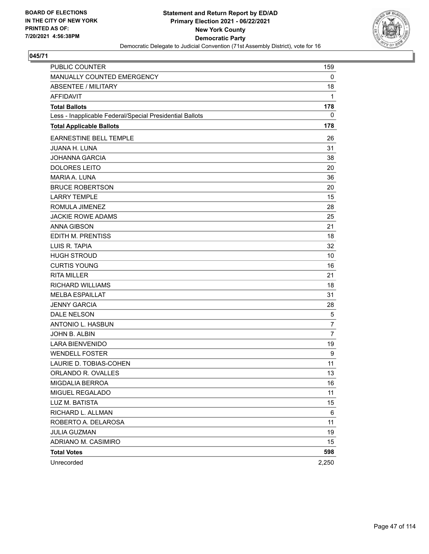

| PUBLIC COUNTER                                           | 159            |
|----------------------------------------------------------|----------------|
| MANUALLY COUNTED EMERGENCY                               | 0              |
| <b>ABSENTEE / MILITARY</b>                               | 18             |
| <b>AFFIDAVIT</b>                                         | 1              |
| <b>Total Ballots</b>                                     | 178            |
| Less - Inapplicable Federal/Special Presidential Ballots | $\mathbf 0$    |
| <b>Total Applicable Ballots</b>                          | 178            |
| EARNESTINE BELL TEMPLE                                   | 26             |
| <b>JUANA H. LUNA</b>                                     | 31             |
| <b>JOHANNA GARCIA</b>                                    | 38             |
| <b>DOLORES LEITO</b>                                     | 20             |
| <b>MARIA A. LUNA</b>                                     | 36             |
| <b>BRUCE ROBERTSON</b>                                   | 20             |
| <b>LARRY TEMPLE</b>                                      | 15             |
| ROMULA JIMENEZ                                           | 28             |
| <b>JACKIE ROWE ADAMS</b>                                 | 25             |
| <b>ANNA GIBSON</b>                                       | 21             |
| EDITH M. PRENTISS                                        | 18             |
| LUIS R. TAPIA                                            | 32             |
| <b>HUGH STROUD</b>                                       | 10             |
| <b>CURTIS YOUNG</b>                                      | 16             |
| <b>RITA MILLER</b>                                       | 21             |
| <b>RICHARD WILLIAMS</b>                                  | 18             |
| <b>MELBA ESPAILLAT</b>                                   | 31             |
| <b>JENNY GARCIA</b>                                      | 28             |
| DALE NELSON                                              | 5              |
| ANTONIO L. HASBUN                                        | $\overline{7}$ |
| JOHN B. ALBIN                                            | $\overline{7}$ |
| <b>LARA BIENVENIDO</b>                                   | 19             |
| <b>WENDELL FOSTER</b>                                    | 9              |
| LAURIE D. TOBIAS-COHEN                                   | 11             |
| ORLANDO R. OVALLES                                       | 13             |
| MIGDALIA BERROA                                          | 16             |
| MIGUEL REGALADO                                          | 11             |
| LUZ M. BATISTA                                           | 15             |
| RICHARD L. ALLMAN                                        | 6              |
| ROBERTO A. DELAROSA                                      | 11             |
| <b>JULIA GUZMAN</b>                                      | 19             |
| ADRIANO M. CASIMIRO                                      | 15             |
| <b>Total Votes</b>                                       | 598            |
| Unrecorded                                               | 2,250          |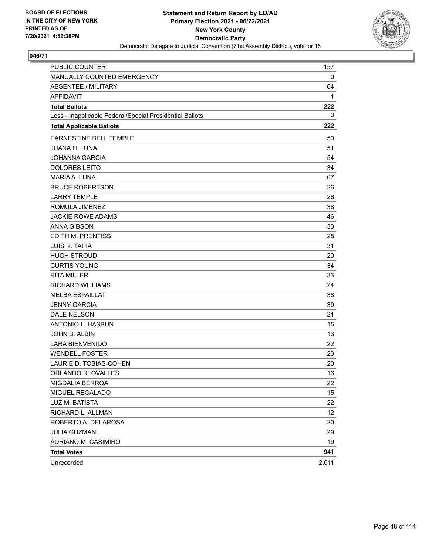

| <b>PUBLIC COUNTER</b>                                    | 157   |
|----------------------------------------------------------|-------|
| MANUALLY COUNTED EMERGENCY                               | 0     |
| <b>ABSENTEE / MILITARY</b>                               | 64    |
| AFFIDAVIT                                                | 1     |
| <b>Total Ballots</b>                                     | 222   |
| Less - Inapplicable Federal/Special Presidential Ballots | 0     |
| <b>Total Applicable Ballots</b>                          | 222   |
| <b>EARNESTINE BELL TEMPLE</b>                            | 50    |
| <b>JUANA H. LUNA</b>                                     | 51    |
| <b>JOHANNA GARCIA</b>                                    | 54    |
| <b>DOLORES LEITO</b>                                     | 34    |
| <b>MARIA A. LUNA</b>                                     | 67    |
| <b>BRUCE ROBERTSON</b>                                   | 26    |
| <b>LARRY TEMPLE</b>                                      | 26    |
| ROMULA JIMENEZ                                           | 38    |
| <b>JACKIE ROWE ADAMS</b>                                 | 46    |
| <b>ANNA GIBSON</b>                                       | 33    |
| EDITH M. PRENTISS                                        | 28    |
| LUIS R. TAPIA                                            | 31    |
| <b>HUGH STROUD</b>                                       | 20    |
| <b>CURTIS YOUNG</b>                                      | 34    |
| <b>RITA MILLER</b>                                       | 33    |
| <b>RICHARD WILLIAMS</b>                                  | 24    |
| <b>MELBA ESPAILLAT</b>                                   | 38    |
| <b>JENNY GARCIA</b>                                      | 39    |
| <b>DALE NELSON</b>                                       | 21    |
| <b>ANTONIO L. HASBUN</b>                                 | 15    |
| JOHN B. ALBIN                                            | 13    |
| <b>LARA BIENVENIDO</b>                                   | 22    |
| <b>WENDELL FOSTER</b>                                    | 23    |
| LAURIE D. TOBIAS-COHEN                                   | 20    |
| ORLANDO R. OVALLES                                       | 16    |
| MIGDALIA BERROA                                          | 22    |
| MIGUEL REGALADO                                          | 15    |
| LUZ M. BATISTA                                           | 22    |
| RICHARD L. ALLMAN                                        | 12    |
| ROBERTO A. DELAROSA                                      | 20    |
| <b>JULIA GUZMAN</b>                                      | 29    |
| ADRIANO M. CASIMIRO                                      | 19    |
| <b>Total Votes</b>                                       | 941   |
| Unrecorded                                               | 2,611 |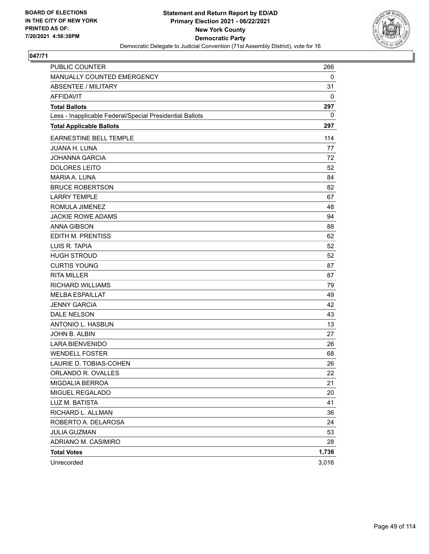

| PUBLIC COUNTER                                           | 266   |
|----------------------------------------------------------|-------|
| MANUALLY COUNTED EMERGENCY                               | 0     |
| ABSENTEE / MILITARY                                      | 31    |
| <b>AFFIDAVIT</b>                                         | 0     |
| <b>Total Ballots</b>                                     | 297   |
| Less - Inapplicable Federal/Special Presidential Ballots | 0     |
| <b>Total Applicable Ballots</b>                          | 297   |
| EARNESTINE BELL TEMPLE                                   | 114   |
| <b>JUANA H. LUNA</b>                                     | 77    |
| <b>JOHANNA GARCIA</b>                                    | 72    |
| <b>DOLORES LEITO</b>                                     | 52    |
| MARIA A. LUNA                                            | 84    |
| <b>BRUCE ROBERTSON</b>                                   | 82    |
| <b>LARRY TEMPLE</b>                                      | 67    |
| ROMULA JIMENEZ                                           | 48    |
| <b>JACKIE ROWE ADAMS</b>                                 | 94    |
| <b>ANNA GIBSON</b>                                       | 88    |
| <b>EDITH M. PRENTISS</b>                                 | 62    |
| LUIS R. TAPIA                                            | 52    |
| <b>HUGH STROUD</b>                                       | 52    |
| <b>CURTIS YOUNG</b>                                      | 87    |
| <b>RITA MILLER</b>                                       | 87    |
| <b>RICHARD WILLIAMS</b>                                  | 79    |
| <b>MELBA ESPAILLAT</b>                                   | 49    |
| <b>JENNY GARCIA</b>                                      | 42    |
| <b>DALE NELSON</b>                                       | 43    |
| ANTONIO L. HASBUN                                        | 13    |
| JOHN B. ALBIN                                            | 27    |
| <b>LARA BIENVENIDO</b>                                   | 26    |
| <b>WENDELL FOSTER</b>                                    | 68    |
| LAURIE D. TOBIAS-COHEN                                   | 26    |
| ORLANDO R. OVALLES                                       | 22    |
| MIGDALIA BERROA                                          | 21    |
| MIGUEL REGALADO                                          | 20    |
| LUZ M. BATISTA                                           | 41    |
| RICHARD L. ALLMAN                                        | 36    |
| ROBERTO A. DELAROSA                                      | 24    |
| <b>JULIA GUZMAN</b>                                      | 53    |
| ADRIANO M. CASIMIRO                                      | 28    |
| <b>Total Votes</b>                                       | 1,736 |
| Unrecorded                                               | 3,016 |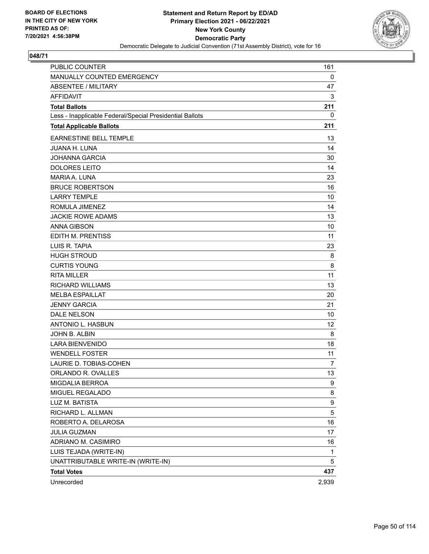

| <b>PUBLIC COUNTER</b>                                    | 161   |
|----------------------------------------------------------|-------|
| MANUALLY COUNTED EMERGENCY                               | 0     |
| <b>ABSENTEE / MILITARY</b>                               | 47    |
| <b>AFFIDAVIT</b>                                         | 3     |
| <b>Total Ballots</b>                                     | 211   |
| Less - Inapplicable Federal/Special Presidential Ballots | 0     |
| <b>Total Applicable Ballots</b>                          | 211   |
| EARNESTINE BELL TEMPLE                                   | 13    |
| <b>JUANA H. LUNA</b>                                     | 14    |
| <b>JOHANNA GARCIA</b>                                    | 30    |
| <b>DOLORES LEITO</b>                                     | 14    |
| <b>MARIA A. LUNA</b>                                     | 23    |
| <b>BRUCE ROBERTSON</b>                                   | 16    |
| <b>LARRY TEMPLE</b>                                      | 10    |
| ROMULA JIMENEZ                                           | 14    |
| <b>JACKIE ROWE ADAMS</b>                                 | 13    |
| <b>ANNA GIBSON</b>                                       | 10    |
| <b>EDITH M. PRENTISS</b>                                 | 11    |
| LUIS R. TAPIA                                            | 23    |
| <b>HUGH STROUD</b>                                       | 8     |
| <b>CURTIS YOUNG</b>                                      | 8     |
| <b>RITA MILLER</b>                                       | 11    |
| RICHARD WILLIAMS                                         | 13    |
| <b>MELBA ESPAILLAT</b>                                   | 20    |
| <b>JENNY GARCIA</b>                                      | 21    |
| <b>DALE NELSON</b>                                       | 10    |
| <b>ANTONIO L. HASBUN</b>                                 | 12    |
| JOHN B. ALBIN                                            | 8     |
| <b>LARA BIENVENIDO</b>                                   | 18    |
| <b>WENDELL FOSTER</b>                                    | 11    |
| LAURIE D. TOBIAS-COHEN                                   | 7     |
| ORLANDO R. OVALLES                                       | 13    |
| MIGDALIA BERROA                                          | 9     |
| MIGUEL REGALADO                                          | 8     |
| LUZ M. BATISTA                                           | 9     |
| RICHARD L. ALLMAN                                        | 5     |
| ROBERTO A. DELAROSA                                      | 16    |
| <b>JULIA GUZMAN</b>                                      | 17    |
| ADRIANO M. CASIMIRO                                      | 16    |
| LUIS TEJADA (WRITE-IN)                                   | 1     |
| UNATTRIBUTABLE WRITE-IN (WRITE-IN)                       | 5     |
| <b>Total Votes</b>                                       | 437   |
| Unrecorded                                               | 2,939 |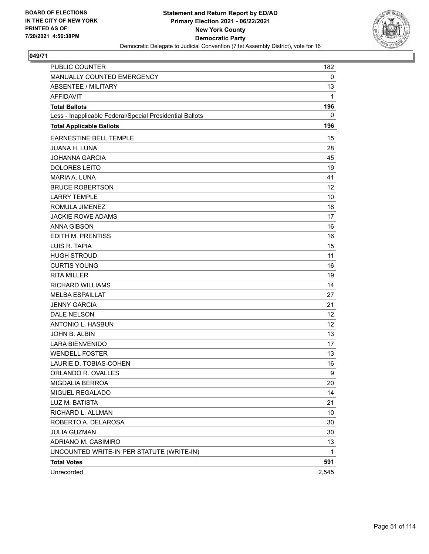

| <b>PUBLIC COUNTER</b>                                    | 182   |
|----------------------------------------------------------|-------|
| MANUALLY COUNTED EMERGENCY                               | 0     |
| <b>ABSENTEE / MILITARY</b>                               | 13    |
| <b>AFFIDAVIT</b>                                         | 1     |
| <b>Total Ballots</b>                                     | 196   |
| Less - Inapplicable Federal/Special Presidential Ballots | 0     |
| <b>Total Applicable Ballots</b>                          | 196   |
| <b>EARNESTINE BELL TEMPLE</b>                            | 15    |
| <b>JUANA H. LUNA</b>                                     | 28    |
| <b>JOHANNA GARCIA</b>                                    | 45    |
| <b>DOLORES LEITO</b>                                     | 19    |
| <b>MARIA A. LUNA</b>                                     | 41    |
| <b>BRUCE ROBERTSON</b>                                   | 12    |
| <b>LARRY TEMPLE</b>                                      | 10    |
| ROMULA JIMENEZ                                           | 18    |
| <b>JACKIE ROWE ADAMS</b>                                 | 17    |
| <b>ANNA GIBSON</b>                                       | 16    |
| <b>EDITH M. PRENTISS</b>                                 | 16    |
| LUIS R. TAPIA                                            | 15    |
| <b>HUGH STROUD</b>                                       | 11    |
| <b>CURTIS YOUNG</b>                                      | 16    |
| <b>RITA MILLER</b>                                       | 19    |
| <b>RICHARD WILLIAMS</b>                                  | 14    |
| <b>MELBA ESPAILLAT</b>                                   | 27    |
| <b>JENNY GARCIA</b>                                      | 21    |
| DALE NELSON                                              | 12    |
| ANTONIO L. HASBUN                                        | 12    |
| JOHN B. ALBIN                                            | 13    |
| <b>LARA BIENVENIDO</b>                                   | 17    |
| <b>WENDELL FOSTER</b>                                    | 13    |
| LAURIE D. TOBIAS-COHEN                                   | 16    |
| ORLANDO R. OVALLES                                       | 9     |
| MIGDALIA BERROA                                          | 20    |
| MIGUEL REGALADO                                          | 14    |
| LUZ M. BATISTA                                           | 21    |
| RICHARD L. ALLMAN                                        | 10    |
| ROBERTO A. DELAROSA                                      | 30    |
| <b>JULIA GUZMAN</b>                                      | 30    |
| ADRIANO M. CASIMIRO                                      | 13    |
| UNCOUNTED WRITE-IN PER STATUTE (WRITE-IN)                | 1     |
| <b>Total Votes</b>                                       | 591   |
| Unrecorded                                               | 2,545 |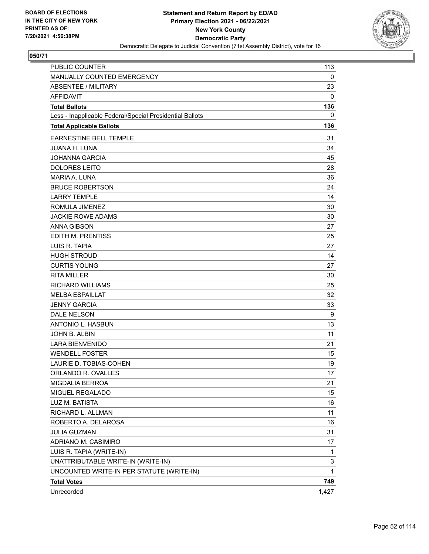

| PUBLIC COUNTER                                           | 113          |
|----------------------------------------------------------|--------------|
| MANUALLY COUNTED EMERGENCY                               | 0            |
| <b>ABSENTEE / MILITARY</b>                               | 23           |
| <b>AFFIDAVIT</b>                                         | 0            |
| <b>Total Ballots</b>                                     | 136          |
| Less - Inapplicable Federal/Special Presidential Ballots | 0            |
| <b>Total Applicable Ballots</b>                          | 136          |
| EARNESTINE BELL TEMPLE                                   | 31           |
| <b>JUANA H. LUNA</b>                                     | 34           |
| <b>JOHANNA GARCIA</b>                                    | 45           |
| <b>DOLORES LEITO</b>                                     | 28           |
| <b>MARIA A. LUNA</b>                                     | 36           |
| <b>BRUCE ROBERTSON</b>                                   | 24           |
| <b>LARRY TEMPLE</b>                                      | 14           |
| ROMULA JIMENEZ                                           | 30           |
| <b>JACKIE ROWE ADAMS</b>                                 | 30           |
| <b>ANNA GIBSON</b>                                       | 27           |
| EDITH M. PRENTISS                                        | 25           |
| LUIS R. TAPIA                                            | 27           |
| <b>HUGH STROUD</b>                                       | 14           |
| <b>CURTIS YOUNG</b>                                      | 27           |
| <b>RITA MILLER</b>                                       | 30           |
| <b>RICHARD WILLIAMS</b>                                  | 25           |
| <b>MELBA ESPAILLAT</b>                                   | 32           |
| <b>JENNY GARCIA</b>                                      | 33           |
| DALE NELSON                                              | 9            |
| ANTONIO L. HASBUN                                        | 13           |
| JOHN B. ALBIN                                            | 11           |
| <b>LARA BIENVENIDO</b>                                   | 21           |
| <b>WENDELL FOSTER</b>                                    | 15           |
| LAURIE D. TOBIAS-COHEN                                   | 19           |
| ORLANDO R. OVALLES                                       | 17           |
| MIGDALIA BERROA                                          | 21           |
| MIGUEL REGALADO                                          | 15           |
| LUZ M. BATISTA                                           | 16           |
| RICHARD L. ALLMAN                                        | 11           |
| ROBERTO A. DELAROSA                                      | 16           |
| <b>JULIA GUZMAN</b>                                      | 31           |
| ADRIANO M. CASIMIRO                                      | 17           |
| LUIS R. TAPIA (WRITE-IN)                                 | 1            |
| UNATTRIBUTABLE WRITE-IN (WRITE-IN)                       | 3            |
| UNCOUNTED WRITE-IN PER STATUTE (WRITE-IN)                | $\mathbf{1}$ |
| <b>Total Votes</b>                                       | 749          |
| Unrecorded                                               | 1,427        |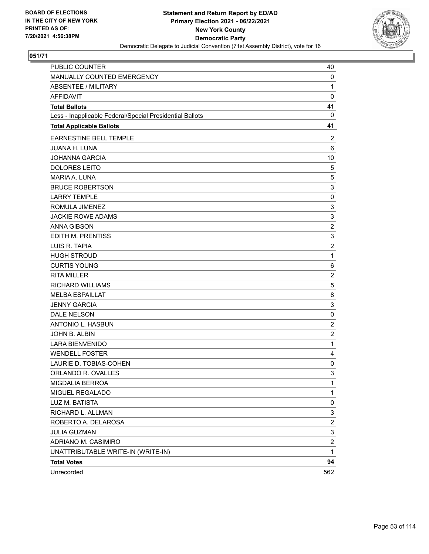

| PUBLIC COUNTER                                           | 40                      |
|----------------------------------------------------------|-------------------------|
| MANUALLY COUNTED EMERGENCY                               | 0                       |
| <b>ABSENTEE / MILITARY</b>                               | $\mathbf{1}$            |
| <b>AFFIDAVIT</b>                                         | $\mathbf 0$             |
| <b>Total Ballots</b>                                     | 41                      |
| Less - Inapplicable Federal/Special Presidential Ballots | 0                       |
| <b>Total Applicable Ballots</b>                          | 41                      |
| <b>EARNESTINE BELL TEMPLE</b>                            | $\overline{c}$          |
| <b>JUANA H. LUNA</b>                                     | 6                       |
| <b>JOHANNA GARCIA</b>                                    | 10                      |
| <b>DOLORES LEITO</b>                                     | 5                       |
| MARIA A. LUNA                                            | 5                       |
| <b>BRUCE ROBERTSON</b>                                   | 3                       |
| <b>LARRY TEMPLE</b>                                      | $\pmb{0}$               |
| ROMULA JIMENEZ                                           | 3                       |
| <b>JACKIE ROWE ADAMS</b>                                 | 3                       |
| <b>ANNA GIBSON</b>                                       | $\overline{c}$          |
| EDITH M. PRENTISS                                        | 3                       |
| LUIS R. TAPIA                                            | $\overline{\mathbf{c}}$ |
| <b>HUGH STROUD</b>                                       | $\mathbf{1}$            |
| <b>CURTIS YOUNG</b>                                      | 6                       |
| <b>RITA MILLER</b>                                       | $\overline{\mathbf{c}}$ |
| RICHARD WILLIAMS                                         | 5                       |
| <b>MELBA ESPAILLAT</b>                                   | 8                       |
| <b>JENNY GARCIA</b>                                      | 3                       |
| <b>DALE NELSON</b>                                       | $\pmb{0}$               |
| ANTONIO L. HASBUN                                        | $\overline{c}$          |
| JOHN B. ALBIN                                            | $\overline{\mathbf{c}}$ |
| <b>LARA BIENVENIDO</b>                                   | $\mathbf{1}$            |
| <b>WENDELL FOSTER</b>                                    | 4                       |
| LAURIE D. TOBIAS-COHEN                                   | 0                       |
| ORLANDO R. OVALLES                                       | 3                       |
| MIGDALIA BERROA                                          | 1                       |
| MIGUEL REGALADO                                          | 1                       |
| LUZ M. BATISTA                                           | 0                       |
| RICHARD L. ALLMAN                                        | 3                       |
| ROBERTO A. DELAROSA                                      | $\overline{\mathbf{c}}$ |
| <b>JULIA GUZMAN</b>                                      | 3                       |
| ADRIANO M. CASIMIRO                                      | $\overline{\mathbf{c}}$ |
| UNATTRIBUTABLE WRITE-IN (WRITE-IN)                       | 1                       |
| <b>Total Votes</b>                                       | 94                      |
| Unrecorded                                               | 562                     |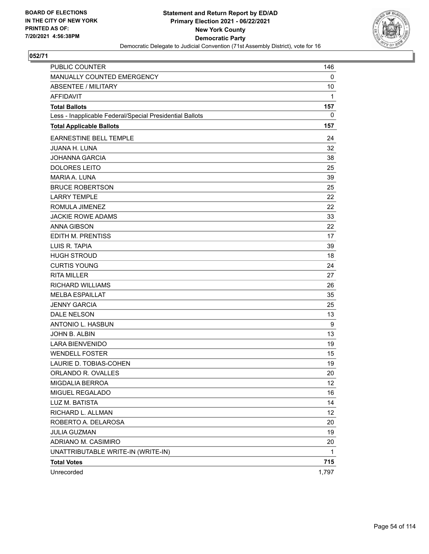

| <b>PUBLIC COUNTER</b>                                    | 146          |
|----------------------------------------------------------|--------------|
| MANUALLY COUNTED EMERGENCY                               | 0            |
| <b>ABSENTEE / MILITARY</b>                               | 10           |
| <b>AFFIDAVIT</b>                                         | 1            |
| <b>Total Ballots</b>                                     | 157          |
| Less - Inapplicable Federal/Special Presidential Ballots | 0            |
| <b>Total Applicable Ballots</b>                          | 157          |
| <b>EARNESTINE BELL TEMPLE</b>                            | 24           |
| <b>JUANA H. LUNA</b>                                     | 32           |
| <b>JOHANNA GARCIA</b>                                    | 38           |
| <b>DOLORES LEITO</b>                                     | 25           |
| <b>MARIA A. LUNA</b>                                     | 39           |
| <b>BRUCE ROBERTSON</b>                                   | 25           |
| <b>LARRY TEMPLE</b>                                      | 22           |
| ROMULA JIMENEZ                                           | 22           |
| <b>JACKIE ROWE ADAMS</b>                                 | 33           |
| <b>ANNA GIBSON</b>                                       | 22           |
| EDITH M. PRENTISS                                        | 17           |
| LUIS R. TAPIA                                            | 39           |
| <b>HUGH STROUD</b>                                       | 18           |
| <b>CURTIS YOUNG</b>                                      | 24           |
| <b>RITA MILLER</b>                                       | 27           |
| <b>RICHARD WILLIAMS</b>                                  | 26           |
| <b>MELBA ESPAILLAT</b>                                   | 35           |
| <b>JENNY GARCIA</b>                                      | 25           |
| DALE NELSON                                              | 13           |
| ANTONIO L. HASBUN                                        | 9            |
| JOHN B. ALBIN                                            | 13           |
| <b>LARA BIENVENIDO</b>                                   | 19           |
| <b>WENDELL FOSTER</b>                                    | 15           |
| LAURIE D. TOBIAS-COHEN                                   | 19           |
| ORLANDO R. OVALLES                                       | 20           |
| MIGDALIA BERROA                                          | 12           |
| MIGUEL REGALADO                                          | 16           |
| LUZ M. BATISTA                                           | 14           |
| RICHARD L. ALLMAN                                        | 12           |
| ROBERTO A. DELAROSA                                      | 20           |
| <b>JULIA GUZMAN</b>                                      | 19           |
| ADRIANO M. CASIMIRO                                      | 20           |
| UNATTRIBUTABLE WRITE-IN (WRITE-IN)                       | $\mathbf{1}$ |
| <b>Total Votes</b>                                       | 715          |
| Unrecorded                                               | 1,797        |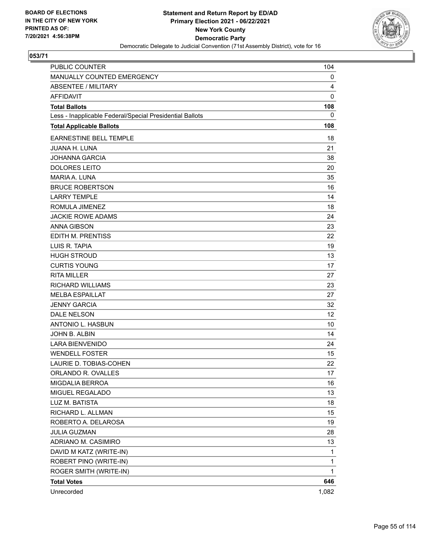

| <b>PUBLIC COUNTER</b>                                    | 104          |
|----------------------------------------------------------|--------------|
| MANUALLY COUNTED EMERGENCY                               | 0            |
| <b>ABSENTEE / MILITARY</b>                               | 4            |
| <b>AFFIDAVIT</b>                                         | 0            |
| <b>Total Ballots</b>                                     | 108          |
| Less - Inapplicable Federal/Special Presidential Ballots | 0            |
| <b>Total Applicable Ballots</b>                          | 108          |
| EARNESTINE BELL TEMPLE                                   | 18           |
| <b>JUANA H. LUNA</b>                                     | 21           |
| <b>JOHANNA GARCIA</b>                                    | 38           |
| <b>DOLORES LEITO</b>                                     | 20           |
| <b>MARIA A. LUNA</b>                                     | 35           |
| <b>BRUCE ROBERTSON</b>                                   | 16           |
| <b>LARRY TEMPLE</b>                                      | 14           |
| ROMULA JIMENEZ                                           | 18           |
| <b>JACKIE ROWE ADAMS</b>                                 | 24           |
| <b>ANNA GIBSON</b>                                       | 23           |
| <b>EDITH M. PRENTISS</b>                                 | 22           |
| LUIS R. TAPIA                                            | 19           |
| <b>HUGH STROUD</b>                                       | 13           |
| <b>CURTIS YOUNG</b>                                      | 17           |
| <b>RITA MILLER</b>                                       | 27           |
| RICHARD WILLIAMS                                         | 23           |
| <b>MELBA ESPAILLAT</b>                                   | 27           |
| <b>JENNY GARCIA</b>                                      | 32           |
| <b>DALE NELSON</b>                                       | 12           |
| <b>ANTONIO L. HASBUN</b>                                 | 10           |
| JOHN B. ALBIN                                            | 14           |
| LARA BIENVENIDO                                          | 24           |
| <b>WENDELL FOSTER</b>                                    | 15           |
| LAURIE D. TOBIAS-COHEN                                   | 22           |
| ORLANDO R. OVALLES                                       | 17           |
| MIGDALIA BERROA                                          | 16           |
| MIGUEL REGALADO                                          | 13           |
| LUZ M. BATISTA                                           | 18           |
| RICHARD L. ALLMAN                                        | 15           |
| ROBERTO A. DELAROSA                                      | 19           |
| <b>JULIA GUZMAN</b>                                      | 28           |
| ADRIANO M. CASIMIRO                                      | 13           |
| DAVID M KATZ (WRITE-IN)                                  | 1            |
| ROBERT PINO (WRITE-IN)                                   | 1            |
| ROGER SMITH (WRITE-IN)                                   | $\mathbf{1}$ |
| <b>Total Votes</b>                                       | 646          |
| Unrecorded                                               | 1,082        |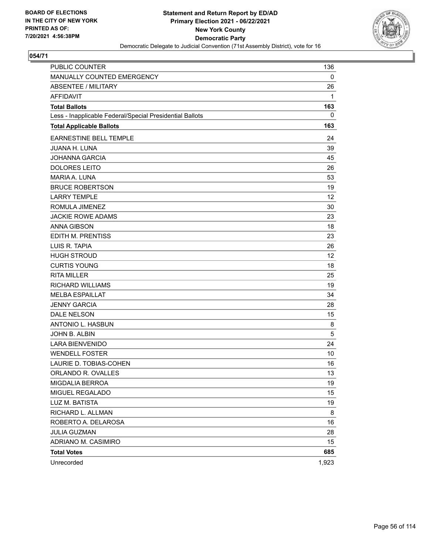

| <b>PUBLIC COUNTER</b>                                    | 136   |
|----------------------------------------------------------|-------|
| MANUALLY COUNTED EMERGENCY                               | 0     |
| <b>ABSENTEE / MILITARY</b>                               | 26    |
| <b>AFFIDAVIT</b>                                         | 1     |
| <b>Total Ballots</b>                                     | 163   |
| Less - Inapplicable Federal/Special Presidential Ballots | 0     |
| <b>Total Applicable Ballots</b>                          | 163   |
| EARNESTINE BELL TEMPLE                                   | 24    |
| <b>JUANA H. LUNA</b>                                     | 39    |
| <b>JOHANNA GARCIA</b>                                    | 45    |
| <b>DOLORES LEITO</b>                                     | 26    |
| <b>MARIA A. LUNA</b>                                     | 53    |
| <b>BRUCE ROBERTSON</b>                                   | 19    |
| <b>LARRY TEMPLE</b>                                      | 12    |
| ROMULA JIMENEZ                                           | 30    |
| <b>JACKIE ROWE ADAMS</b>                                 | 23    |
| <b>ANNA GIBSON</b>                                       | 18    |
| <b>EDITH M. PRENTISS</b>                                 | 23    |
| LUIS R. TAPIA                                            | 26    |
| <b>HUGH STROUD</b>                                       | 12    |
| <b>CURTIS YOUNG</b>                                      | 18    |
| <b>RITA MILLER</b>                                       | 25    |
| RICHARD WILLIAMS                                         | 19    |
| <b>MELBA ESPAILLAT</b>                                   | 34    |
| <b>JENNY GARCIA</b>                                      | 28    |
| <b>DALE NELSON</b>                                       | 15    |
| <b>ANTONIO L. HASBUN</b>                                 | 8     |
| JOHN B. ALBIN                                            | 5     |
| <b>LARA BIENVENIDO</b>                                   | 24    |
| <b>WENDELL FOSTER</b>                                    | 10    |
| LAURIE D. TOBIAS-COHEN                                   | 16    |
| ORLANDO R. OVALLES                                       | 13    |
| MIGDALIA BERROA                                          | 19    |
| MIGUEL REGALADO                                          | 15    |
| LUZ M. BATISTA                                           | 19    |
| RICHARD L. ALLMAN                                        | 8     |
| ROBERTO A. DELAROSA                                      | 16    |
| <b>JULIA GUZMAN</b>                                      | 28    |
| ADRIANO M. CASIMIRO                                      | 15    |
| <b>Total Votes</b>                                       | 685   |
| Unrecorded                                               | 1,923 |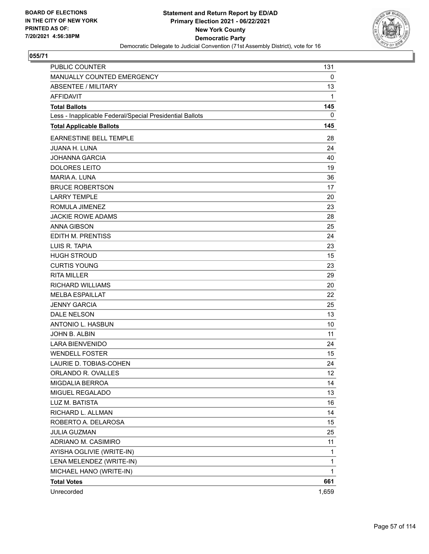

| <b>PUBLIC COUNTER</b>                                    | 131          |
|----------------------------------------------------------|--------------|
| MANUALLY COUNTED EMERGENCY                               | 0            |
| <b>ABSENTEE / MILITARY</b>                               | 13           |
| <b>AFFIDAVIT</b>                                         | 1            |
| <b>Total Ballots</b>                                     | 145          |
| Less - Inapplicable Federal/Special Presidential Ballots | 0            |
| <b>Total Applicable Ballots</b>                          | 145          |
| EARNESTINE BELL TEMPLE                                   | 28           |
| <b>JUANA H. LUNA</b>                                     | 24           |
| JOHANNA GARCIA                                           | 40           |
| <b>DOLORES LEITO</b>                                     | 19           |
| <b>MARIA A. LUNA</b>                                     | 36           |
| <b>BRUCE ROBERTSON</b>                                   | 17           |
| <b>LARRY TEMPLE</b>                                      | 20           |
| ROMULA JIMENEZ                                           | 23           |
| <b>JACKIE ROWE ADAMS</b>                                 | 28           |
| <b>ANNA GIBSON</b>                                       | 25           |
| <b>EDITH M. PRENTISS</b>                                 | 24           |
| LUIS R. TAPIA                                            | 23           |
| <b>HUGH STROUD</b>                                       | 15           |
| <b>CURTIS YOUNG</b>                                      | 23           |
| <b>RITA MILLER</b>                                       | 29           |
| RICHARD WILLIAMS                                         | 20           |
| <b>MELBA ESPAILLAT</b>                                   | 22           |
| <b>JENNY GARCIA</b>                                      | 25           |
| <b>DALE NELSON</b>                                       | 13           |
| <b>ANTONIO L. HASBUN</b>                                 | 10           |
| JOHN B. ALBIN                                            | 11           |
| LARA BIENVENIDO                                          | 24           |
| <b>WENDELL FOSTER</b>                                    | 15           |
| LAURIE D. TOBIAS-COHEN                                   | 24           |
| ORLANDO R. OVALLES                                       | 12           |
| MIGDALIA BERROA                                          | 14           |
| MIGUEL REGALADO                                          | 13           |
| LUZ M. BATISTA                                           | 16           |
| RICHARD L. ALLMAN                                        | 14           |
| ROBERTO A. DELAROSA                                      | 15           |
| <b>JULIA GUZMAN</b>                                      | 25           |
| ADRIANO M. CASIMIRO                                      | 11           |
| AYISHA OGLIVIE (WRITE-IN)                                | 1            |
| LENA MELENDEZ (WRITE-IN)                                 | 1            |
| MICHAEL HANO (WRITE-IN)                                  | $\mathbf{1}$ |
| <b>Total Votes</b>                                       | 661          |
| Unrecorded                                               | 1,659        |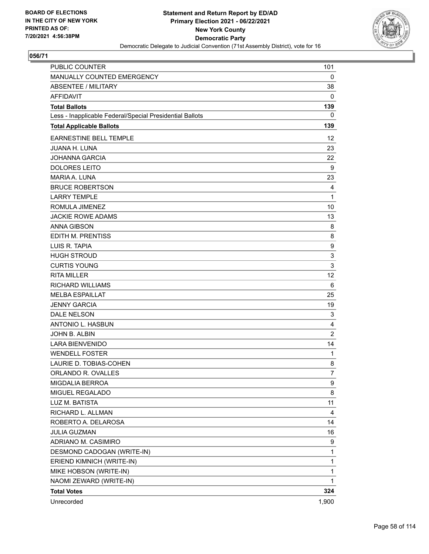

| PUBLIC COUNTER                                           | 101            |
|----------------------------------------------------------|----------------|
| MANUALLY COUNTED EMERGENCY                               | 0              |
| <b>ABSENTEE / MILITARY</b>                               | 38             |
| <b>AFFIDAVIT</b>                                         | 0              |
| <b>Total Ballots</b>                                     | 139            |
| Less - Inapplicable Federal/Special Presidential Ballots | 0              |
| <b>Total Applicable Ballots</b>                          | 139            |
| EARNESTINE BELL TEMPLE                                   | 12             |
| <b>JUANA H. LUNA</b>                                     | 23             |
| <b>JOHANNA GARCIA</b>                                    | 22             |
| <b>DOLORES LEITO</b>                                     | 9              |
| <b>MARIA A. LUNA</b>                                     | 23             |
| <b>BRUCE ROBERTSON</b>                                   | 4              |
| <b>LARRY TEMPLE</b>                                      | 1              |
| ROMULA JIMENEZ                                           | 10             |
| <b>JACKIE ROWE ADAMS</b>                                 | 13             |
| <b>ANNA GIBSON</b>                                       | 8              |
| EDITH M. PRENTISS                                        | 8              |
| LUIS R. TAPIA                                            | 9              |
| <b>HUGH STROUD</b>                                       | 3              |
| <b>CURTIS YOUNG</b>                                      | 3              |
| <b>RITA MILLER</b>                                       | 12             |
| <b>RICHARD WILLIAMS</b>                                  | 6              |
| <b>MELBA ESPAILLAT</b>                                   | 25             |
| <b>JENNY GARCIA</b>                                      | 19             |
| DALE NELSON                                              | 3              |
| ANTONIO L. HASBUN                                        | 4              |
| JOHN B. ALBIN                                            | $\overline{2}$ |
| <b>LARA BIENVENIDO</b>                                   | 14             |
| <b>WENDELL FOSTER</b>                                    | 1              |
| LAURIE D. TOBIAS-COHEN                                   | 8              |
| ORLANDO R. OVALLES                                       | 7              |
| MIGDALIA BERROA                                          | 9              |
| MIGUEL REGALADO                                          | 8              |
| LUZ M. BATISTA                                           | 11             |
| RICHARD L. ALLMAN                                        | 4              |
| ROBERTO A. DELAROSA                                      | 14             |
| <b>JULIA GUZMAN</b>                                      | 16             |
| ADRIANO M. CASIMIRO                                      | 9              |
| DESMOND CADOGAN (WRITE-IN)                               | 1              |
| ERIEND KIMNICH (WRITE-IN)                                | 1              |
| MIKE HOBSON (WRITE-IN)                                   | 1              |
| NAOMI ZEWARD (WRITE-IN)                                  | 1              |
| <b>Total Votes</b>                                       | 324            |
| Unrecorded                                               | 1,900          |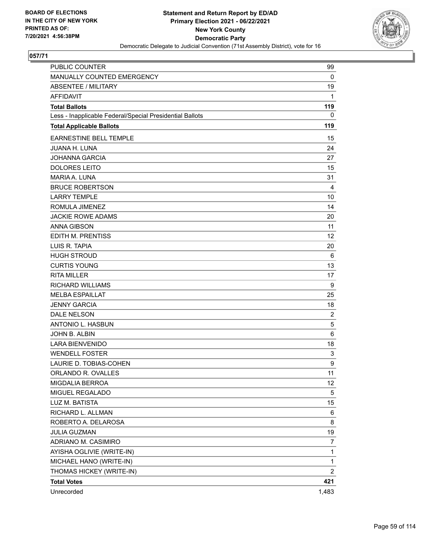

| PUBLIC COUNTER                                           | 99             |
|----------------------------------------------------------|----------------|
| MANUALLY COUNTED EMERGENCY                               | 0              |
| <b>ABSENTEE / MILITARY</b>                               | 19             |
| <b>AFFIDAVIT</b>                                         | 1              |
| <b>Total Ballots</b>                                     | 119            |
| Less - Inapplicable Federal/Special Presidential Ballots | $\mathbf 0$    |
| <b>Total Applicable Ballots</b>                          | 119            |
| EARNESTINE BELL TEMPLE                                   | 15             |
| <b>JUANA H. LUNA</b>                                     | 24             |
| <b>JOHANNA GARCIA</b>                                    | 27             |
| <b>DOLORES LEITO</b>                                     | 15             |
| MARIA A. LUNA                                            | 31             |
| <b>BRUCE ROBERTSON</b>                                   | $\overline{4}$ |
| <b>LARRY TEMPLE</b>                                      | 10             |
| ROMULA JIMENEZ                                           | 14             |
| <b>JACKIE ROWE ADAMS</b>                                 | 20             |
| <b>ANNA GIBSON</b>                                       | 11             |
| EDITH M. PRENTISS                                        | 12             |
| LUIS R. TAPIA                                            | 20             |
| <b>HUGH STROUD</b>                                       | 6              |
| <b>CURTIS YOUNG</b>                                      | 13             |
| <b>RITA MILLER</b>                                       | 17             |
| <b>RICHARD WILLIAMS</b>                                  | 9              |
| <b>MELBA ESPAILLAT</b>                                   | 25             |
| <b>JENNY GARCIA</b>                                      | 18             |
| <b>DALE NELSON</b>                                       | $\overline{2}$ |
| ANTONIO L. HASBUN                                        | 5              |
| JOHN B. ALBIN                                            | 6              |
| <b>LARA BIENVENIDO</b>                                   | 18             |
| <b>WENDELL FOSTER</b>                                    | 3              |
| LAURIE D. TOBIAS-COHEN                                   | 9              |
| ORLANDO R. OVALLES                                       | 11             |
| MIGDALIA BERROA                                          | 12             |
| MIGUEL REGALADO                                          | 5              |
| LUZ M. BATISTA                                           | 15             |
| RICHARD L. ALLMAN                                        | 6              |
| ROBERTO A. DELAROSA                                      | 8              |
| <b>JULIA GUZMAN</b>                                      | 19             |
| ADRIANO M. CASIMIRO                                      | 7              |
| AYISHA OGLIVIE (WRITE-IN)                                | 1              |
| MICHAEL HANO (WRITE-IN)                                  | 1              |
| THOMAS HICKEY (WRITE-IN)                                 | $\overline{2}$ |
| <b>Total Votes</b>                                       | 421            |
| Unrecorded                                               | 1,483          |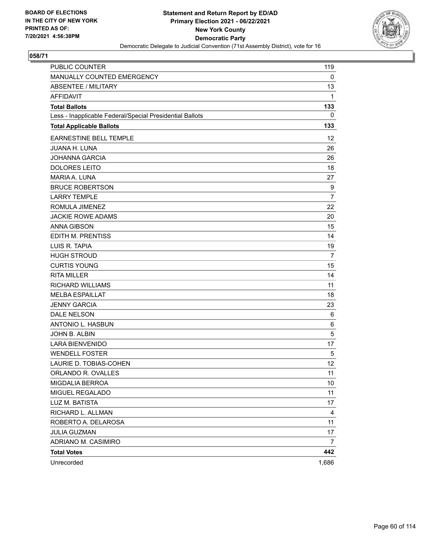

| PUBLIC COUNTER                                           | 119            |
|----------------------------------------------------------|----------------|
| MANUALLY COUNTED EMERGENCY                               | 0              |
| <b>ABSENTEE / MILITARY</b>                               | 13             |
| <b>AFFIDAVIT</b>                                         | 1              |
| <b>Total Ballots</b>                                     | 133            |
| Less - Inapplicable Federal/Special Presidential Ballots | 0              |
| <b>Total Applicable Ballots</b>                          | 133            |
| <b>EARNESTINE BELL TEMPLE</b>                            | 12             |
| <b>JUANA H. LUNA</b>                                     | 26             |
| <b>JOHANNA GARCIA</b>                                    | 26             |
| <b>DOLORES LEITO</b>                                     | 18             |
| <b>MARIA A. LUNA</b>                                     | 27             |
| <b>BRUCE ROBERTSON</b>                                   | 9              |
| <b>LARRY TEMPLE</b>                                      | $\overline{7}$ |
| ROMULA JIMENEZ                                           | 22             |
| <b>JACKIE ROWE ADAMS</b>                                 | 20             |
| <b>ANNA GIBSON</b>                                       | 15             |
| EDITH M. PRENTISS                                        | 14             |
| LUIS R. TAPIA                                            | 19             |
| <b>HUGH STROUD</b>                                       | 7              |
| <b>CURTIS YOUNG</b>                                      | 15             |
| <b>RITA MILLER</b>                                       | 14             |
| <b>RICHARD WILLIAMS</b>                                  | 11             |
| <b>MELBA ESPAILLAT</b>                                   | 18             |
| <b>JENNY GARCIA</b>                                      | 23             |
| DALE NELSON                                              | 6              |
| ANTONIO L. HASBUN                                        | 6              |
| JOHN B. ALBIN                                            | 5              |
| <b>LARA BIENVENIDO</b>                                   | 17             |
| <b>WENDELL FOSTER</b>                                    | 5              |
| LAURIE D. TOBIAS-COHEN                                   | 12             |
| ORLANDO R. OVALLES                                       | 11             |
| MIGDALIA BERROA                                          | 10             |
| MIGUEL REGALADO                                          | 11             |
| LUZ M. BATISTA                                           | 17             |
| RICHARD L. ALLMAN                                        | 4              |
| ROBERTO A. DELAROSA                                      | 11             |
| <b>JULIA GUZMAN</b>                                      | 17             |
| ADRIANO M. CASIMIRO                                      | 7              |
| <b>Total Votes</b>                                       | 442            |
| Unrecorded                                               | 1,686          |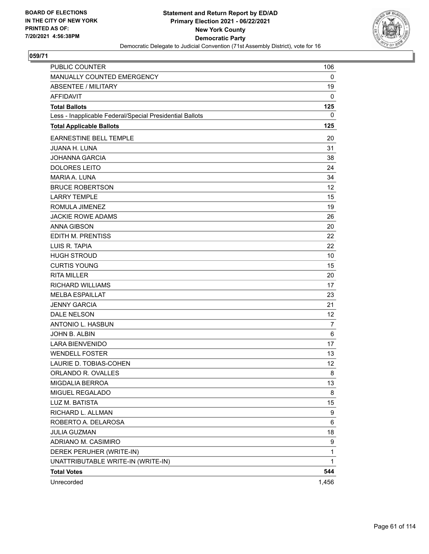

| <b>PUBLIC COUNTER</b>                                    | 106          |
|----------------------------------------------------------|--------------|
| MANUALLY COUNTED EMERGENCY                               | 0            |
| <b>ABSENTEE / MILITARY</b>                               | 19           |
| <b>AFFIDAVIT</b>                                         | 0            |
| <b>Total Ballots</b>                                     | 125          |
| Less - Inapplicable Federal/Special Presidential Ballots | 0            |
| <b>Total Applicable Ballots</b>                          | 125          |
| <b>EARNESTINE BELL TEMPLE</b>                            | 20           |
| <b>JUANA H. LUNA</b>                                     | 31           |
| <b>JOHANNA GARCIA</b>                                    | 38           |
| <b>DOLORES LEITO</b>                                     | 24           |
| <b>MARIA A. LUNA</b>                                     | 34           |
| <b>BRUCE ROBERTSON</b>                                   | 12           |
| <b>LARRY TEMPLE</b>                                      | 15           |
| ROMULA JIMENEZ                                           | 19           |
| <b>JACKIE ROWE ADAMS</b>                                 | 26           |
| <b>ANNA GIBSON</b>                                       | 20           |
| EDITH M. PRENTISS                                        | 22           |
| LUIS R. TAPIA                                            | 22           |
| <b>HUGH STROUD</b>                                       | 10           |
| <b>CURTIS YOUNG</b>                                      | 15           |
| <b>RITA MILLER</b>                                       | 20           |
| <b>RICHARD WILLIAMS</b>                                  | 17           |
| <b>MELBA ESPAILLAT</b>                                   | 23           |
| <b>JENNY GARCIA</b>                                      | 21           |
| DALE NELSON                                              | 12           |
| ANTONIO L. HASBUN                                        | 7            |
| JOHN B. ALBIN                                            | 6            |
| <b>LARA BIENVENIDO</b>                                   | 17           |
| <b>WENDELL FOSTER</b>                                    | 13           |
| LAURIE D. TOBIAS-COHEN                                   | 12           |
| ORLANDO R. OVALLES                                       | 8            |
| MIGDALIA BERROA                                          | 13           |
| MIGUEL REGALADO                                          | 8            |
| LUZ M. BATISTA                                           | 15           |
| RICHARD L. ALLMAN                                        | 9            |
| ROBERTO A. DELAROSA                                      | 6            |
| <b>JULIA GUZMAN</b>                                      | 18           |
| ADRIANO M. CASIMIRO                                      | 9            |
| DEREK PERUHER (WRITE-IN)                                 | $\mathbf{1}$ |
| UNATTRIBUTABLE WRITE-IN (WRITE-IN)                       | 1            |
| <b>Total Votes</b>                                       | 544          |
| Unrecorded                                               | 1,456        |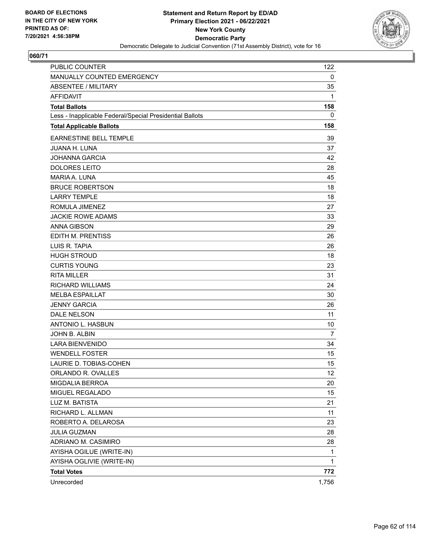

| <b>PUBLIC COUNTER</b>                                    | 122   |
|----------------------------------------------------------|-------|
| MANUALLY COUNTED EMERGENCY                               | 0     |
| <b>ABSENTEE / MILITARY</b>                               | 35    |
| <b>AFFIDAVIT</b>                                         | 1     |
| <b>Total Ballots</b>                                     | 158   |
| Less - Inapplicable Federal/Special Presidential Ballots | 0     |
| <b>Total Applicable Ballots</b>                          | 158   |
| <b>EARNESTINE BELL TEMPLE</b>                            | 39    |
| <b>JUANA H. LUNA</b>                                     | 37    |
| <b>JOHANNA GARCIA</b>                                    | 42    |
| <b>DOLORES LEITO</b>                                     | 28    |
| <b>MARIA A. LUNA</b>                                     | 45    |
| <b>BRUCE ROBERTSON</b>                                   | 18    |
| <b>LARRY TEMPLE</b>                                      | 18    |
| ROMULA JIMENEZ                                           | 27    |
| <b>JACKIE ROWE ADAMS</b>                                 | 33    |
| <b>ANNA GIBSON</b>                                       | 29    |
| EDITH M. PRENTISS                                        | 26    |
| LUIS R. TAPIA                                            | 26    |
| <b>HUGH STROUD</b>                                       | 18    |
| <b>CURTIS YOUNG</b>                                      | 23    |
| <b>RITA MILLER</b>                                       | 31    |
| <b>RICHARD WILLIAMS</b>                                  | 24    |
| <b>MELBA ESPAILLAT</b>                                   | 30    |
| <b>JENNY GARCIA</b>                                      | 26    |
| <b>DALE NELSON</b>                                       | 11    |
| ANTONIO L. HASBUN                                        | 10    |
| JOHN B. ALBIN                                            | 7     |
| <b>LARA BIENVENIDO</b>                                   | 34    |
| <b>WENDELL FOSTER</b>                                    | 15    |
| LAURIE D. TOBIAS-COHEN                                   | 15    |
| ORLANDO R. OVALLES                                       | 12    |
| MIGDALIA BERROA                                          | 20    |
| MIGUEL REGALADO                                          | 15    |
| LUZ M. BATISTA                                           | 21    |
| RICHARD L. ALLMAN                                        | 11    |
| ROBERTO A. DELAROSA                                      | 23    |
| <b>JULIA GUZMAN</b>                                      | 28    |
| ADRIANO M. CASIMIRO                                      | 28    |
| AYISHA OGILUE (WRITE-IN)                                 | 1     |
| AYISHA OGLIVIE (WRITE-IN)                                | 1     |
| <b>Total Votes</b>                                       | 772   |
| Unrecorded                                               | 1,756 |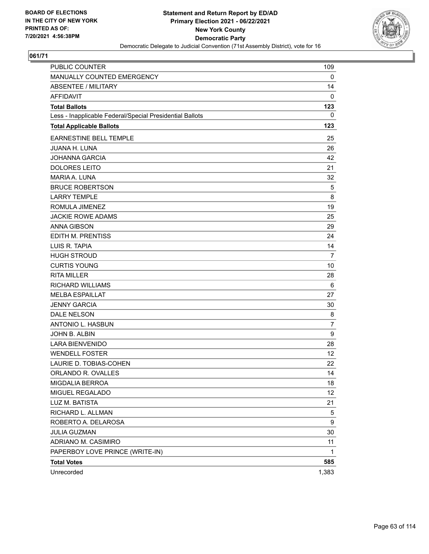

| <b>PUBLIC COUNTER</b>                                    | 109            |
|----------------------------------------------------------|----------------|
| MANUALLY COUNTED EMERGENCY                               | 0              |
| <b>ABSENTEE / MILITARY</b>                               | 14             |
| <b>AFFIDAVIT</b>                                         | 0              |
| <b>Total Ballots</b>                                     | 123            |
| Less - Inapplicable Federal/Special Presidential Ballots | 0              |
| <b>Total Applicable Ballots</b>                          | 123            |
| EARNESTINE BELL TEMPLE                                   | 25             |
| <b>JUANA H. LUNA</b>                                     | 26             |
| <b>JOHANNA GARCIA</b>                                    | 42             |
| <b>DOLORES LEITO</b>                                     | 21             |
| <b>MARIA A. LUNA</b>                                     | 32             |
| <b>BRUCE ROBERTSON</b>                                   | 5              |
| <b>LARRY TEMPLE</b>                                      | 8              |
| ROMULA JIMENEZ                                           | 19             |
| <b>JACKIE ROWE ADAMS</b>                                 | 25             |
| <b>ANNA GIBSON</b>                                       | 29             |
| <b>EDITH M. PRENTISS</b>                                 | 24             |
| LUIS R. TAPIA                                            | 14             |
| <b>HUGH STROUD</b>                                       | $\overline{7}$ |
| <b>CURTIS YOUNG</b>                                      | 10             |
| <b>RITA MILLER</b>                                       | 28             |
| RICHARD WILLIAMS                                         | 6              |
| <b>MELBA ESPAILLAT</b>                                   | 27             |
| <b>JENNY GARCIA</b>                                      | 30             |
| <b>DALE NELSON</b>                                       | 8              |
| <b>ANTONIO L. HASBUN</b>                                 | $\overline{7}$ |
| JOHN B. ALBIN                                            | 9              |
| <b>LARA BIENVENIDO</b>                                   | 28             |
| <b>WENDELL FOSTER</b>                                    | 12             |
| LAURIE D. TOBIAS-COHEN                                   | 22             |
| ORLANDO R. OVALLES                                       | 14             |
| MIGDALIA BERROA                                          | 18             |
| MIGUEL REGALADO                                          | 12             |
| LUZ M. BATISTA                                           | 21             |
| RICHARD L. ALLMAN                                        | 5              |
| ROBERTO A. DELAROSA                                      | 9              |
| <b>JULIA GUZMAN</b>                                      | 30             |
| ADRIANO M. CASIMIRO                                      | 11             |
| PAPERBOY LOVE PRINCE (WRITE-IN)                          | 1              |
| <b>Total Votes</b>                                       | 585            |
| Unrecorded                                               | 1,383          |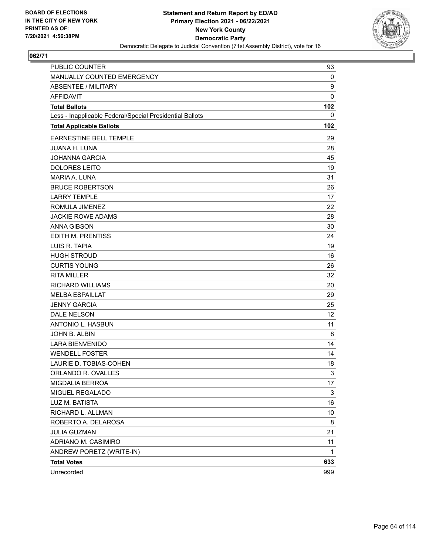

| <b>PUBLIC COUNTER</b>                                    | 93           |
|----------------------------------------------------------|--------------|
| MANUALLY COUNTED EMERGENCY                               | 0            |
| <b>ABSENTEE / MILITARY</b>                               | 9            |
| <b>AFFIDAVIT</b>                                         | 0            |
| <b>Total Ballots</b>                                     | 102          |
| Less - Inapplicable Federal/Special Presidential Ballots | $\mathbf 0$  |
| <b>Total Applicable Ballots</b>                          | 102          |
| <b>EARNESTINE BELL TEMPLE</b>                            | 29           |
| <b>JUANA H. LUNA</b>                                     | 28           |
| <b>JOHANNA GARCIA</b>                                    | 45           |
| <b>DOLORES LEITO</b>                                     | 19           |
| <b>MARIA A. LUNA</b>                                     | 31           |
| <b>BRUCE ROBERTSON</b>                                   | 26           |
| <b>LARRY TEMPLE</b>                                      | 17           |
| ROMULA JIMENEZ                                           | 22           |
| <b>JACKIE ROWE ADAMS</b>                                 | 28           |
| <b>ANNA GIBSON</b>                                       | 30           |
| EDITH M. PRENTISS                                        | 24           |
| LUIS R. TAPIA                                            | 19           |
| <b>HUGH STROUD</b>                                       | 16           |
| <b>CURTIS YOUNG</b>                                      | 26           |
| <b>RITA MILLER</b>                                       | 32           |
| <b>RICHARD WILLIAMS</b>                                  | 20           |
| <b>MELBA ESPAILLAT</b>                                   | 29           |
| <b>JENNY GARCIA</b>                                      | 25           |
| DALE NELSON                                              | 12           |
| ANTONIO L. HASBUN                                        | 11           |
| JOHN B. ALBIN                                            | 8            |
| <b>LARA BIENVENIDO</b>                                   | 14           |
| <b>WENDELL FOSTER</b>                                    | 14           |
| LAURIE D. TOBIAS-COHEN                                   | 18           |
| ORLANDO R. OVALLES                                       | 3            |
| MIGDALIA BERROA                                          | 17           |
| MIGUEL REGALADO                                          | 3            |
| LUZ M. BATISTA                                           | 16           |
| RICHARD L. ALLMAN                                        | 10           |
| ROBERTO A. DELAROSA                                      | 8            |
| JULIA GUZMAN                                             | 21           |
| ADRIANO M. CASIMIRO                                      | 11           |
| ANDREW PORETZ (WRITE-IN)                                 | $\mathbf{1}$ |
| <b>Total Votes</b>                                       | 633          |
| Unrecorded                                               | 999          |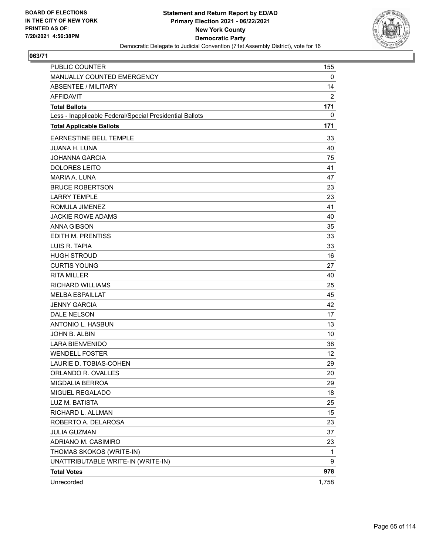

| PUBLIC COUNTER                                           | 155            |
|----------------------------------------------------------|----------------|
| MANUALLY COUNTED EMERGENCY                               | 0              |
| <b>ABSENTEE / MILITARY</b>                               | 14             |
| <b>AFFIDAVIT</b>                                         | $\overline{2}$ |
| <b>Total Ballots</b>                                     | 171            |
| Less - Inapplicable Federal/Special Presidential Ballots | 0              |
| <b>Total Applicable Ballots</b>                          | 171            |
| <b>EARNESTINE BELL TEMPLE</b>                            | 33             |
| <b>JUANA H. LUNA</b>                                     | 40             |
| <b>JOHANNA GARCIA</b>                                    | 75             |
| <b>DOLORES LEITO</b>                                     | 41             |
| MARIA A. LUNA                                            | 47             |
| <b>BRUCE ROBERTSON</b>                                   | 23             |
| <b>LARRY TEMPLE</b>                                      | 23             |
| ROMULA JIMENEZ                                           | 41             |
| <b>JACKIE ROWE ADAMS</b>                                 | 40             |
| <b>ANNA GIBSON</b>                                       | 35             |
| EDITH M. PRENTISS                                        | 33             |
| LUIS R. TAPIA                                            | 33             |
| <b>HUGH STROUD</b>                                       | 16             |
| <b>CURTIS YOUNG</b>                                      | 27             |
| <b>RITA MILLER</b>                                       | 40             |
| <b>RICHARD WILLIAMS</b>                                  | 25             |
| <b>MELBA ESPAILLAT</b>                                   | 45             |
| <b>JENNY GARCIA</b>                                      | 42             |
| DALE NELSON                                              | 17             |
| ANTONIO L. HASBUN                                        | 13             |
| JOHN B. ALBIN                                            | 10             |
| <b>LARA BIENVENIDO</b>                                   | 38             |
| <b>WENDELL FOSTER</b>                                    | 12             |
| LAURIE D. TOBIAS-COHEN                                   | 29             |
| ORLANDO R. OVALLES                                       | 20             |
| MIGDALIA BERROA                                          | 29             |
| MIGUEL REGALADO                                          | 18             |
| LUZ M. BATISTA                                           | 25             |
| RICHARD L. ALLMAN                                        | 15             |
| ROBERTO A. DELAROSA                                      | 23             |
| <b>JULIA GUZMAN</b>                                      | 37             |
| ADRIANO M. CASIMIRO                                      | 23             |
| THOMAS SKOKOS (WRITE-IN)                                 | 1              |
| UNATTRIBUTABLE WRITE-IN (WRITE-IN)                       | 9              |
| <b>Total Votes</b>                                       | 978            |
| Unrecorded                                               | 1,758          |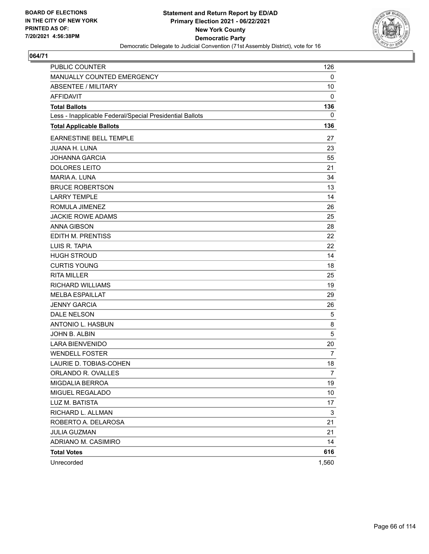

| <b>PUBLIC COUNTER</b>                                    | 126            |
|----------------------------------------------------------|----------------|
| MANUALLY COUNTED EMERGENCY                               | 0              |
| <b>ABSENTEE / MILITARY</b>                               | 10             |
| <b>AFFIDAVIT</b>                                         | 0              |
| <b>Total Ballots</b>                                     | 136            |
| Less - Inapplicable Federal/Special Presidential Ballots | 0              |
| <b>Total Applicable Ballots</b>                          | 136            |
| <b>EARNESTINE BELL TEMPLE</b>                            | 27             |
| <b>JUANA H. LUNA</b>                                     | 23             |
| <b>JOHANNA GARCIA</b>                                    | 55             |
| <b>DOLORES LEITO</b>                                     | 21             |
| <b>MARIA A. LUNA</b>                                     | 34             |
| <b>BRUCE ROBERTSON</b>                                   | 13             |
| <b>LARRY TEMPLE</b>                                      | 14             |
| ROMULA JIMENEZ                                           | 26             |
| <b>JACKIE ROWE ADAMS</b>                                 | 25             |
| <b>ANNA GIBSON</b>                                       | 28             |
| <b>EDITH M. PRENTISS</b>                                 | 22             |
| LUIS R. TAPIA                                            | 22             |
| <b>HUGH STROUD</b>                                       | 14             |
| <b>CURTIS YOUNG</b>                                      | 18             |
| <b>RITA MILLER</b>                                       | 25             |
| <b>RICHARD WILLIAMS</b>                                  | 19             |
| <b>MELBA ESPAILLAT</b>                                   | 29             |
| <b>JENNY GARCIA</b>                                      | 26             |
| DALE NELSON                                              | 5              |
| ANTONIO L. HASBUN                                        | 8              |
| JOHN B. ALBIN                                            | 5              |
| <b>LARA BIENVENIDO</b>                                   | 20             |
| <b>WENDELL FOSTER</b>                                    | 7              |
| LAURIE D. TOBIAS-COHEN                                   | 18             |
| ORLANDO R. OVALLES                                       | $\overline{7}$ |
| MIGDALIA BERROA                                          | 19             |
| MIGUEL REGALADO                                          | 10             |
| LUZ M. BATISTA                                           | 17             |
| RICHARD L. ALLMAN                                        | 3              |
| ROBERTO A. DELAROSA                                      | 21             |
| <b>JULIA GUZMAN</b>                                      | 21             |
| ADRIANO M. CASIMIRO                                      | 14             |
| <b>Total Votes</b>                                       | 616            |
| Unrecorded                                               | 1,560          |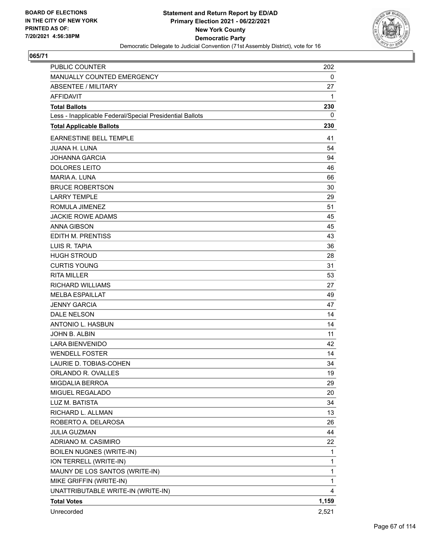

| PUBLIC COUNTER                                           | 202   |
|----------------------------------------------------------|-------|
| MANUALLY COUNTED EMERGENCY                               | 0     |
| ABSENTEE / MILITARY                                      | 27    |
| <b>AFFIDAVIT</b>                                         | 1     |
| <b>Total Ballots</b>                                     | 230   |
| Less - Inapplicable Federal/Special Presidential Ballots | 0     |
| <b>Total Applicable Ballots</b>                          | 230   |
| <b>EARNESTINE BELL TEMPLE</b>                            | 41    |
| <b>JUANA H. LUNA</b>                                     | 54    |
| <b>JOHANNA GARCIA</b>                                    | 94    |
| <b>DOLORES LEITO</b>                                     | 46    |
| <b>MARIA A. LUNA</b>                                     | 66    |
| <b>BRUCE ROBERTSON</b>                                   | 30    |
| <b>LARRY TEMPLE</b>                                      | 29    |
| ROMULA JIMENEZ                                           | 51    |
| <b>JACKIE ROWE ADAMS</b>                                 | 45    |
| <b>ANNA GIBSON</b>                                       | 45    |
| EDITH M. PRENTISS                                        | 43    |
| LUIS R. TAPIA                                            | 36    |
| <b>HUGH STROUD</b>                                       | 28    |
| <b>CURTIS YOUNG</b>                                      | 31    |
| <b>RITA MILLER</b>                                       | 53    |
| <b>RICHARD WILLIAMS</b>                                  | 27    |
| <b>MELBA ESPAILLAT</b>                                   | 49    |
| <b>JENNY GARCIA</b>                                      | 47    |
| <b>DALE NELSON</b>                                       | 14    |
| <b>ANTONIO L. HASBUN</b>                                 | 14    |
| JOHN B. ALBIN                                            | 11    |
| <b>LARA BIENVENIDO</b>                                   | 42    |
| <b>WENDELL FOSTER</b>                                    | 14    |
| LAURIE D. TOBIAS-COHEN                                   | 34    |
| ORLANDO R. OVALLES                                       | 19    |
| MIGDALIA BERROA                                          | 29    |
| MIGUEL REGALADO                                          | 20    |
| LUZ M. BATISTA                                           | 34    |
| RICHARD L. ALLMAN                                        | 13    |
| ROBERTO A. DELAROSA                                      | 26    |
| <b>JULIA GUZMAN</b>                                      | 44    |
| ADRIANO M. CASIMIRO                                      | 22    |
| <b>BOILEN NUGNES (WRITE-IN)</b>                          | 1     |
| ION TERRELL (WRITE-IN)                                   | 1     |
| MAUNY DE LOS SANTOS (WRITE-IN)                           | 1     |
| MIKE GRIFFIN (WRITE-IN)                                  | 1     |
| UNATTRIBUTABLE WRITE-IN (WRITE-IN)                       | 4     |
| <b>Total Votes</b>                                       | 1,159 |
| Unrecorded                                               | 2,521 |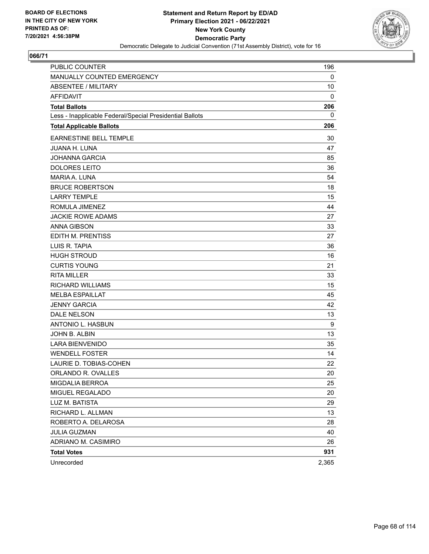

| <b>PUBLIC COUNTER</b>                                    | 196   |
|----------------------------------------------------------|-------|
| MANUALLY COUNTED EMERGENCY                               | 0     |
| <b>ABSENTEE / MILITARY</b>                               | 10    |
| <b>AFFIDAVIT</b>                                         | 0     |
| <b>Total Ballots</b>                                     | 206   |
| Less - Inapplicable Federal/Special Presidential Ballots | 0     |
| <b>Total Applicable Ballots</b>                          | 206   |
| <b>EARNESTINE BELL TEMPLE</b>                            | 30    |
| <b>JUANA H. LUNA</b>                                     | 47    |
| <b>JOHANNA GARCIA</b>                                    | 85    |
| <b>DOLORES LEITO</b>                                     | 36    |
| <b>MARIA A. LUNA</b>                                     | 54    |
| <b>BRUCE ROBERTSON</b>                                   | 18    |
| <b>LARRY TEMPLE</b>                                      | 15    |
| ROMULA JIMENEZ                                           | 44    |
| <b>JACKIE ROWE ADAMS</b>                                 | 27    |
| <b>ANNA GIBSON</b>                                       | 33    |
| EDITH M. PRENTISS                                        | 27    |
| LUIS R. TAPIA                                            | 36    |
| <b>HUGH STROUD</b>                                       | 16    |
| <b>CURTIS YOUNG</b>                                      | 21    |
| <b>RITA MILLER</b>                                       | 33    |
| <b>RICHARD WILLIAMS</b>                                  | 15    |
| <b>MELBA ESPAILLAT</b>                                   | 45    |
| <b>JENNY GARCIA</b>                                      | 42    |
| <b>DALE NELSON</b>                                       | 13    |
| ANTONIO L. HASBUN                                        | 9     |
| JOHN B. ALBIN                                            | 13    |
| <b>LARA BIENVENIDO</b>                                   | 35    |
| <b>WENDELL FOSTER</b>                                    | 14    |
| LAURIE D. TOBIAS-COHEN                                   | 22    |
| ORLANDO R. OVALLES                                       | 20    |
| MIGDALIA BERROA                                          | 25    |
| MIGUEL REGALADO                                          | 20    |
| LUZ M. BATISTA                                           | 29    |
| RICHARD L. ALLMAN                                        | 13    |
| ROBERTO A. DELAROSA                                      | 28    |
| <b>JULIA GUZMAN</b>                                      | 40    |
| ADRIANO M. CASIMIRO                                      | 26    |
| <b>Total Votes</b>                                       | 931   |
| Unrecorded                                               | 2,365 |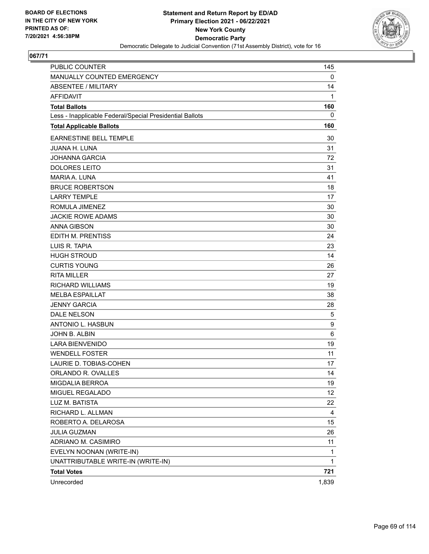

| PUBLIC COUNTER                                           | 145   |
|----------------------------------------------------------|-------|
| MANUALLY COUNTED EMERGENCY                               | 0     |
| <b>ABSENTEE / MILITARY</b>                               | 14    |
| <b>AFFIDAVIT</b>                                         | 1     |
| <b>Total Ballots</b>                                     | 160   |
| Less - Inapplicable Federal/Special Presidential Ballots | 0     |
| <b>Total Applicable Ballots</b>                          | 160   |
| EARNESTINE BELL TEMPLE                                   | 30    |
| <b>JUANA H. LUNA</b>                                     | 31    |
| <b>JOHANNA GARCIA</b>                                    | 72    |
| <b>DOLORES LEITO</b>                                     | 31    |
| <b>MARIA A. LUNA</b>                                     | 41    |
| <b>BRUCE ROBERTSON</b>                                   | 18    |
| <b>LARRY TEMPLE</b>                                      | 17    |
| ROMULA JIMENEZ                                           | 30    |
| <b>JACKIE ROWE ADAMS</b>                                 | 30    |
| <b>ANNA GIBSON</b>                                       | 30    |
| EDITH M. PRENTISS                                        | 24    |
| LUIS R. TAPIA                                            | 23    |
| <b>HUGH STROUD</b>                                       | 14    |
| <b>CURTIS YOUNG</b>                                      | 26    |
| <b>RITA MILLER</b>                                       | 27    |
| <b>RICHARD WILLIAMS</b>                                  | 19    |
| <b>MELBA ESPAILLAT</b>                                   | 38    |
| <b>JENNY GARCIA</b>                                      | 28    |
| DALE NELSON                                              | 5     |
| ANTONIO L. HASBUN                                        | 9     |
| JOHN B. ALBIN                                            | 6     |
| <b>LARA BIENVENIDO</b>                                   | 19    |
| <b>WENDELL FOSTER</b>                                    | 11    |
| LAURIE D. TOBIAS-COHEN                                   | 17    |
| ORLANDO R. OVALLES                                       | 14    |
| MIGDALIA BERROA                                          | 19    |
| MIGUEL REGALADO                                          | 12    |
| LUZ M. BATISTA                                           | 22    |
| RICHARD L. ALLMAN                                        | 4     |
| ROBERTO A. DELAROSA                                      | 15    |
| <b>JULIA GUZMAN</b>                                      | 26    |
| ADRIANO M. CASIMIRO                                      | 11    |
| EVELYN NOONAN (WRITE-IN)                                 | 1     |
| UNATTRIBUTABLE WRITE-IN (WRITE-IN)                       | 1     |
| <b>Total Votes</b>                                       | 721   |
| Unrecorded                                               | 1,839 |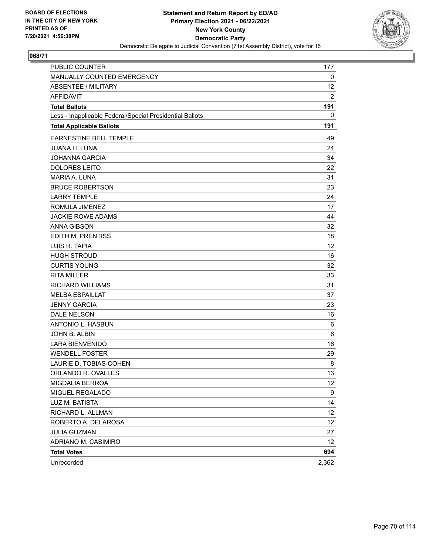

| PUBLIC COUNTER                                           | 177   |
|----------------------------------------------------------|-------|
| MANUALLY COUNTED EMERGENCY                               | 0     |
| <b>ABSENTEE / MILITARY</b>                               | 12    |
| <b>AFFIDAVIT</b>                                         | 2     |
| <b>Total Ballots</b>                                     | 191   |
| Less - Inapplicable Federal/Special Presidential Ballots | 0     |
| <b>Total Applicable Ballots</b>                          | 191   |
| EARNESTINE BELL TEMPLE                                   | 49    |
| <b>JUANA H. LUNA</b>                                     | 24    |
| <b>JOHANNA GARCIA</b>                                    | 34    |
| <b>DOLORES LEITO</b>                                     | 22    |
| <b>MARIA A. LUNA</b>                                     | 31    |
| <b>BRUCE ROBERTSON</b>                                   | 23    |
| <b>LARRY TEMPLE</b>                                      | 24    |
| ROMULA JIMENEZ                                           | 17    |
| <b>JACKIE ROWE ADAMS</b>                                 | 44    |
| <b>ANNA GIBSON</b>                                       | 32    |
| EDITH M. PRENTISS                                        | 18    |
| LUIS R. TAPIA                                            | 12    |
| <b>HUGH STROUD</b>                                       | 16    |
| <b>CURTIS YOUNG</b>                                      | 32    |
| <b>RITA MILLER</b>                                       | 33    |
| <b>RICHARD WILLIAMS</b>                                  | 31    |
| <b>MELBA ESPAILLAT</b>                                   | 37    |
| <b>JENNY GARCIA</b>                                      | 23    |
| DALE NELSON                                              | 16    |
| ANTONIO L. HASBUN                                        | 6     |
| JOHN B. ALBIN                                            | 6     |
| <b>LARA BIENVENIDO</b>                                   | 16    |
| <b>WENDELL FOSTER</b>                                    | 29    |
| LAURIE D. TOBIAS-COHEN                                   | 8     |
| ORLANDO R. OVALLES                                       | 13    |
| MIGDALIA BERROA                                          | 12    |
| MIGUEL REGALADO                                          | 9     |
| LUZ M. BATISTA                                           | 14    |
| RICHARD L. ALLMAN                                        | 12    |
| ROBERTO A. DELAROSA                                      | 12    |
| <b>JULIA GUZMAN</b>                                      | 27    |
| ADRIANO M. CASIMIRO                                      | 12    |
| <b>Total Votes</b>                                       | 694   |
| Unrecorded                                               | 2,362 |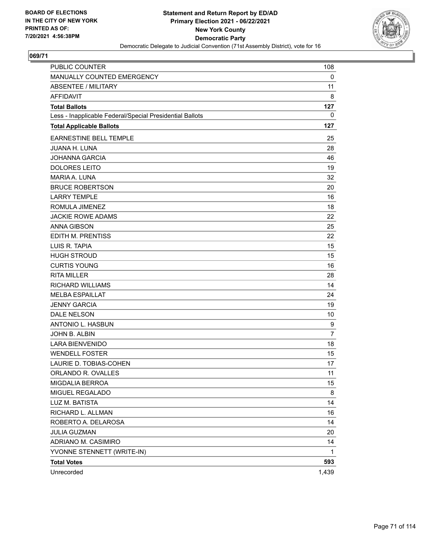

| PUBLIC COUNTER                                           | 108            |
|----------------------------------------------------------|----------------|
| MANUALLY COUNTED EMERGENCY                               | 0              |
| <b>ABSENTEE / MILITARY</b>                               | 11             |
| <b>AFFIDAVIT</b>                                         | 8              |
| <b>Total Ballots</b>                                     | 127            |
| Less - Inapplicable Federal/Special Presidential Ballots | 0              |
| <b>Total Applicable Ballots</b>                          | 127            |
| <b>EARNESTINE BELL TEMPLE</b>                            | 25             |
| <b>JUANA H. LUNA</b>                                     | 28             |
| <b>JOHANNA GARCIA</b>                                    | 46             |
| <b>DOLORES LEITO</b>                                     | 19             |
| <b>MARIA A. LUNA</b>                                     | 32             |
| <b>BRUCE ROBERTSON</b>                                   | 20             |
| <b>LARRY TEMPLE</b>                                      | 16             |
| ROMULA JIMENEZ                                           | 18             |
| <b>JACKIE ROWE ADAMS</b>                                 | 22             |
| <b>ANNA GIBSON</b>                                       | 25             |
| EDITH M. PRENTISS                                        | 22             |
| LUIS R. TAPIA                                            | 15             |
| <b>HUGH STROUD</b>                                       | 15             |
| <b>CURTIS YOUNG</b>                                      | 16             |
| <b>RITA MILLER</b>                                       | 28             |
| <b>RICHARD WILLIAMS</b>                                  | 14             |
| <b>MELBA ESPAILLAT</b>                                   | 24             |
| <b>JENNY GARCIA</b>                                      | 19             |
| DALE NELSON                                              | 10             |
| ANTONIO L. HASBUN                                        | 9              |
| JOHN B. ALBIN                                            | $\overline{7}$ |
| <b>LARA BIENVENIDO</b>                                   | 18             |
| <b>WENDELL FOSTER</b>                                    | 15             |
| LAURIE D. TOBIAS-COHEN                                   | 17             |
| ORLANDO R. OVALLES                                       | 11             |
| MIGDALIA BERROA                                          | 15             |
| MIGUEL REGALADO                                          | 8              |
| LUZ M. BATISTA                                           | 14             |
| RICHARD L. ALLMAN                                        | 16             |
| ROBERTO A. DELAROSA                                      | 14             |
| JULIA GUZMAN                                             | 20             |
| ADRIANO M. CASIMIRO                                      | 14             |
| YVONNE STENNETT (WRITE-IN)                               | 1              |
| <b>Total Votes</b>                                       | 593            |
| Unrecorded                                               | 1,439          |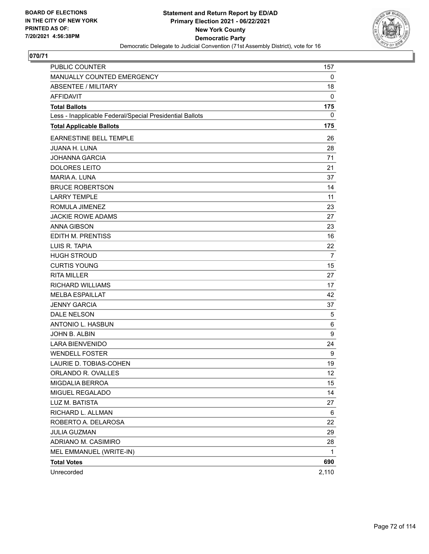

| <b>PUBLIC COUNTER</b>                                    | 157   |
|----------------------------------------------------------|-------|
| MANUALLY COUNTED EMERGENCY                               | 0     |
| <b>ABSENTEE / MILITARY</b>                               | 18    |
| AFFIDAVIT                                                | 0     |
| <b>Total Ballots</b>                                     | 175   |
| Less - Inapplicable Federal/Special Presidential Ballots | 0     |
| <b>Total Applicable Ballots</b>                          | 175   |
| <b>EARNESTINE BELL TEMPLE</b>                            | 26    |
| <b>JUANA H. LUNA</b>                                     | 28    |
| <b>JOHANNA GARCIA</b>                                    | 71    |
| <b>DOLORES LEITO</b>                                     | 21    |
| <b>MARIA A. LUNA</b>                                     | 37    |
| <b>BRUCE ROBERTSON</b>                                   | 14    |
| <b>LARRY TEMPLE</b>                                      | 11    |
| ROMULA JIMENEZ                                           | 23    |
| <b>JACKIE ROWE ADAMS</b>                                 | 27    |
| <b>ANNA GIBSON</b>                                       | 23    |
| <b>EDITH M. PRENTISS</b>                                 | 16    |
| LUIS R. TAPIA                                            | 22    |
| <b>HUGH STROUD</b>                                       | 7     |
| <b>CURTIS YOUNG</b>                                      | 15    |
| <b>RITA MILLER</b>                                       | 27    |
| <b>RICHARD WILLIAMS</b>                                  | 17    |
| <b>MELBA ESPAILLAT</b>                                   | 42    |
| <b>JENNY GARCIA</b>                                      | 37    |
| <b>DALE NELSON</b>                                       | 5     |
| <b>ANTONIO L. HASBUN</b>                                 | 6     |
| JOHN B. ALBIN                                            | 9     |
| <b>LARA BIENVENIDO</b>                                   | 24    |
| <b>WENDELL FOSTER</b>                                    | 9     |
| LAURIE D. TOBIAS-COHEN                                   | 19    |
| ORLANDO R. OVALLES                                       | 12    |
| MIGDALIA BERROA                                          | 15    |
| MIGUEL REGALADO                                          | 14    |
| LUZ M. BATISTA                                           | 27    |
| RICHARD L. ALLMAN                                        | 6     |
| ROBERTO A. DELAROSA                                      | 22    |
| <b>JULIA GUZMAN</b>                                      | 29    |
| ADRIANO M. CASIMIRO                                      | 28    |
| MEL EMMANUEL (WRITE-IN)                                  | 1     |
| <b>Total Votes</b>                                       | 690   |
| Unrecorded                                               | 2,110 |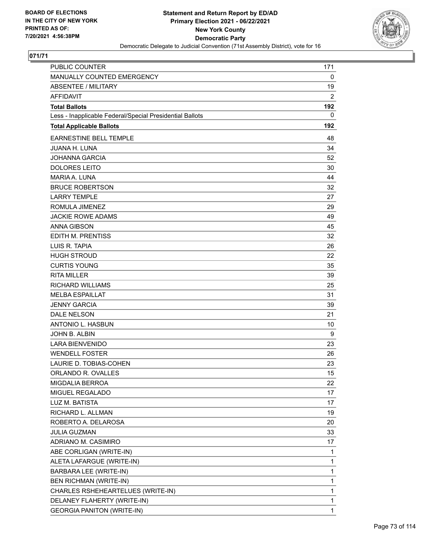

| <b>PUBLIC COUNTER</b>                                    | 171          |
|----------------------------------------------------------|--------------|
| MANUALLY COUNTED EMERGENCY                               | 0            |
| <b>ABSENTEE / MILITARY</b>                               | 19           |
| <b>AFFIDAVIT</b>                                         | 2            |
| <b>Total Ballots</b>                                     | 192          |
| Less - Inapplicable Federal/Special Presidential Ballots | 0            |
| <b>Total Applicable Ballots</b>                          | 192          |
| <b>EARNESTINE BELL TEMPLE</b>                            | 48           |
| <b>JUANA H. LUNA</b>                                     | 34           |
| <b>JOHANNA GARCIA</b>                                    | 52           |
| <b>DOLORES LEITO</b>                                     | 30           |
| <b>MARIA A. LUNA</b>                                     | 44           |
| <b>BRUCE ROBERTSON</b>                                   | 32           |
| <b>LARRY TEMPLE</b>                                      | 27           |
| ROMULA JIMENEZ                                           | 29           |
| <b>JACKIE ROWE ADAMS</b>                                 | 49           |
| <b>ANNA GIBSON</b>                                       | 45           |
| <b>EDITH M. PRENTISS</b>                                 | 32           |
| LUIS R. TAPIA                                            | 26           |
| <b>HUGH STROUD</b>                                       | 22           |
| <b>CURTIS YOUNG</b>                                      | 35           |
| <b>RITA MILLER</b>                                       | 39           |
| <b>RICHARD WILLIAMS</b>                                  | 25           |
| <b>MELBA ESPAILLAT</b>                                   | 31           |
| <b>JENNY GARCIA</b>                                      | 39           |
| <b>DALE NELSON</b>                                       | 21           |
| ANTONIO L. HASBUN                                        | 10           |
| JOHN B. ALBIN                                            | 9            |
| <b>LARA BIENVENIDO</b>                                   | 23           |
| <b>WENDELL FOSTER</b>                                    | 26           |
| LAURIE D. TOBIAS-COHEN                                   | 23           |
| ORLANDO R. OVALLES                                       | 15           |
| <b>MIGDALIA BERROA</b>                                   | 22           |
| MIGUEL REGALADO                                          | 17           |
| LUZ M. BATISTA                                           | 17           |
| RICHARD L. ALLMAN                                        | 19           |
| ROBERTO A. DELAROSA                                      | 20           |
| <b>JULIA GUZMAN</b>                                      | 33           |
| ADRIANO M. CASIMIRO                                      | 17           |
| ABE CORLIGAN (WRITE-IN)                                  | 1            |
| ALETA LAFARGUE (WRITE-IN)                                | $\mathbf{1}$ |
| BARBARA LEE (WRITE-IN)                                   | 1            |
| <b>BEN RICHMAN (WRITE-IN)</b>                            | 1            |
| CHARLES RSHEHEARTELUES (WRITE-IN)                        | 1            |
| DELANEY FLAHERTY (WRITE-IN)                              | 1            |
| <b>GEORGIA PANITON (WRITE-IN)</b>                        | 1            |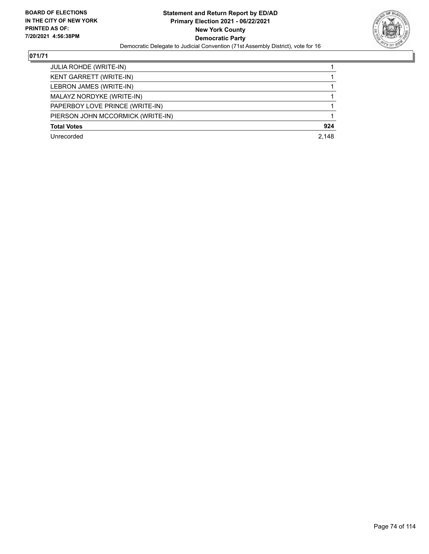

| <b>JULIA ROHDE (WRITE-IN)</b>     |       |
|-----------------------------------|-------|
|                                   |       |
| <b>KENT GARRETT (WRITE-IN)</b>    |       |
| LEBRON JAMES (WRITE-IN)           |       |
| MALAYZ NORDYKE (WRITE-IN)         |       |
| PAPERBOY LOVE PRINCE (WRITE-IN)   |       |
| PIERSON JOHN MCCORMICK (WRITE-IN) |       |
| <b>Total Votes</b>                | 924   |
| Unrecorded                        | 2.148 |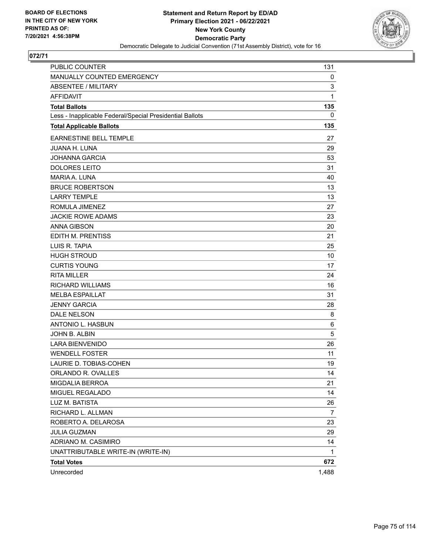

| <b>PUBLIC COUNTER</b>                                    | 131            |
|----------------------------------------------------------|----------------|
| MANUALLY COUNTED EMERGENCY                               | 0              |
| <b>ABSENTEE / MILITARY</b>                               | 3              |
| <b>AFFIDAVIT</b>                                         | 1              |
| <b>Total Ballots</b>                                     | 135            |
| Less - Inapplicable Federal/Special Presidential Ballots | 0              |
| <b>Total Applicable Ballots</b>                          | 135            |
| <b>EARNESTINE BELL TEMPLE</b>                            | 27             |
| <b>JUANA H. LUNA</b>                                     | 29             |
| <b>JOHANNA GARCIA</b>                                    | 53             |
| <b>DOLORES LEITO</b>                                     | 31             |
| <b>MARIA A. LUNA</b>                                     | 40             |
| <b>BRUCE ROBERTSON</b>                                   | 13             |
| <b>LARRY TEMPLE</b>                                      | 13             |
| ROMULA JIMENEZ                                           | 27             |
| <b>JACKIE ROWE ADAMS</b>                                 | 23             |
| <b>ANNA GIBSON</b>                                       | 20             |
| EDITH M. PRENTISS                                        | 21             |
| LUIS R. TAPIA                                            | 25             |
| <b>HUGH STROUD</b>                                       | 10             |
| <b>CURTIS YOUNG</b>                                      | 17             |
| <b>RITA MILLER</b>                                       | 24             |
| <b>RICHARD WILLIAMS</b>                                  | 16             |
| <b>MELBA ESPAILLAT</b>                                   | 31             |
| <b>JENNY GARCIA</b>                                      | 28             |
| DALE NELSON                                              | 8              |
| ANTONIO L. HASBUN                                        | 6              |
| JOHN B. ALBIN                                            | 5              |
| <b>LARA BIENVENIDO</b>                                   | 26             |
| <b>WENDELL FOSTER</b>                                    | 11             |
| LAURIE D. TOBIAS-COHEN                                   | 19             |
| ORLANDO R. OVALLES                                       | 14             |
| MIGDALIA BERROA                                          | 21             |
| MIGUEL REGALADO                                          | 14             |
| LUZ M. BATISTA                                           | 26             |
| RICHARD L. ALLMAN                                        | $\overline{7}$ |
| ROBERTO A. DELAROSA                                      | 23             |
| <b>JULIA GUZMAN</b>                                      | 29             |
| ADRIANO M. CASIMIRO                                      | 14             |
| UNATTRIBUTABLE WRITE-IN (WRITE-IN)                       | 1              |
| <b>Total Votes</b>                                       | 672            |
| Unrecorded                                               | 1,488          |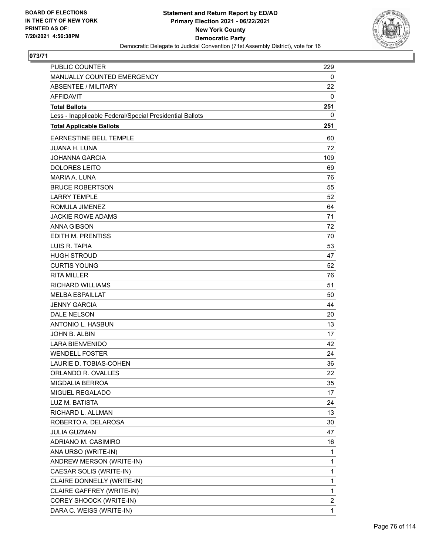

| <b>PUBLIC COUNTER</b>                                    | 229            |
|----------------------------------------------------------|----------------|
| MANUALLY COUNTED EMERGENCY                               | 0              |
| ABSENTEE / MILITARY                                      | 22             |
| <b>AFFIDAVIT</b>                                         | 0              |
| <b>Total Ballots</b>                                     | 251            |
| Less - Inapplicable Federal/Special Presidential Ballots | 0              |
| <b>Total Applicable Ballots</b>                          | 251            |
| <b>EARNESTINE BELL TEMPLE</b>                            | 60             |
| <b>JUANA H. LUNA</b>                                     | 72             |
| <b>JOHANNA GARCIA</b>                                    | 109            |
| <b>DOLORES LEITO</b>                                     | 69             |
| <b>MARIA A. LUNA</b>                                     | 76             |
| <b>BRUCE ROBERTSON</b>                                   | 55             |
| <b>LARRY TEMPLE</b>                                      | 52             |
| ROMULA JIMENEZ                                           | 64             |
| <b>JACKIE ROWE ADAMS</b>                                 | 71             |
| <b>ANNA GIBSON</b>                                       | 72             |
| EDITH M. PRENTISS                                        | 70             |
| LUIS R. TAPIA                                            | 53             |
| <b>HUGH STROUD</b>                                       | 47             |
| <b>CURTIS YOUNG</b>                                      | 52             |
| <b>RITA MILLER</b>                                       | 76             |
| <b>RICHARD WILLIAMS</b>                                  | 51             |
| <b>MELBA ESPAILLAT</b>                                   | 50             |
| <b>JENNY GARCIA</b>                                      | 44             |
| <b>DALE NELSON</b>                                       | 20             |
| ANTONIO L. HASBUN                                        | 13             |
| JOHN B. ALBIN                                            | 17             |
| <b>LARA BIENVENIDO</b>                                   | 42             |
| <b>WENDELL FOSTER</b>                                    | 24             |
| LAURIE D. TOBIAS-COHEN                                   | 36             |
| ORLANDO R. OVALLES                                       | 22             |
| <b>MIGDALIA BERROA</b>                                   | 35             |
| MIGUEL REGALADO                                          | 17             |
| LUZ M. BATISTA                                           | 24             |
| RICHARD L. ALLMAN                                        | 13             |
| ROBERTO A. DELAROSA                                      | 30             |
| <b>JULIA GUZMAN</b>                                      | 47             |
| ADRIANO M. CASIMIRO                                      | 16             |
| ANA URSO (WRITE-IN)                                      | 1              |
| ANDREW MERSON (WRITE-IN)                                 | 1              |
| CAESAR SOLIS (WRITE-IN)                                  | 1              |
| CLAIRE DONNELLY (WRITE-IN)                               | 1              |
| CLAIRE GAFFREY (WRITE-IN)                                | 1              |
| COREY SHOOCK (WRITE-IN)                                  | $\overline{c}$ |
| DARA C. WEISS (WRITE-IN)                                 | 1              |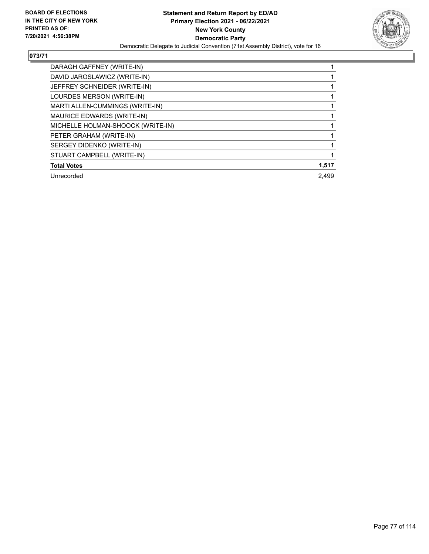

| DARAGH GAFFNEY (WRITE-IN)         |       |
|-----------------------------------|-------|
| DAVID JAROSLAWICZ (WRITE-IN)      |       |
| JEFFREY SCHNEIDER (WRITE-IN)      |       |
| LOURDES MERSON (WRITE-IN)         |       |
| MARTI ALLEN-CUMMINGS (WRITE-IN)   |       |
| MAURICE EDWARDS (WRITE-IN)        |       |
| MICHELLE HOLMAN-SHOOCK (WRITE-IN) |       |
| PETER GRAHAM (WRITE-IN)           |       |
| SERGEY DIDENKO (WRITE-IN)         |       |
| STUART CAMPBELL (WRITE-IN)        |       |
| <b>Total Votes</b>                | 1,517 |
| Unrecorded                        | 2.499 |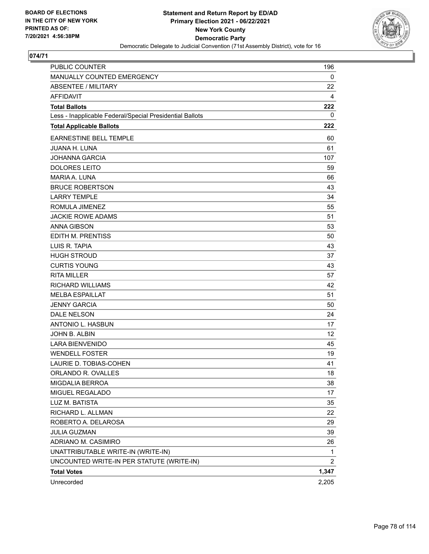

| <b>PUBLIC COUNTER</b>                                    | 196            |
|----------------------------------------------------------|----------------|
| MANUALLY COUNTED EMERGENCY                               | 0              |
| <b>ABSENTEE / MILITARY</b>                               | 22             |
| <b>AFFIDAVIT</b>                                         | 4              |
| <b>Total Ballots</b>                                     | 222            |
| Less - Inapplicable Federal/Special Presidential Ballots | 0              |
| <b>Total Applicable Ballots</b>                          | 222            |
| <b>EARNESTINE BELL TEMPLE</b>                            | 60             |
| <b>JUANA H. LUNA</b>                                     | 61             |
| JOHANNA GARCIA                                           | 107            |
| <b>DOLORES LEITO</b>                                     | 59             |
| <b>MARIA A. LUNA</b>                                     | 66             |
| <b>BRUCE ROBERTSON</b>                                   | 43             |
| <b>LARRY TEMPLE</b>                                      | 34             |
| ROMULA JIMENEZ                                           | 55             |
| <b>JACKIE ROWE ADAMS</b>                                 | 51             |
| <b>ANNA GIBSON</b>                                       | 53             |
| <b>EDITH M. PRENTISS</b>                                 | 50             |
| LUIS R. TAPIA                                            | 43             |
| <b>HUGH STROUD</b>                                       | 37             |
| <b>CURTIS YOUNG</b>                                      | 43             |
| <b>RITA MILLER</b>                                       | 57             |
| RICHARD WILLIAMS                                         | 42             |
| <b>MELBA ESPAILLAT</b>                                   | 51             |
| <b>JENNY GARCIA</b>                                      | 50             |
| <b>DALE NELSON</b>                                       | 24             |
| <b>ANTONIO L. HASBUN</b>                                 | 17             |
| JOHN B. ALBIN                                            | 12             |
| <b>LARA BIENVENIDO</b>                                   | 45             |
| <b>WENDELL FOSTER</b>                                    | 19             |
| LAURIE D. TOBIAS-COHEN                                   | 41             |
| ORLANDO R. OVALLES                                       | 18             |
| <b>MIGDALIA BERROA</b>                                   | 38             |
| MIGUEL REGALADO                                          | 17             |
| LUZ M. BATISTA                                           | 35             |
| RICHARD L. ALLMAN                                        | 22             |
| ROBERTO A. DELAROSA                                      | 29             |
| <b>JULIA GUZMAN</b>                                      | 39             |
| ADRIANO M. CASIMIRO                                      | 26             |
| UNATTRIBUTABLE WRITE-IN (WRITE-IN)                       | 1              |
| UNCOUNTED WRITE-IN PER STATUTE (WRITE-IN)                | $\overline{c}$ |
| <b>Total Votes</b>                                       | 1,347          |
| Unrecorded                                               | 2,205          |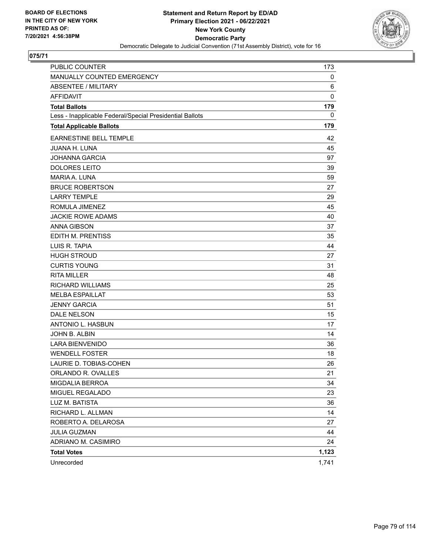

| PUBLIC COUNTER                                           | 173         |
|----------------------------------------------------------|-------------|
| MANUALLY COUNTED EMERGENCY                               | 0           |
| <b>ABSENTEE / MILITARY</b>                               | 6           |
| <b>AFFIDAVIT</b>                                         | $\mathbf 0$ |
| <b>Total Ballots</b>                                     | 179         |
| Less - Inapplicable Federal/Special Presidential Ballots | 0           |
| <b>Total Applicable Ballots</b>                          | 179         |
| <b>EARNESTINE BELL TEMPLE</b>                            | 42          |
| <b>JUANA H. LUNA</b>                                     | 45          |
| <b>JOHANNA GARCIA</b>                                    | 97          |
| <b>DOLORES LEITO</b>                                     | 39          |
| <b>MARIA A. LUNA</b>                                     | 59          |
| <b>BRUCE ROBERTSON</b>                                   | 27          |
| <b>LARRY TEMPLE</b>                                      | 29          |
| ROMULA JIMENEZ                                           | 45          |
| <b>JACKIE ROWE ADAMS</b>                                 | 40          |
| <b>ANNA GIBSON</b>                                       | 37          |
| EDITH M. PRENTISS                                        | 35          |
| LUIS R. TAPIA                                            | 44          |
| <b>HUGH STROUD</b>                                       | 27          |
| <b>CURTIS YOUNG</b>                                      | 31          |
| <b>RITA MILLER</b>                                       | 48          |
| <b>RICHARD WILLIAMS</b>                                  | 25          |
| <b>MELBA ESPAILLAT</b>                                   | 53          |
| <b>JENNY GARCIA</b>                                      | 51          |
| DALE NELSON                                              | 15          |
| ANTONIO L. HASBUN                                        | 17          |
| JOHN B. ALBIN                                            | 14          |
| <b>LARA BIENVENIDO</b>                                   | 36          |
| <b>WENDELL FOSTER</b>                                    | 18          |
| LAURIE D. TOBIAS-COHEN                                   | 26          |
| ORLANDO R. OVALLES                                       | 21          |
| MIGDALIA BERROA                                          | 34          |
| MIGUEL REGALADO                                          | 23          |
| LUZ M. BATISTA                                           | 36          |
| RICHARD L. ALLMAN                                        | 14          |
| ROBERTO A. DELAROSA                                      | 27          |
| <b>JULIA GUZMAN</b>                                      | 44          |
| ADRIANO M. CASIMIRO                                      | 24          |
| <b>Total Votes</b>                                       | 1,123       |
| Unrecorded                                               | 1,741       |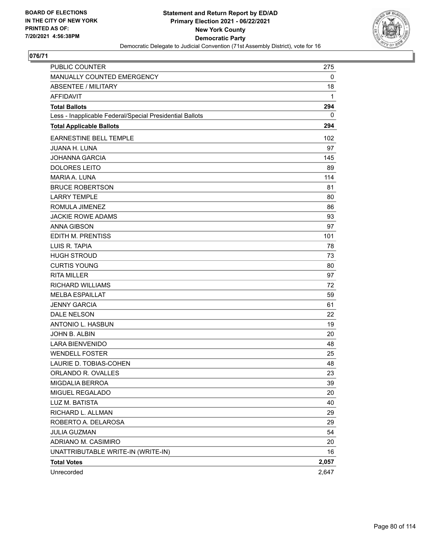

| <b>PUBLIC COUNTER</b>                                    | 275   |
|----------------------------------------------------------|-------|
| MANUALLY COUNTED EMERGENCY                               | 0     |
| <b>ABSENTEE / MILITARY</b>                               | 18    |
| <b>AFFIDAVIT</b>                                         | 1     |
| <b>Total Ballots</b>                                     | 294   |
| Less - Inapplicable Federal/Special Presidential Ballots | 0     |
| <b>Total Applicable Ballots</b>                          | 294   |
| <b>EARNESTINE BELL TEMPLE</b>                            | 102   |
| <b>JUANA H. LUNA</b>                                     | 97    |
| <b>JOHANNA GARCIA</b>                                    | 145   |
| <b>DOLORES LEITO</b>                                     | 89    |
| MARIA A. LUNA                                            | 114   |
| <b>BRUCE ROBERTSON</b>                                   | 81    |
| <b>LARRY TEMPLE</b>                                      | 80    |
| ROMULA JIMENEZ                                           | 86    |
| <b>JACKIE ROWE ADAMS</b>                                 | 93    |
| <b>ANNA GIBSON</b>                                       | 97    |
| EDITH M. PRENTISS                                        | 101   |
| LUIS R. TAPIA                                            | 78    |
| <b>HUGH STROUD</b>                                       | 73    |
| <b>CURTIS YOUNG</b>                                      | 80    |
| <b>RITA MILLER</b>                                       | 97    |
| <b>RICHARD WILLIAMS</b>                                  | 72    |
| <b>MELBA ESPAILLAT</b>                                   | 59    |
| <b>JENNY GARCIA</b>                                      | 61    |
| <b>DALE NELSON</b>                                       | 22    |
| ANTONIO L. HASBUN                                        | 19    |
| JOHN B. ALBIN                                            | 20    |
| <b>LARA BIENVENIDO</b>                                   | 48    |
| <b>WENDELL FOSTER</b>                                    | 25    |
| LAURIE D. TOBIAS-COHEN                                   | 48    |
| ORLANDO R. OVALLES                                       | 23    |
| MIGDALIA BERROA                                          | 39    |
| MIGUEL REGALADO                                          | 20    |
| LUZ M. BATISTA                                           | 40    |
| RICHARD L. ALLMAN                                        | 29    |
| ROBERTO A. DELAROSA                                      | 29    |
| <b>JULIA GUZMAN</b>                                      | 54    |
| ADRIANO M. CASIMIRO                                      | 20    |
| UNATTRIBUTABLE WRITE-IN (WRITE-IN)                       | 16    |
| <b>Total Votes</b>                                       | 2,057 |
| Unrecorded                                               | 2,647 |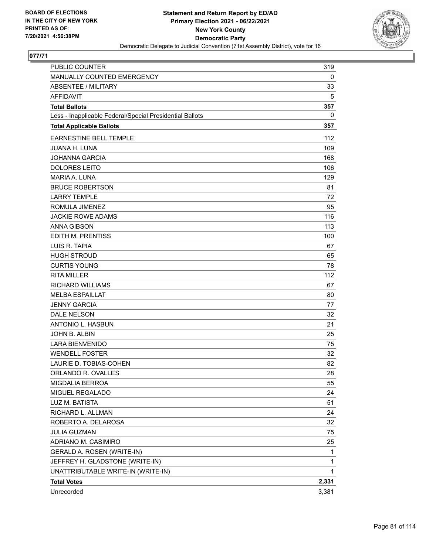

| PUBLIC COUNTER                                           | 319          |
|----------------------------------------------------------|--------------|
| MANUALLY COUNTED EMERGENCY                               | 0            |
| <b>ABSENTEE / MILITARY</b>                               | 33           |
| <b>AFFIDAVIT</b>                                         | 5            |
| <b>Total Ballots</b>                                     | 357          |
| Less - Inapplicable Federal/Special Presidential Ballots | 0            |
| <b>Total Applicable Ballots</b>                          | 357          |
| EARNESTINE BELL TEMPLE                                   | 112          |
| <b>JUANA H. LUNA</b>                                     | 109          |
| <b>JOHANNA GARCIA</b>                                    | 168          |
| <b>DOLORES LEITO</b>                                     | 106          |
| MARIA A. LUNA                                            | 129          |
| <b>BRUCE ROBERTSON</b>                                   | 81           |
| <b>LARRY TEMPLE</b>                                      | 72           |
| ROMULA JIMENEZ                                           | 95           |
| <b>JACKIE ROWE ADAMS</b>                                 | 116          |
| <b>ANNA GIBSON</b>                                       | 113          |
| <b>EDITH M. PRENTISS</b>                                 | 100          |
| LUIS R. TAPIA                                            | 67           |
| <b>HUGH STROUD</b>                                       | 65           |
| <b>CURTIS YOUNG</b>                                      | 78           |
| <b>RITA MILLER</b>                                       | 112          |
| <b>RICHARD WILLIAMS</b>                                  | 67           |
| <b>MELBA ESPAILLAT</b>                                   | 80           |
| <b>JENNY GARCIA</b>                                      | 77           |
| <b>DALE NELSON</b>                                       | 32           |
| <b>ANTONIO L. HASBUN</b>                                 | 21           |
| <b>JOHN B. ALBIN</b>                                     | 25           |
| <b>LARA BIENVENIDO</b>                                   | 75           |
| <b>WENDELL FOSTER</b>                                    | 32           |
| LAURIE D. TOBIAS-COHEN                                   | 82           |
| ORLANDO R. OVALLES                                       | 28           |
| <b>MIGDALIA BERROA</b>                                   | 55           |
| MIGUEL REGALADO                                          | 24           |
| LUZ M. BATISTA                                           | 51           |
| RICHARD L. ALLMAN                                        | 24           |
| ROBERTO A. DELAROSA                                      | 32           |
| <b>JULIA GUZMAN</b>                                      | 75           |
| ADRIANO M. CASIMIRO                                      | 25           |
| GERALD A. ROSEN (WRITE-IN)                               | 1            |
| JEFFREY H. GLADSTONE (WRITE-IN)                          | 1            |
| UNATTRIBUTABLE WRITE-IN (WRITE-IN)                       | $\mathbf{1}$ |
| <b>Total Votes</b>                                       | 2,331        |
| Unrecorded                                               | 3,381        |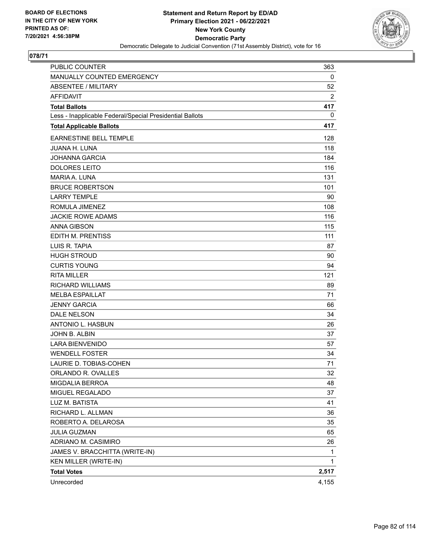

| PUBLIC COUNTER                                           | 363   |
|----------------------------------------------------------|-------|
| MANUALLY COUNTED EMERGENCY                               | 0     |
| <b>ABSENTEE / MILITARY</b>                               | 52    |
| <b>AFFIDAVIT</b>                                         | 2     |
| <b>Total Ballots</b>                                     | 417   |
| Less - Inapplicable Federal/Special Presidential Ballots | 0     |
| <b>Total Applicable Ballots</b>                          | 417   |
| EARNESTINE BELL TEMPLE                                   | 128   |
| <b>JUANA H. LUNA</b>                                     | 118   |
| <b>JOHANNA GARCIA</b>                                    | 184   |
| <b>DOLORES LEITO</b>                                     | 116   |
| MARIA A. LUNA                                            | 131   |
| <b>BRUCE ROBERTSON</b>                                   | 101   |
| <b>LARRY TEMPLE</b>                                      | 90    |
| ROMULA JIMENEZ                                           | 108   |
| <b>JACKIE ROWE ADAMS</b>                                 | 116   |
| <b>ANNA GIBSON</b>                                       | 115   |
| EDITH M. PRENTISS                                        | 111   |
| LUIS R. TAPIA                                            | 87    |
| <b>HUGH STROUD</b>                                       | 90    |
| <b>CURTIS YOUNG</b>                                      | 94    |
| <b>RITA MILLER</b>                                       | 121   |
| <b>RICHARD WILLIAMS</b>                                  | 89    |
| <b>MELBA ESPAILLAT</b>                                   | 71    |
| <b>JENNY GARCIA</b>                                      | 66    |
| <b>DALE NELSON</b>                                       | 34    |
| ANTONIO L. HASBUN                                        | 26    |
| JOHN B. ALBIN                                            | 37    |
| <b>LARA BIENVENIDO</b>                                   | 57    |
| <b>WENDELL FOSTER</b>                                    | 34    |
| LAURIE D. TOBIAS-COHEN                                   | 71    |
| ORLANDO R. OVALLES                                       | 32    |
| MIGDALIA BERROA                                          | 48    |
| MIGUEL REGALADO                                          | 37    |
| LUZ M. BATISTA                                           | 41    |
| RICHARD L. ALLMAN                                        | 36    |
| ROBERTO A. DELAROSA                                      | 35    |
| <b>JULIA GUZMAN</b>                                      | 65    |
| ADRIANO M. CASIMIRO                                      | 26    |
| JAMES V. BRACCHITTA (WRITE-IN)                           | 1     |
| KEN MILLER (WRITE-IN)                                    | 1     |
| <b>Total Votes</b>                                       | 2,517 |
| Unrecorded                                               | 4,155 |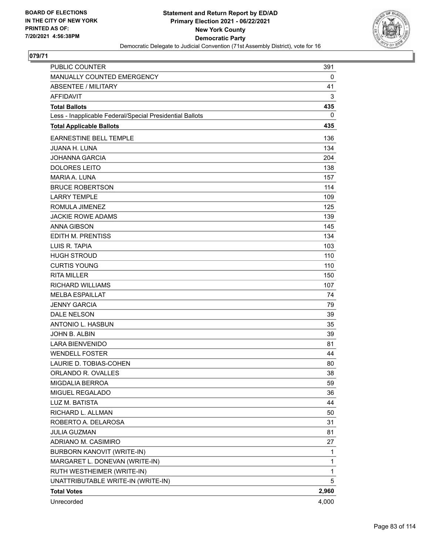

| PUBLIC COUNTER                                           | 391   |
|----------------------------------------------------------|-------|
| MANUALLY COUNTED EMERGENCY                               | 0     |
| <b>ABSENTEE / MILITARY</b>                               | 41    |
| <b>AFFIDAVIT</b>                                         | 3     |
| <b>Total Ballots</b>                                     | 435   |
| Less - Inapplicable Federal/Special Presidential Ballots | 0     |
| <b>Total Applicable Ballots</b>                          | 435   |
| EARNESTINE BELL TEMPLE                                   | 136   |
| <b>JUANA H. LUNA</b>                                     | 134   |
| <b>JOHANNA GARCIA</b>                                    | 204   |
| <b>DOLORES LEITO</b>                                     | 138   |
| MARIA A. LUNA                                            | 157   |
| <b>BRUCE ROBERTSON</b>                                   | 114   |
| <b>LARRY TEMPLE</b>                                      | 109   |
| ROMULA JIMENEZ                                           | 125   |
| <b>JACKIE ROWE ADAMS</b>                                 | 139   |
| <b>ANNA GIBSON</b>                                       | 145   |
| EDITH M. PRENTISS                                        | 134   |
| LUIS R. TAPIA                                            | 103   |
| <b>HUGH STROUD</b>                                       | 110   |
| <b>CURTIS YOUNG</b>                                      | 110   |
| <b>RITA MILLER</b>                                       | 150   |
| <b>RICHARD WILLIAMS</b>                                  | 107   |
| <b>MELBA ESPAILLAT</b>                                   | 74    |
| <b>JENNY GARCIA</b>                                      | 79    |
| <b>DALE NELSON</b>                                       | 39    |
| ANTONIO L. HASBUN                                        | 35    |
| JOHN B. ALBIN                                            | 39    |
| <b>LARA BIENVENIDO</b>                                   | 81    |
| <b>WENDELL FOSTER</b>                                    | 44    |
| LAURIE D. TOBIAS-COHEN                                   | 80    |
| ORLANDO R. OVALLES                                       | 38    |
| <b>MIGDALIA BERROA</b>                                   | 59    |
| MIGUEL REGALADO                                          | 36    |
| LUZ M. BATISTA                                           | 44    |
| RICHARD L. ALLMAN                                        | 50    |
| ROBERTO A. DELAROSA                                      | 31    |
| <b>JULIA GUZMAN</b>                                      | 81    |
| ADRIANO M. CASIMIRO                                      | 27    |
| <b>BURBORN KANOVIT (WRITE-IN)</b>                        | 1     |
| MARGARET L. DONEVAN (WRITE-IN)                           | 1     |
| RUTH WESTHEIMER (WRITE-IN)                               | 1     |
| UNATTRIBUTABLE WRITE-IN (WRITE-IN)                       | 5     |
| <b>Total Votes</b>                                       | 2,960 |
| Unrecorded                                               | 4,000 |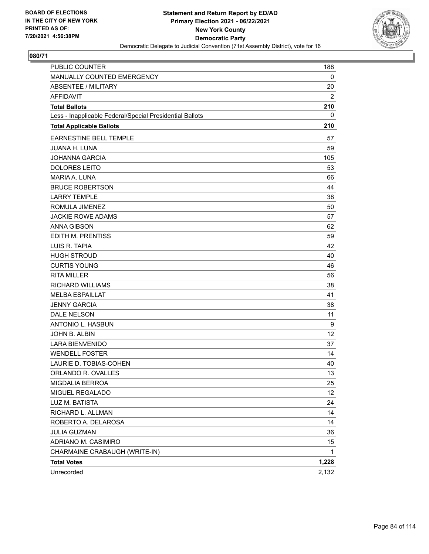

| PUBLIC COUNTER                                           | 188   |
|----------------------------------------------------------|-------|
| MANUALLY COUNTED EMERGENCY                               | 0     |
| <b>ABSENTEE / MILITARY</b>                               | 20    |
| <b>AFFIDAVIT</b>                                         | 2     |
| <b>Total Ballots</b>                                     | 210   |
| Less - Inapplicable Federal/Special Presidential Ballots | 0     |
| <b>Total Applicable Ballots</b>                          | 210   |
| <b>EARNESTINE BELL TEMPLE</b>                            | 57    |
| <b>JUANA H. LUNA</b>                                     | 59    |
| <b>JOHANNA GARCIA</b>                                    | 105   |
| <b>DOLORES LEITO</b>                                     | 53    |
| <b>MARIA A. LUNA</b>                                     | 66    |
| <b>BRUCE ROBERTSON</b>                                   | 44    |
| <b>LARRY TEMPLE</b>                                      | 38    |
| ROMULA JIMENEZ                                           | 50    |
| <b>JACKIE ROWE ADAMS</b>                                 | 57    |
| <b>ANNA GIBSON</b>                                       | 62    |
| EDITH M. PRENTISS                                        | 59    |
| LUIS R. TAPIA                                            | 42    |
| <b>HUGH STROUD</b>                                       | 40    |
| <b>CURTIS YOUNG</b>                                      | 46    |
| <b>RITA MILLER</b>                                       | 56    |
| <b>RICHARD WILLIAMS</b>                                  | 38    |
| <b>MELBA ESPAILLAT</b>                                   | 41    |
| <b>JENNY GARCIA</b>                                      | 38    |
| DALE NELSON                                              | 11    |
| ANTONIO L. HASBUN                                        | 9     |
| JOHN B. ALBIN                                            | 12    |
| <b>LARA BIENVENIDO</b>                                   | 37    |
| <b>WENDELL FOSTER</b>                                    | 14    |
| LAURIE D. TOBIAS-COHEN                                   | 40    |
| ORLANDO R. OVALLES                                       | 13    |
| MIGDALIA BERROA                                          | 25    |
| MIGUEL REGALADO                                          | 12    |
| LUZ M. BATISTA                                           | 24    |
| RICHARD L. ALLMAN                                        | 14    |
| ROBERTO A. DELAROSA                                      | 14    |
| <b>JULIA GUZMAN</b>                                      | 36    |
| ADRIANO M. CASIMIRO                                      | 15    |
| CHARMAINE CRABAUGH (WRITE-IN)                            | 1     |
| <b>Total Votes</b>                                       | 1,228 |
| Unrecorded                                               | 2,132 |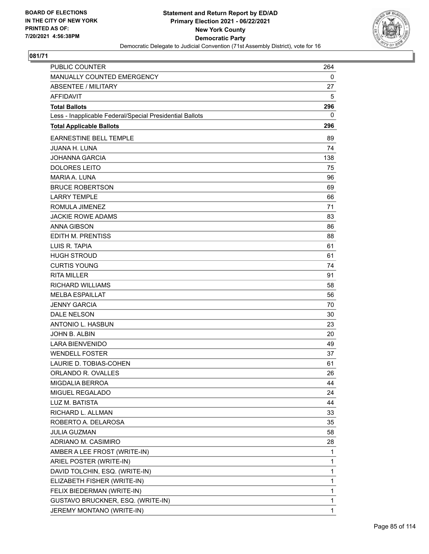

| <b>PUBLIC COUNTER</b>                                    | 264          |
|----------------------------------------------------------|--------------|
| MANUALLY COUNTED EMERGENCY                               | 0            |
| <b>ABSENTEE / MILITARY</b>                               | 27           |
| <b>AFFIDAVIT</b>                                         | 5            |
| <b>Total Ballots</b>                                     | 296          |
| Less - Inapplicable Federal/Special Presidential Ballots | 0            |
| <b>Total Applicable Ballots</b>                          | 296          |
| <b>EARNESTINE BELL TEMPLE</b>                            | 89           |
| <b>JUANA H. LUNA</b>                                     | 74           |
| <b>JOHANNA GARCIA</b>                                    | 138          |
| <b>DOLORES LEITO</b>                                     | 75           |
| MARIA A. LUNA                                            | 96           |
| <b>BRUCE ROBERTSON</b>                                   | 69           |
| <b>LARRY TEMPLE</b>                                      | 66           |
| ROMULA JIMENEZ                                           | 71           |
| <b>JACKIE ROWE ADAMS</b>                                 | 83           |
| <b>ANNA GIBSON</b>                                       | 86           |
| EDITH M. PRENTISS                                        | 88           |
| LUIS R. TAPIA                                            | 61           |
| <b>HUGH STROUD</b>                                       | 61           |
| <b>CURTIS YOUNG</b>                                      | 74           |
| <b>RITA MILLER</b>                                       | 91           |
| <b>RICHARD WILLIAMS</b>                                  | 58           |
| <b>MELBA ESPAILLAT</b>                                   | 56           |
| <b>JENNY GARCIA</b>                                      | 70           |
| <b>DALE NELSON</b>                                       | 30           |
| ANTONIO L. HASBUN                                        | 23           |
| JOHN B. ALBIN                                            | 20           |
| <b>LARA BIENVENIDO</b>                                   | 49           |
| <b>WENDELL FOSTER</b>                                    | 37           |
| LAURIE D. TOBIAS-COHEN                                   | 61           |
| ORLANDO R. OVALLES                                       | 26           |
| <b>MIGDALIA BERROA</b>                                   | 44           |
| MIGUEL REGALADO                                          | 24           |
| LUZ M. BATISTA                                           | 44           |
| RICHARD L. ALLMAN                                        | 33           |
| ROBERTO A. DELAROSA                                      | 35           |
| <b>JULIA GUZMAN</b>                                      | 58           |
| ADRIANO M. CASIMIRO                                      | 28           |
| AMBER A LEE FROST (WRITE-IN)                             | 1            |
| ARIEL POSTER (WRITE-IN)                                  | $\mathbf{1}$ |
| DAVID TOLCHIN, ESQ. (WRITE-IN)                           | 1            |
| ELIZABETH FISHER (WRITE-IN)                              | 1            |
| FELIX BIEDERMAN (WRITE-IN)                               | 1            |
| GUSTAVO BRUCKNER, ESQ. (WRITE-IN)                        | 1            |
| JEREMY MONTANO (WRITE-IN)                                | 1            |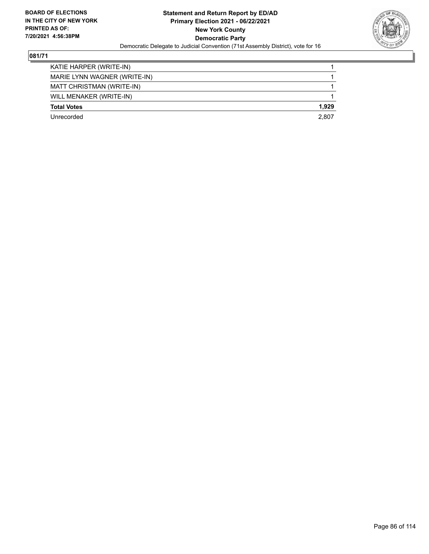

| KATIE HARPER (WRITE-IN)      |       |
|------------------------------|-------|
| MARIE LYNN WAGNER (WRITE-IN) |       |
| MATT CHRISTMAN (WRITE-IN)    |       |
| WILL MENAKER (WRITE-IN)      |       |
| <b>Total Votes</b>           | 1.929 |
| Unrecorded                   | 2.807 |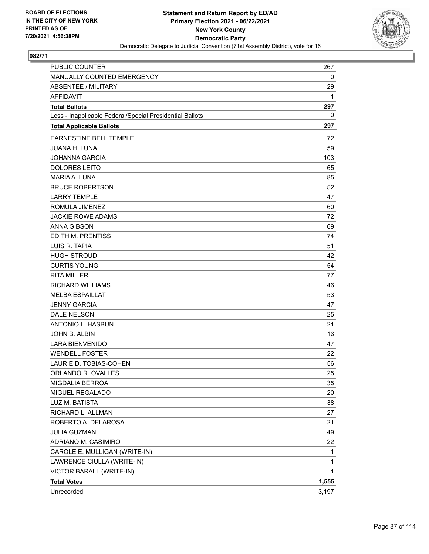

| PUBLIC COUNTER                                           | 267          |
|----------------------------------------------------------|--------------|
| MANUALLY COUNTED EMERGENCY                               | 0            |
| <b>ABSENTEE / MILITARY</b>                               | 29           |
| <b>AFFIDAVIT</b>                                         | 1            |
| <b>Total Ballots</b>                                     | 297          |
| Less - Inapplicable Federal/Special Presidential Ballots | 0            |
| <b>Total Applicable Ballots</b>                          | 297          |
| EARNESTINE BELL TEMPLE                                   | 72           |
| <b>JUANA H. LUNA</b>                                     | 59           |
| <b>JOHANNA GARCIA</b>                                    | 103          |
| <b>DOLORES LEITO</b>                                     | 65           |
| MARIA A. LUNA                                            | 85           |
| <b>BRUCE ROBERTSON</b>                                   | 52           |
| <b>LARRY TEMPLE</b>                                      | 47           |
| ROMULA JIMENEZ                                           | 60           |
| <b>JACKIE ROWE ADAMS</b>                                 | 72           |
| <b>ANNA GIBSON</b>                                       | 69           |
| <b>EDITH M. PRENTISS</b>                                 | 74           |
| LUIS R. TAPIA                                            | 51           |
| <b>HUGH STROUD</b>                                       | 42           |
| <b>CURTIS YOUNG</b>                                      | 54           |
| <b>RITA MILLER</b>                                       | 77           |
| <b>RICHARD WILLIAMS</b>                                  | 46           |
| <b>MELBA ESPAILLAT</b>                                   | 53           |
| <b>JENNY GARCIA</b>                                      | 47           |
| DALE NELSON                                              | 25           |
| ANTONIO L. HASBUN                                        | 21           |
| JOHN B. ALBIN                                            | 16           |
| <b>LARA BIENVENIDO</b>                                   | 47           |
| <b>WENDELL FOSTER</b>                                    | 22           |
| LAURIE D. TOBIAS-COHEN                                   | 56           |
| ORLANDO R. OVALLES                                       | 25           |
| MIGDALIA BERROA                                          | 35           |
| MIGUEL REGALADO                                          | 20           |
| LUZ M. BATISTA                                           | 38           |
| RICHARD L. ALLMAN                                        | 27           |
| ROBERTO A. DELAROSA                                      | 21           |
| <b>JULIA GUZMAN</b>                                      | 49           |
| ADRIANO M. CASIMIRO                                      | 22           |
| CAROLE E. MULLIGAN (WRITE-IN)                            | 1            |
| LAWRENCE CIULLA (WRITE-IN)                               | 1            |
| VICTOR BARALL (WRITE-IN)                                 | $\mathbf{1}$ |
| <b>Total Votes</b>                                       | 1,555        |
| Unrecorded                                               | 3,197        |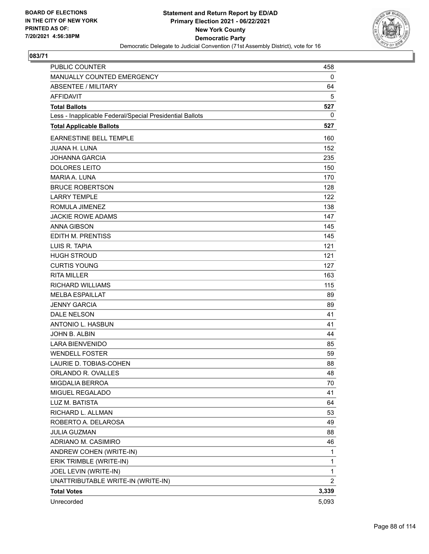

| PUBLIC COUNTER                                           | 458            |
|----------------------------------------------------------|----------------|
| MANUALLY COUNTED EMERGENCY                               | 0              |
| <b>ABSENTEE / MILITARY</b>                               | 64             |
| <b>AFFIDAVIT</b>                                         | 5              |
| <b>Total Ballots</b>                                     | 527            |
| Less - Inapplicable Federal/Special Presidential Ballots | 0              |
| <b>Total Applicable Ballots</b>                          | 527            |
| <b>EARNESTINE BELL TEMPLE</b>                            | 160            |
| <b>JUANA H. LUNA</b>                                     | 152            |
| <b>JOHANNA GARCIA</b>                                    | 235            |
| <b>DOLORES LEITO</b>                                     | 150            |
| MARIA A. LUNA                                            | 170            |
| <b>BRUCE ROBERTSON</b>                                   | 128            |
| <b>LARRY TEMPLE</b>                                      | 122            |
| ROMULA JIMENEZ                                           | 138            |
| <b>JACKIE ROWE ADAMS</b>                                 | 147            |
| <b>ANNA GIBSON</b>                                       | 145            |
| EDITH M. PRENTISS                                        | 145            |
| LUIS R. TAPIA                                            | 121            |
| <b>HUGH STROUD</b>                                       | 121            |
| <b>CURTIS YOUNG</b>                                      | 127            |
| <b>RITA MILLER</b>                                       | 163            |
| <b>RICHARD WILLIAMS</b>                                  | 115            |
| <b>MELBA ESPAILLAT</b>                                   | 89             |
| <b>JENNY GARCIA</b>                                      | 89             |
| <b>DALE NELSON</b>                                       | 41             |
| ANTONIO L. HASBUN                                        | 41             |
| JOHN B. ALBIN                                            | 44             |
| <b>LARA BIENVENIDO</b>                                   | 85             |
| <b>WENDELL FOSTER</b>                                    | 59             |
| LAURIE D. TOBIAS-COHEN                                   | 88             |
| ORLANDO R. OVALLES                                       | 48             |
| <b>MIGDALIA BERROA</b>                                   | 70             |
| MIGUEL REGALADO                                          | 41             |
| LUZ M. BATISTA                                           | 64             |
| RICHARD L. ALLMAN                                        | 53             |
| ROBERTO A. DELAROSA                                      | 49             |
| <b>JULIA GUZMAN</b>                                      | 88             |
| ADRIANO M. CASIMIRO                                      | 46             |
| ANDREW COHEN (WRITE-IN)                                  | 1              |
| ERIK TRIMBLE (WRITE-IN)                                  | 1              |
| JOEL LEVIN (WRITE-IN)                                    | $\mathbf{1}$   |
| UNATTRIBUTABLE WRITE-IN (WRITE-IN)                       | $\overline{2}$ |
| <b>Total Votes</b>                                       | 3,339          |
| Unrecorded                                               | 5,093          |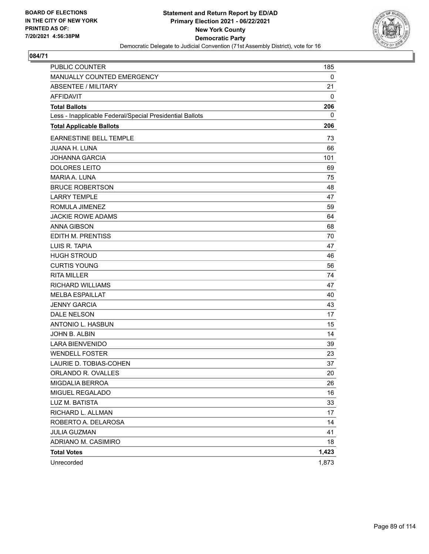

| PUBLIC COUNTER                                           | 185   |
|----------------------------------------------------------|-------|
| MANUALLY COUNTED EMERGENCY                               | 0     |
| <b>ABSENTEE / MILITARY</b>                               | 21    |
| <b>AFFIDAVIT</b>                                         | 0     |
| <b>Total Ballots</b>                                     | 206   |
| Less - Inapplicable Federal/Special Presidential Ballots | 0     |
| <b>Total Applicable Ballots</b>                          | 206   |
| EARNESTINE BELL TEMPLE                                   | 73    |
| <b>JUANA H. LUNA</b>                                     | 66    |
| <b>JOHANNA GARCIA</b>                                    | 101   |
| <b>DOLORES LEITO</b>                                     | 69    |
| <b>MARIA A. LUNA</b>                                     | 75    |
| <b>BRUCE ROBERTSON</b>                                   | 48    |
| <b>LARRY TEMPLE</b>                                      | 47    |
| ROMULA JIMENEZ                                           | 59    |
| <b>JACKIE ROWE ADAMS</b>                                 | 64    |
| <b>ANNA GIBSON</b>                                       | 68    |
| EDITH M. PRENTISS                                        | 70    |
| LUIS R. TAPIA                                            | 47    |
| <b>HUGH STROUD</b>                                       | 46    |
| <b>CURTIS YOUNG</b>                                      | 56    |
| <b>RITA MILLER</b>                                       | 74    |
| <b>RICHARD WILLIAMS</b>                                  | 47    |
| <b>MELBA ESPAILLAT</b>                                   | 40    |
| <b>JENNY GARCIA</b>                                      | 43    |
| DALE NELSON                                              | 17    |
| ANTONIO L. HASBUN                                        | 15    |
| JOHN B. ALBIN                                            | 14    |
| <b>LARA BIENVENIDO</b>                                   | 39    |
| <b>WENDELL FOSTER</b>                                    | 23    |
| LAURIE D. TOBIAS-COHEN                                   | 37    |
| ORLANDO R. OVALLES                                       | 20    |
| MIGDALIA BERROA                                          | 26    |
| MIGUEL REGALADO                                          | 16    |
| LUZ M. BATISTA                                           | 33    |
| RICHARD L. ALLMAN                                        | 17    |
| ROBERTO A. DELAROSA                                      | 14    |
| <b>JULIA GUZMAN</b>                                      | 41    |
| ADRIANO M. CASIMIRO                                      | 18    |
| <b>Total Votes</b>                                       | 1,423 |
| Unrecorded                                               | 1,873 |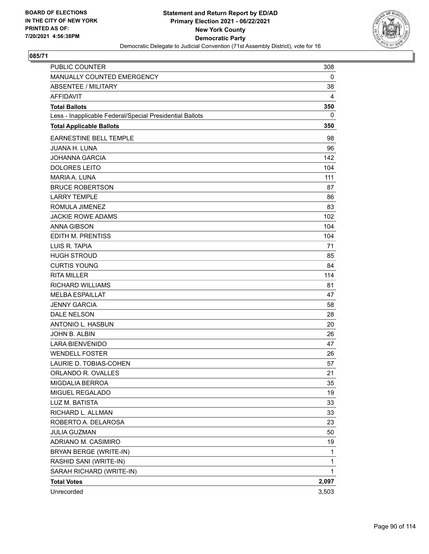

| PUBLIC COUNTER                                           | 308          |
|----------------------------------------------------------|--------------|
| MANUALLY COUNTED EMERGENCY                               | 0            |
| <b>ABSENTEE / MILITARY</b>                               | 38           |
| <b>AFFIDAVIT</b>                                         | 4            |
| <b>Total Ballots</b>                                     | 350          |
| Less - Inapplicable Federal/Special Presidential Ballots | 0            |
| <b>Total Applicable Ballots</b>                          | 350          |
| EARNESTINE BELL TEMPLE                                   | 98           |
| <b>JUANA H. LUNA</b>                                     | 96           |
| <b>JOHANNA GARCIA</b>                                    | 142          |
| <b>DOLORES LEITO</b>                                     | 104          |
| <b>MARIA A. LUNA</b>                                     | 111          |
| <b>BRUCE ROBERTSON</b>                                   | 87           |
| <b>LARRY TEMPLE</b>                                      | 86           |
| ROMULA JIMENEZ                                           | 83           |
| <b>JACKIE ROWE ADAMS</b>                                 | 102          |
| <b>ANNA GIBSON</b>                                       | 104          |
| EDITH M. PRENTISS                                        | 104          |
| LUIS R. TAPIA                                            | 71           |
| <b>HUGH STROUD</b>                                       | 85           |
| <b>CURTIS YOUNG</b>                                      | 84           |
| <b>RITA MILLER</b>                                       | 114          |
| <b>RICHARD WILLIAMS</b>                                  | 81           |
| <b>MELBA ESPAILLAT</b>                                   | 47           |
| <b>JENNY GARCIA</b>                                      | 58           |
| DALE NELSON                                              | 28           |
| ANTONIO L. HASBUN                                        | 20           |
| JOHN B. ALBIN                                            | 26           |
| <b>LARA BIENVENIDO</b>                                   | 47           |
| <b>WENDELL FOSTER</b>                                    | 26           |
| LAURIE D. TOBIAS-COHEN                                   | 57           |
| ORLANDO R. OVALLES                                       | 21           |
| MIGDALIA BERROA                                          | 35           |
| MIGUEL REGALADO                                          | 19           |
| LUZ M. BATISTA                                           | 33           |
| RICHARD L. ALLMAN                                        | 33           |
| ROBERTO A. DELAROSA                                      | 23           |
| <b>JULIA GUZMAN</b>                                      | 50           |
| ADRIANO M. CASIMIRO                                      | 19           |
| BRYAN BERGE (WRITE-IN)                                   | 1            |
| RASHID SANI (WRITE-IN)                                   | 1            |
| SARAH RICHARD (WRITE-IN)                                 | $\mathbf{1}$ |
| <b>Total Votes</b>                                       | 2,097        |
| Unrecorded                                               | 3,503        |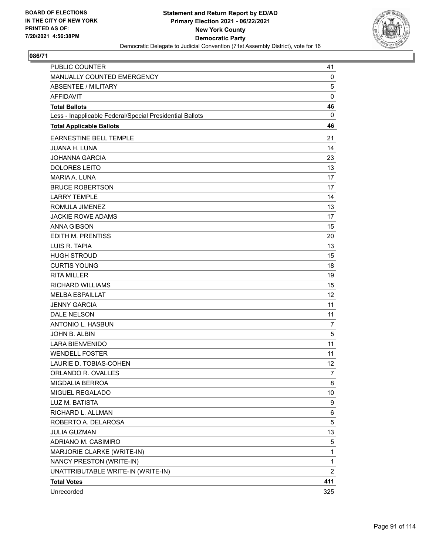

| <b>PUBLIC COUNTER</b>                                    | 41             |
|----------------------------------------------------------|----------------|
| MANUALLY COUNTED EMERGENCY                               | 0              |
| <b>ABSENTEE / MILITARY</b>                               | 5              |
| <b>AFFIDAVIT</b>                                         | $\mathbf 0$    |
| <b>Total Ballots</b>                                     | 46             |
| Less - Inapplicable Federal/Special Presidential Ballots | 0              |
| <b>Total Applicable Ballots</b>                          | 46             |
| <b>EARNESTINE BELL TEMPLE</b>                            | 21             |
| JUANA H. LUNA                                            | 14             |
| <b>JOHANNA GARCIA</b>                                    | 23             |
| <b>DOLORES LEITO</b>                                     | 13             |
| MARIA A. LUNA                                            | 17             |
| <b>BRUCE ROBERTSON</b>                                   | 17             |
| <b>LARRY TEMPLE</b>                                      | 14             |
| ROMULA JIMENEZ                                           | 13             |
| <b>JACKIE ROWE ADAMS</b>                                 | 17             |
| <b>ANNA GIBSON</b>                                       | 15             |
| <b>EDITH M. PRENTISS</b>                                 | 20             |
| LUIS R. TAPIA                                            | 13             |
| <b>HUGH STROUD</b>                                       | 15             |
| <b>CURTIS YOUNG</b>                                      | 18             |
| <b>RITA MILLER</b>                                       | 19             |
| <b>RICHARD WILLIAMS</b>                                  | 15             |
| <b>MELBA ESPAILLAT</b>                                   | 12             |
| <b>JENNY GARCIA</b>                                      | 11             |
| <b>DALE NELSON</b>                                       | 11             |
| ANTONIO L. HASBUN                                        | 7              |
| JOHN B. ALBIN                                            | 5              |
| <b>LARA BIENVENIDO</b>                                   | 11             |
| <b>WENDELL FOSTER</b>                                    | 11             |
| LAURIE D. TOBIAS-COHEN                                   | 12             |
| ORLANDO R. OVALLES                                       | 7              |
| <b>MIGDALIA BERROA</b>                                   | 8              |
| MIGUEL REGALADO                                          | 10             |
| LUZ M. BATISTA                                           | 9              |
| RICHARD L. ALLMAN                                        | 6              |
| ROBERTO A. DELAROSA                                      | 5              |
| <b>JULIA GUZMAN</b>                                      | 13             |
| ADRIANO M. CASIMIRO                                      | 5              |
| MARJORIE CLARKE (WRITE-IN)                               | 1              |
| NANCY PRESTON (WRITE-IN)                                 | $\mathbf{1}$   |
| UNATTRIBUTABLE WRITE-IN (WRITE-IN)                       | $\overline{2}$ |
| <b>Total Votes</b>                                       | 411            |
| Unrecorded                                               | 325            |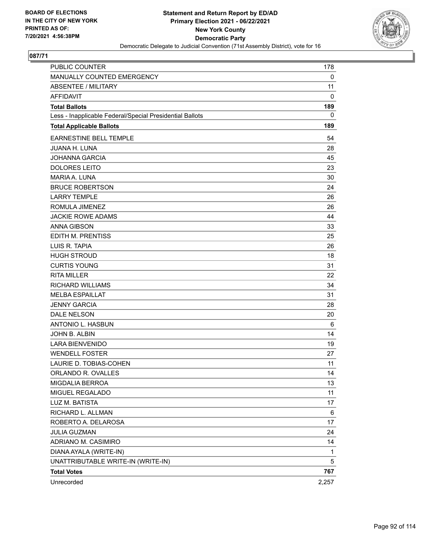

| PUBLIC COUNTER                                           | 178   |
|----------------------------------------------------------|-------|
| MANUALLY COUNTED EMERGENCY                               | 0     |
| <b>ABSENTEE / MILITARY</b>                               | 11    |
| <b>AFFIDAVIT</b>                                         | 0     |
| <b>Total Ballots</b>                                     | 189   |
| Less - Inapplicable Federal/Special Presidential Ballots | 0     |
| <b>Total Applicable Ballots</b>                          | 189   |
| EARNESTINE BELL TEMPLE                                   | 54    |
| <b>JUANA H. LUNA</b>                                     | 28    |
| <b>JOHANNA GARCIA</b>                                    | 45    |
| <b>DOLORES LEITO</b>                                     | 23    |
| MARIA A. LUNA                                            | 30    |
| <b>BRUCE ROBERTSON</b>                                   | 24    |
| <b>LARRY TEMPLE</b>                                      | 26    |
| ROMULA JIMENEZ                                           | 26    |
| <b>JACKIE ROWE ADAMS</b>                                 | 44    |
| <b>ANNA GIBSON</b>                                       | 33    |
| <b>EDITH M. PRENTISS</b>                                 | 25    |
| LUIS R. TAPIA                                            | 26    |
| <b>HUGH STROUD</b>                                       | 18    |
| <b>CURTIS YOUNG</b>                                      | 31    |
| <b>RITA MILLER</b>                                       | 22    |
| <b>RICHARD WILLIAMS</b>                                  | 34    |
| <b>MELBA ESPAILLAT</b>                                   | 31    |
| <b>JENNY GARCIA</b>                                      | 28    |
| <b>DALE NELSON</b>                                       | 20    |
| ANTONIO L. HASBUN                                        | 6     |
| JOHN B. ALBIN                                            | 14    |
| <b>LARA BIENVENIDO</b>                                   | 19    |
| <b>WENDELL FOSTER</b>                                    | 27    |
| LAURIE D. TOBIAS-COHEN                                   | 11    |
| ORLANDO R. OVALLES                                       | 14    |
| MIGDALIA BERROA                                          | 13    |
| MIGUEL REGALADO                                          | 11    |
| LUZ M. BATISTA                                           | 17    |
| RICHARD L. ALLMAN                                        | 6     |
| ROBERTO A. DELAROSA                                      | 17    |
| <b>JULIA GUZMAN</b>                                      | 24    |
| ADRIANO M. CASIMIRO                                      | 14    |
| DIANA AYALA (WRITE-IN)                                   | 1     |
| UNATTRIBUTABLE WRITE-IN (WRITE-IN)                       | 5     |
| <b>Total Votes</b>                                       | 767   |
| Unrecorded                                               | 2,257 |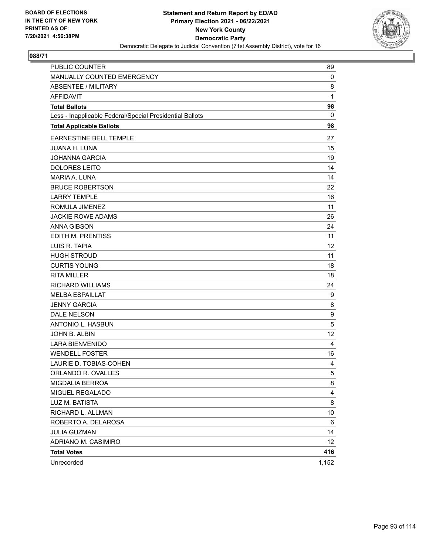

| <b>PUBLIC COUNTER</b>                                    | 89              |
|----------------------------------------------------------|-----------------|
| MANUALLY COUNTED EMERGENCY                               | 0               |
| <b>ABSENTEE / MILITARY</b>                               | 8               |
| <b>AFFIDAVIT</b>                                         | $\mathbf{1}$    |
| <b>Total Ballots</b>                                     | 98              |
| Less - Inapplicable Federal/Special Presidential Ballots | 0               |
| <b>Total Applicable Ballots</b>                          | 98              |
| <b>EARNESTINE BELL TEMPLE</b>                            | 27              |
| <b>JUANA H. LUNA</b>                                     | 15              |
| <b>JOHANNA GARCIA</b>                                    | 19              |
| <b>DOLORES LEITO</b>                                     | 14              |
| MARIA A. LUNA                                            | 14              |
| <b>BRUCE ROBERTSON</b>                                   | 22              |
| <b>LARRY TEMPLE</b>                                      | 16              |
| ROMULA JIMENEZ                                           | 11              |
| <b>JACKIE ROWE ADAMS</b>                                 | 26              |
| <b>ANNA GIBSON</b>                                       | 24              |
| <b>EDITH M. PRENTISS</b>                                 | 11              |
| LUIS R. TAPIA                                            | 12 <sup>2</sup> |
| <b>HUGH STROUD</b>                                       | 11              |
| <b>CURTIS YOUNG</b>                                      | 18              |
| <b>RITA MILLER</b>                                       | 18              |
| <b>RICHARD WILLIAMS</b>                                  | 24              |
| <b>MELBA ESPAILLAT</b>                                   | 9               |
| <b>JENNY GARCIA</b>                                      | 8               |
| <b>DALE NELSON</b>                                       | 9               |
| ANTONIO L. HASBUN                                        | 5               |
| JOHN B. ALBIN                                            | 12 <sup>2</sup> |
| <b>LARA BIENVENIDO</b>                                   | 4               |
| <b>WENDELL FOSTER</b>                                    | 16              |
| LAURIE D. TOBIAS-COHEN                                   | 4               |
| ORLANDO R. OVALLES                                       | 5               |
| MIGDALIA BERROA                                          | 8               |
| MIGUEL REGALADO                                          | 4               |
| LUZ M. BATISTA                                           | 8               |
| RICHARD L. ALLMAN                                        | 10              |
| ROBERTO A. DELAROSA                                      | 6               |
| <b>JULIA GUZMAN</b>                                      | 14              |
| ADRIANO M. CASIMIRO                                      | 12 <sub>2</sub> |
| <b>Total Votes</b>                                       | 416             |
| Unrecorded                                               | 1,152           |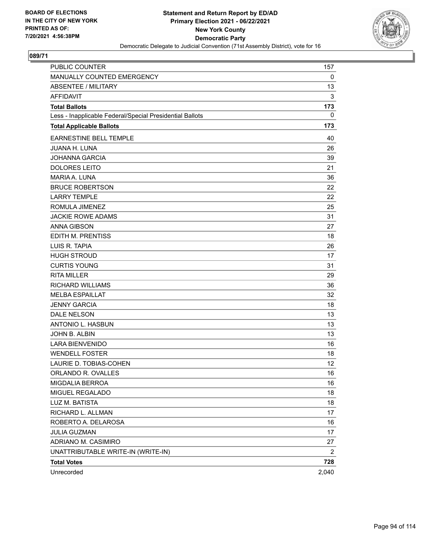

| <b>PUBLIC COUNTER</b>                                    | 157   |
|----------------------------------------------------------|-------|
| MANUALLY COUNTED EMERGENCY                               | 0     |
| <b>ABSENTEE / MILITARY</b>                               | 13    |
| AFFIDAVIT                                                | 3     |
| <b>Total Ballots</b>                                     | 173   |
| Less - Inapplicable Federal/Special Presidential Ballots | 0     |
| <b>Total Applicable Ballots</b>                          | 173   |
| <b>EARNESTINE BELL TEMPLE</b>                            | 40    |
| <b>JUANA H. LUNA</b>                                     | 26    |
| <b>JOHANNA GARCIA</b>                                    | 39    |
| <b>DOLORES LEITO</b>                                     | 21    |
| <b>MARIA A. LUNA</b>                                     | 36    |
| <b>BRUCE ROBERTSON</b>                                   | 22    |
| <b>LARRY TEMPLE</b>                                      | 22    |
| ROMULA JIMENEZ                                           | 25    |
| <b>JACKIE ROWE ADAMS</b>                                 | 31    |
| <b>ANNA GIBSON</b>                                       | 27    |
| <b>EDITH M. PRENTISS</b>                                 | 18    |
| LUIS R. TAPIA                                            | 26    |
| <b>HUGH STROUD</b>                                       | 17    |
| <b>CURTIS YOUNG</b>                                      | 31    |
| <b>RITA MILLER</b>                                       | 29    |
| <b>RICHARD WILLIAMS</b>                                  | 36    |
| <b>MELBA ESPAILLAT</b>                                   | 32    |
| <b>JENNY GARCIA</b>                                      | 18    |
| <b>DALE NELSON</b>                                       | 13    |
| <b>ANTONIO L. HASBUN</b>                                 | 13    |
| JOHN B. ALBIN                                            | 13    |
| <b>LARA BIENVENIDO</b>                                   | 16    |
| <b>WENDELL FOSTER</b>                                    | 18    |
| LAURIE D. TOBIAS-COHEN                                   | 12    |
| ORLANDO R. OVALLES                                       | 16    |
| MIGDALIA BERROA                                          | 16    |
| MIGUEL REGALADO                                          | 18    |
| LUZ M. BATISTA                                           | 18    |
| RICHARD L. ALLMAN                                        | 17    |
| ROBERTO A. DELAROSA                                      | 16    |
| <b>JULIA GUZMAN</b>                                      | 17    |
| ADRIANO M. CASIMIRO                                      | 27    |
| UNATTRIBUTABLE WRITE-IN (WRITE-IN)                       | 2     |
| <b>Total Votes</b>                                       | 728   |
| Unrecorded                                               | 2,040 |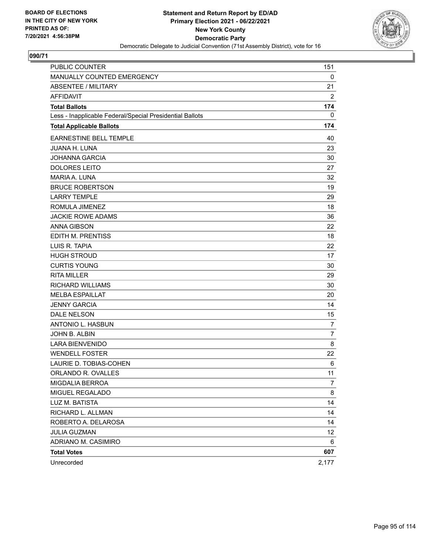

| <b>PUBLIC COUNTER</b>                                    | 151            |
|----------------------------------------------------------|----------------|
| MANUALLY COUNTED EMERGENCY                               | 0              |
| <b>ABSENTEE / MILITARY</b>                               | 21             |
| AFFIDAVIT                                                | 2              |
| <b>Total Ballots</b>                                     | 174            |
| Less - Inapplicable Federal/Special Presidential Ballots | 0              |
| <b>Total Applicable Ballots</b>                          | 174            |
| <b>EARNESTINE BELL TEMPLE</b>                            | 40             |
| <b>JUANA H. LUNA</b>                                     | 23             |
| <b>JOHANNA GARCIA</b>                                    | 30             |
| <b>DOLORES LEITO</b>                                     | 27             |
| <b>MARIA A. LUNA</b>                                     | 32             |
| <b>BRUCE ROBERTSON</b>                                   | 19             |
| <b>LARRY TEMPLE</b>                                      | 29             |
| ROMULA JIMENEZ                                           | 18             |
| <b>JACKIE ROWE ADAMS</b>                                 | 36             |
| <b>ANNA GIBSON</b>                                       | 22             |
| <b>EDITH M. PRENTISS</b>                                 | 18             |
| LUIS R. TAPIA                                            | 22             |
| <b>HUGH STROUD</b>                                       | 17             |
| <b>CURTIS YOUNG</b>                                      | 30             |
| <b>RITA MILLER</b>                                       | 29             |
| <b>RICHARD WILLIAMS</b>                                  | 30             |
| <b>MELBA ESPAILLAT</b>                                   | 20             |
| <b>JENNY GARCIA</b>                                      | 14             |
| <b>DALE NELSON</b>                                       | 15             |
| <b>ANTONIO L. HASBUN</b>                                 | $\overline{7}$ |
| JOHN B. ALBIN                                            | $\overline{7}$ |
| <b>LARA BIENVENIDO</b>                                   | 8              |
| <b>WENDELL FOSTER</b>                                    | 22             |
| LAURIE D. TOBIAS-COHEN                                   | 6              |
| ORLANDO R. OVALLES                                       | 11             |
| MIGDALIA BERROA                                          | 7              |
| MIGUEL REGALADO                                          | 8              |
| LUZ M. BATISTA                                           | 14             |
| RICHARD L. ALLMAN                                        | 14             |
| ROBERTO A. DELAROSA                                      | 14             |
| <b>JULIA GUZMAN</b>                                      | 12             |
| ADRIANO M. CASIMIRO                                      | 6              |
| <b>Total Votes</b>                                       | 607            |
| Unrecorded                                               | 2,177          |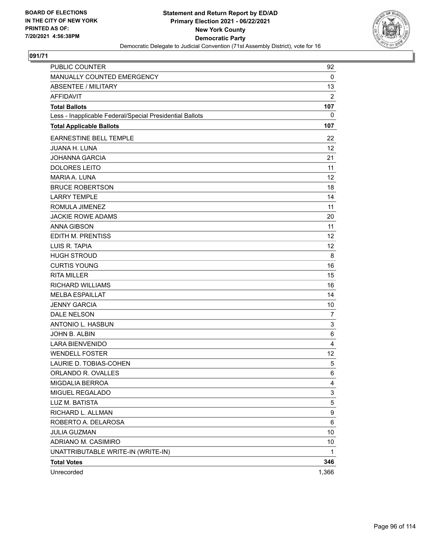

| <b>PUBLIC COUNTER</b>                                    | 92               |
|----------------------------------------------------------|------------------|
| MANUALLY COUNTED EMERGENCY                               | 0                |
| <b>ABSENTEE / MILITARY</b>                               | 13               |
| <b>AFFIDAVIT</b>                                         | $\overline{c}$   |
| <b>Total Ballots</b>                                     | 107              |
| Less - Inapplicable Federal/Special Presidential Ballots | 0                |
| <b>Total Applicable Ballots</b>                          | 107              |
| <b>EARNESTINE BELL TEMPLE</b>                            | 22               |
| <b>JUANA H. LUNA</b>                                     | 12               |
| <b>JOHANNA GARCIA</b>                                    | 21               |
| <b>DOLORES LEITO</b>                                     | 11               |
| MARIA A. LUNA                                            | 12               |
| <b>BRUCE ROBERTSON</b>                                   | 18               |
| <b>LARRY TEMPLE</b>                                      | 14               |
| ROMULA JIMENEZ                                           | 11               |
| <b>JACKIE ROWE ADAMS</b>                                 | 20               |
| <b>ANNA GIBSON</b>                                       | 11               |
| <b>EDITH M. PRENTISS</b>                                 | 12               |
| LUIS R. TAPIA                                            | 12 <sup>2</sup>  |
| <b>HUGH STROUD</b>                                       | 8                |
| <b>CURTIS YOUNG</b>                                      | 16               |
| <b>RITA MILLER</b>                                       | 15               |
| <b>RICHARD WILLIAMS</b>                                  | 16               |
| <b>MELBA ESPAILLAT</b>                                   | 14               |
| <b>JENNY GARCIA</b>                                      | 10               |
| <b>DALE NELSON</b>                                       | $\overline{7}$   |
| ANTONIO L. HASBUN                                        | 3                |
| JOHN B. ALBIN                                            | 6                |
| <b>LARA BIENVENIDO</b>                                   | 4                |
| <b>WENDELL FOSTER</b>                                    | 12               |
| LAURIE D. TOBIAS-COHEN                                   | 5                |
| ORLANDO R. OVALLES                                       | 6                |
| MIGDALIA BERROA                                          | 4                |
| MIGUEL REGALADO                                          | 3                |
| LUZ M. BATISTA                                           | 5                |
| RICHARD L. ALLMAN                                        | $\boldsymbol{9}$ |
| ROBERTO A. DELAROSA                                      | 6                |
| <b>JULIA GUZMAN</b>                                      | 10               |
| ADRIANO M. CASIMIRO                                      | 10               |
| UNATTRIBUTABLE WRITE-IN (WRITE-IN)                       | 1                |
| <b>Total Votes</b>                                       | 346              |
| Unrecorded                                               | 1,366            |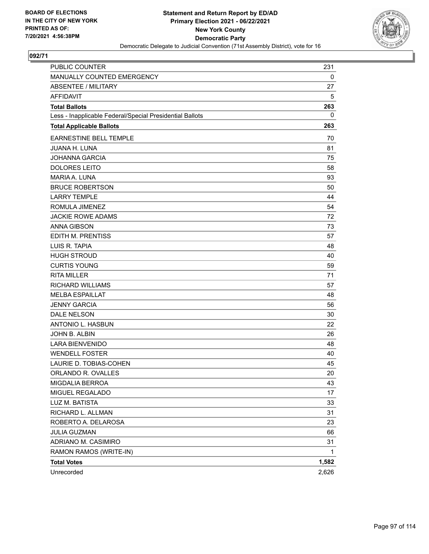

| <b>PUBLIC COUNTER</b>                                    | 231   |
|----------------------------------------------------------|-------|
| MANUALLY COUNTED EMERGENCY                               | 0     |
| <b>ABSENTEE / MILITARY</b>                               | 27    |
| <b>AFFIDAVIT</b>                                         | 5     |
| <b>Total Ballots</b>                                     | 263   |
| Less - Inapplicable Federal/Special Presidential Ballots | 0     |
| <b>Total Applicable Ballots</b>                          | 263   |
| <b>EARNESTINE BELL TEMPLE</b>                            | 70    |
| <b>JUANA H. LUNA</b>                                     | 81    |
| JOHANNA GARCIA                                           | 75    |
| <b>DOLORES LEITO</b>                                     | 58    |
| MARIA A. LUNA                                            | 93    |
| <b>BRUCE ROBERTSON</b>                                   | 50    |
| <b>LARRY TEMPLE</b>                                      | 44    |
| ROMULA JIMENEZ                                           | 54    |
| <b>JACKIE ROWE ADAMS</b>                                 | 72    |
| <b>ANNA GIBSON</b>                                       | 73    |
| EDITH M. PRENTISS                                        | 57    |
| LUIS R. TAPIA                                            | 48    |
| <b>HUGH STROUD</b>                                       | 40    |
| <b>CURTIS YOUNG</b>                                      | 59    |
| <b>RITA MILLER</b>                                       | 71    |
| RICHARD WILLIAMS                                         | 57    |
| <b>MELBA ESPAILLAT</b>                                   | 48    |
| <b>JENNY GARCIA</b>                                      | 56    |
| <b>DALE NELSON</b>                                       | 30    |
| <b>ANTONIO L. HASBUN</b>                                 | 22    |
| JOHN B. ALBIN                                            | 26    |
| <b>LARA BIENVENIDO</b>                                   | 48    |
| <b>WENDELL FOSTER</b>                                    | 40    |
| LAURIE D. TOBIAS-COHEN                                   | 45    |
| ORLANDO R. OVALLES                                       | 20    |
| MIGDALIA BERROA                                          | 43    |
| MIGUEL REGALADO                                          | 17    |
| LUZ M. BATISTA                                           | 33    |
| RICHARD L. ALLMAN                                        | 31    |
| ROBERTO A. DELAROSA                                      | 23    |
| JULIA GUZMAN                                             | 66    |
| ADRIANO M. CASIMIRO                                      | 31    |
| RAMON RAMOS (WRITE-IN)                                   | 1     |
| <b>Total Votes</b>                                       | 1,582 |
| Unrecorded                                               | 2,626 |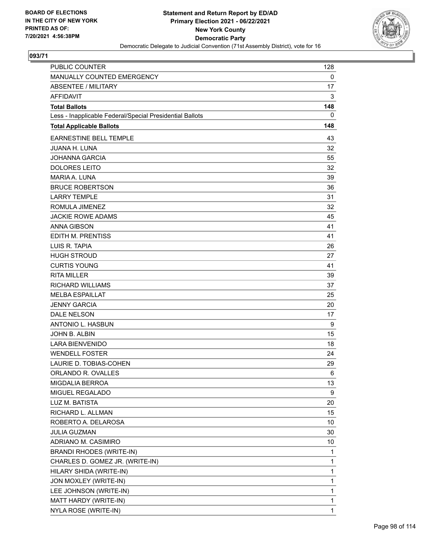

| PUBLIC COUNTER                                           | 128 |
|----------------------------------------------------------|-----|
| MANUALLY COUNTED EMERGENCY                               | 0   |
| <b>ABSENTEE / MILITARY</b>                               | 17  |
| <b>AFFIDAVIT</b>                                         | 3   |
| <b>Total Ballots</b>                                     | 148 |
| Less - Inapplicable Federal/Special Presidential Ballots | 0   |
| <b>Total Applicable Ballots</b>                          | 148 |
| EARNESTINE BELL TEMPLE                                   | 43  |
| <b>JUANA H. LUNA</b>                                     | 32  |
| <b>JOHANNA GARCIA</b>                                    | 55  |
| <b>DOLORES LEITO</b>                                     | 32  |
| MARIA A. LUNA                                            | 39  |
| <b>BRUCE ROBERTSON</b>                                   | 36  |
| <b>LARRY TEMPLE</b>                                      | 31  |
| ROMULA JIMENEZ                                           | 32  |
| <b>JACKIE ROWE ADAMS</b>                                 | 45  |
| <b>ANNA GIBSON</b>                                       | 41  |
| EDITH M. PRENTISS                                        | 41  |
| LUIS R. TAPIA                                            | 26  |
| <b>HUGH STROUD</b>                                       | 27  |
| <b>CURTIS YOUNG</b>                                      | 41  |
| <b>RITA MILLER</b>                                       | 39  |
| <b>RICHARD WILLIAMS</b>                                  | 37  |
| <b>MELBA ESPAILLAT</b>                                   | 25  |
| <b>JENNY GARCIA</b>                                      | 20  |
| <b>DALE NELSON</b>                                       | 17  |
| ANTONIO L. HASBUN                                        | 9   |
| JOHN B. ALBIN                                            | 15  |
| <b>LARA BIENVENIDO</b>                                   | 18  |
| <b>WENDELL FOSTER</b>                                    | 24  |
| LAURIE D. TOBIAS-COHEN                                   | 29  |
| ORLANDO R. OVALLES                                       | 6   |
| MIGDALIA BERROA                                          | 13  |
| MIGUEL REGALADO                                          | 9   |
| LUZ M. BATISTA                                           | 20  |
| RICHARD L. ALLMAN                                        | 15  |
| ROBERTO A. DELAROSA                                      | 10  |
| <b>JULIA GUZMAN</b>                                      | 30  |
| ADRIANO M. CASIMIRO                                      | 10  |
| <b>BRANDI RHODES (WRITE-IN)</b>                          | 1   |
| CHARLES D. GOMEZ JR. (WRITE-IN)                          | 1   |
| HILARY SHIDA (WRITE-IN)                                  | 1   |
| JON MOXLEY (WRITE-IN)                                    | 1   |
| LEE JOHNSON (WRITE-IN)                                   | 1   |
| MATT HARDY (WRITE-IN)                                    | 1   |
| NYLA ROSE (WRITE-IN)                                     | 1   |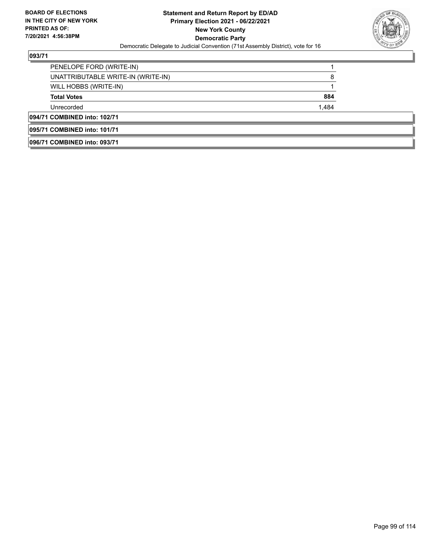

| 096/71 COMBINED into: 093/71       |       |  |
|------------------------------------|-------|--|
| 095/71 COMBINED into: 101/71       |       |  |
| 094/71 COMBINED into: 102/71       |       |  |
| Unrecorded                         | 1,484 |  |
| <b>Total Votes</b>                 | 884   |  |
| WILL HOBBS (WRITE-IN)              |       |  |
| UNATTRIBUTABLE WRITE-IN (WRITE-IN) | 8     |  |
| PENELOPE FORD (WRITE-IN)           |       |  |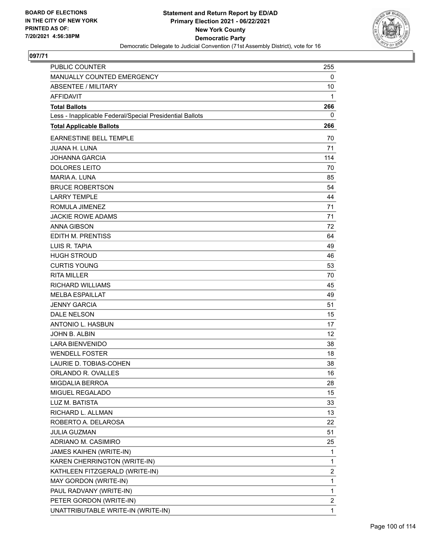

| PUBLIC COUNTER                                           | 255                     |
|----------------------------------------------------------|-------------------------|
| MANUALLY COUNTED EMERGENCY                               | 0                       |
| <b>ABSENTEE / MILITARY</b>                               | 10                      |
| <b>AFFIDAVIT</b>                                         | 1                       |
| <b>Total Ballots</b>                                     | 266                     |
| Less - Inapplicable Federal/Special Presidential Ballots | 0                       |
| <b>Total Applicable Ballots</b>                          | 266                     |
| EARNESTINE BELL TEMPLE                                   | 70                      |
| <b>JUANA H. LUNA</b>                                     | 71                      |
| <b>JOHANNA GARCIA</b>                                    | 114                     |
| <b>DOLORES LEITO</b>                                     | 70                      |
| MARIA A. LUNA                                            | 85                      |
| <b>BRUCE ROBERTSON</b>                                   | 54                      |
| <b>LARRY TEMPLE</b>                                      | 44                      |
| ROMULA JIMENEZ                                           | 71                      |
| <b>JACKIE ROWE ADAMS</b>                                 | 71                      |
| <b>ANNA GIBSON</b>                                       | 72                      |
| EDITH M. PRENTISS                                        | 64                      |
| LUIS R. TAPIA                                            | 49                      |
| <b>HUGH STROUD</b>                                       | 46                      |
| <b>CURTIS YOUNG</b>                                      | 53                      |
| <b>RITA MILLER</b>                                       | 70                      |
| <b>RICHARD WILLIAMS</b>                                  | 45                      |
| <b>MELBA ESPAILLAT</b>                                   | 49                      |
| <b>JENNY GARCIA</b>                                      | 51                      |
| <b>DALE NELSON</b>                                       | 15                      |
| ANTONIO L. HASBUN                                        | 17                      |
| JOHN B. ALBIN                                            | 12                      |
| <b>LARA BIENVENIDO</b>                                   | 38                      |
| <b>WENDELL FOSTER</b>                                    | 18                      |
| LAURIE D. TOBIAS-COHEN                                   | 38                      |
| ORLANDO R. OVALLES                                       | 16                      |
| <b>MIGDALIA BERROA</b>                                   | 28                      |
| MIGUEL REGALADO                                          | 15                      |
| LUZ M. BATISTA                                           | 33                      |
| RICHARD L. ALLMAN                                        | 13                      |
| ROBERTO A. DELAROSA                                      | 22                      |
| <b>JULIA GUZMAN</b>                                      | 51                      |
| ADRIANO M. CASIMIRO                                      | 25                      |
| JAMES KAIHEN (WRITE-IN)                                  | 1                       |
| KAREN CHERRINGTON (WRITE-IN)                             | 1                       |
| KATHLEEN FITZGERALD (WRITE-IN)                           | $\overline{\mathbf{c}}$ |
| MAY GORDON (WRITE-IN)                                    | 1                       |
| PAUL RADVANY (WRITE-IN)                                  | 1                       |
| PETER GORDON (WRITE-IN)                                  | $\overline{2}$          |
| UNATTRIBUTABLE WRITE-IN (WRITE-IN)                       | 1                       |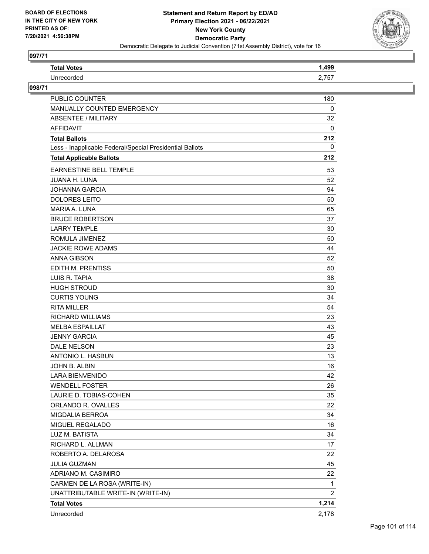

| <b>Total Votes</b>                                       | 1,499          |
|----------------------------------------------------------|----------------|
| Unrecorded                                               | 2,757          |
| 098/71                                                   |                |
| <b>PUBLIC COUNTER</b>                                    | 180            |
| MANUALLY COUNTED EMERGENCY                               | 0              |
| <b>ABSENTEE / MILITARY</b>                               | 32             |
| <b>AFFIDAVIT</b>                                         | 0              |
| <b>Total Ballots</b>                                     | 212            |
| Less - Inapplicable Federal/Special Presidential Ballots | 0              |
| <b>Total Applicable Ballots</b>                          | 212            |
| <b>EARNESTINE BELL TEMPLE</b>                            | 53             |
| <b>JUANA H. LUNA</b>                                     | 52             |
| <b>JOHANNA GARCIA</b>                                    | 94             |
| <b>DOLORES LEITO</b>                                     | 50             |
| MARIA A. LUNA                                            | 65             |
| <b>BRUCE ROBERTSON</b>                                   | 37             |
| <b>LARRY TEMPLE</b>                                      | 30             |
| ROMULA JIMENEZ                                           | 50             |
| <b>JACKIE ROWE ADAMS</b>                                 | 44             |
| <b>ANNA GIBSON</b>                                       | 52             |
| EDITH M. PRENTISS                                        | 50             |
| LUIS R. TAPIA                                            | 38             |
| <b>HUGH STROUD</b>                                       | 30             |
| <b>CURTIS YOUNG</b>                                      | 34             |
| <b>RITA MILLER</b>                                       | 54             |
| <b>RICHARD WILLIAMS</b>                                  | 23             |
| <b>MELBA ESPAILLAT</b>                                   | 43             |
| <b>JENNY GARCIA</b>                                      | 45             |
| <b>DALE NELSON</b>                                       | 23             |
| <b>ANTONIO L. HASBUN</b>                                 | 13             |
| JOHN B. ALBIN                                            | 16             |
| <b>LARA BIENVENIDO</b>                                   | 42             |
| <b>WENDELL FOSTER</b>                                    | 26             |
| LAURIE D. TOBIAS-COHEN                                   | 35             |
| ORLANDO R. OVALLES                                       | 22             |
| <b>MIGDALIA BERROA</b>                                   | 34             |
| MIGUEL REGALADO                                          | 16             |
| LUZ M. BATISTA                                           | 34             |
| RICHARD L. ALLMAN                                        | 17             |
| ROBERTO A. DELAROSA                                      | 22             |
| <b>JULIA GUZMAN</b>                                      | 45             |
| ADRIANO M. CASIMIRO                                      | 22             |
| CARMEN DE LA ROSA (WRITE-IN)                             | 1              |
| UNATTRIBUTABLE WRITE-IN (WRITE-IN)                       | $\overline{2}$ |
| <b>Total Votes</b>                                       | 1,214          |
| Unrecorded                                               | 2,178          |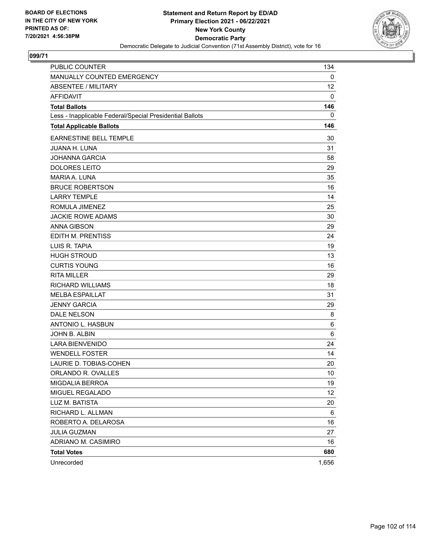

| <b>PUBLIC COUNTER</b>                                    | 134         |
|----------------------------------------------------------|-------------|
| MANUALLY COUNTED EMERGENCY                               | 0           |
| <b>ABSENTEE / MILITARY</b>                               | 12          |
| <b>AFFIDAVIT</b>                                         | 0           |
| <b>Total Ballots</b>                                     | 146         |
| Less - Inapplicable Federal/Special Presidential Ballots | $\mathbf 0$ |
| <b>Total Applicable Ballots</b>                          | 146         |
| <b>EARNESTINE BELL TEMPLE</b>                            | 30          |
| <b>JUANA H. LUNA</b>                                     | 31          |
| <b>JOHANNA GARCIA</b>                                    | 58          |
| <b>DOLORES LEITO</b>                                     | 29          |
| <b>MARIA A. LUNA</b>                                     | 35          |
| <b>BRUCE ROBERTSON</b>                                   | 16          |
| <b>LARRY TEMPLE</b>                                      | 14          |
| ROMULA JIMENEZ                                           | 25          |
| <b>JACKIE ROWE ADAMS</b>                                 | 30          |
| <b>ANNA GIBSON</b>                                       | 29          |
| <b>EDITH M. PRENTISS</b>                                 | 24          |
| LUIS R. TAPIA                                            | 19          |
| <b>HUGH STROUD</b>                                       | 13          |
| <b>CURTIS YOUNG</b>                                      | 16          |
| <b>RITA MILLER</b>                                       | 29          |
| <b>RICHARD WILLIAMS</b>                                  | 18          |
| <b>MELBA ESPAILLAT</b>                                   | 31          |
| <b>JENNY GARCIA</b>                                      | 29          |
| DALE NELSON                                              | 8           |
| ANTONIO L. HASBUN                                        | 6           |
| JOHN B. ALBIN                                            | 6           |
| <b>LARA BIENVENIDO</b>                                   | 24          |
| <b>WENDELL FOSTER</b>                                    | 14          |
| LAURIE D. TOBIAS-COHEN                                   | 20          |
| ORLANDO R. OVALLES                                       | 10          |
| MIGDALIA BERROA                                          | 19          |
| MIGUEL REGALADO                                          | 12          |
| LUZ M. BATISTA                                           | 20          |
| RICHARD L. ALLMAN                                        | 6           |
| ROBERTO A. DELAROSA                                      | 16          |
| <b>JULIA GUZMAN</b>                                      | 27          |
| ADRIANO M. CASIMIRO                                      | 16          |
| <b>Total Votes</b>                                       | 680         |
| Unrecorded                                               | 1,656       |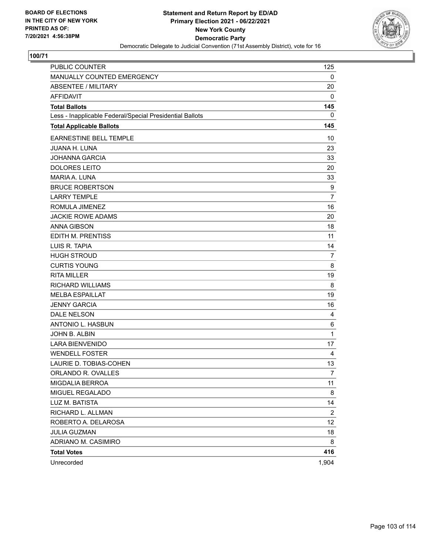

| <b>PUBLIC COUNTER</b>                                    | 125            |
|----------------------------------------------------------|----------------|
| MANUALLY COUNTED EMERGENCY                               | 0              |
| <b>ABSENTEE / MILITARY</b>                               | 20             |
| <b>AFFIDAVIT</b>                                         | 0              |
| <b>Total Ballots</b>                                     | 145            |
| Less - Inapplicable Federal/Special Presidential Ballots | 0              |
| <b>Total Applicable Ballots</b>                          | 145            |
| <b>EARNESTINE BELL TEMPLE</b>                            | 10             |
| <b>JUANA H. LUNA</b>                                     | 23             |
| <b>JOHANNA GARCIA</b>                                    | 33             |
| <b>DOLORES LEITO</b>                                     | 20             |
| MARIA A. LUNA                                            | 33             |
| <b>BRUCE ROBERTSON</b>                                   | 9              |
| <b>LARRY TEMPLE</b>                                      | $\overline{7}$ |
| ROMULA JIMENEZ                                           | 16             |
| <b>JACKIE ROWE ADAMS</b>                                 | 20             |
| <b>ANNA GIBSON</b>                                       | 18             |
| EDITH M. PRENTISS                                        | 11             |
| LUIS R. TAPIA                                            | 14             |
| <b>HUGH STROUD</b>                                       | $\overline{7}$ |
| <b>CURTIS YOUNG</b>                                      | 8              |
| <b>RITA MILLER</b>                                       | 19             |
| <b>RICHARD WILLIAMS</b>                                  | 8              |
| <b>MELBA ESPAILLAT</b>                                   | 19             |
| <b>JENNY GARCIA</b>                                      | 16             |
| <b>DALE NELSON</b>                                       | 4              |
| ANTONIO L. HASBUN                                        | 6              |
| JOHN B. ALBIN                                            | $\mathbf{1}$   |
| <b>LARA BIENVENIDO</b>                                   | 17             |
| <b>WENDELL FOSTER</b>                                    | 4              |
| LAURIE D. TOBIAS-COHEN                                   | 13             |
| ORLANDO R. OVALLES                                       | 7              |
| MIGDALIA BERROA                                          | 11             |
| MIGUEL REGALADO                                          | 8              |
| LUZ M. BATISTA                                           | 14             |
| RICHARD L. ALLMAN                                        | $\overline{2}$ |
| ROBERTO A. DELAROSA                                      | 12             |
| <b>JULIA GUZMAN</b>                                      | 18             |
| ADRIANO M. CASIMIRO                                      | 8              |
| <b>Total Votes</b>                                       | 416            |
| Unrecorded                                               | 1,904          |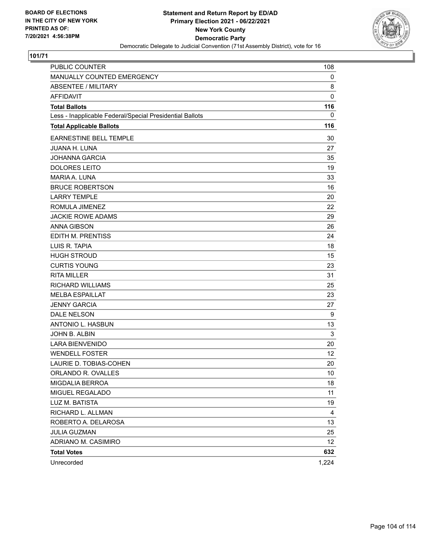

| <b>PUBLIC COUNTER</b>                                    | 108             |
|----------------------------------------------------------|-----------------|
| MANUALLY COUNTED EMERGENCY                               | 0               |
| <b>ABSENTEE / MILITARY</b>                               | 8               |
| <b>AFFIDAVIT</b>                                         | $\mathbf 0$     |
| <b>Total Ballots</b>                                     | 116             |
| Less - Inapplicable Federal/Special Presidential Ballots | 0               |
| <b>Total Applicable Ballots</b>                          | 116             |
| EARNESTINE BELL TEMPLE                                   | 30              |
| JUANA H. LUNA                                            | 27              |
| <b>JOHANNA GARCIA</b>                                    | 35              |
| <b>DOLORES LEITO</b>                                     | 19              |
| MARIA A. LUNA                                            | 33              |
| <b>BRUCE ROBERTSON</b>                                   | 16              |
| <b>LARRY TEMPLE</b>                                      | 20              |
| ROMULA JIMENEZ                                           | 22              |
| <b>JACKIE ROWE ADAMS</b>                                 | 29              |
| <b>ANNA GIBSON</b>                                       | 26              |
| EDITH M. PRENTISS                                        | 24              |
| LUIS R. TAPIA                                            | 18              |
| <b>HUGH STROUD</b>                                       | 15              |
| <b>CURTIS YOUNG</b>                                      | 23              |
| <b>RITA MILLER</b>                                       | 31              |
| <b>RICHARD WILLIAMS</b>                                  | 25              |
| <b>MELBA ESPAILLAT</b>                                   | 23              |
| <b>JENNY GARCIA</b>                                      | 27              |
| DALE NELSON                                              | 9               |
| ANTONIO L. HASBUN                                        | 13              |
| JOHN B. ALBIN                                            | 3               |
| <b>LARA BIENVENIDO</b>                                   | 20              |
| <b>WENDELL FOSTER</b>                                    | 12              |
| LAURIE D. TOBIAS-COHEN                                   | 20              |
| ORLANDO R. OVALLES                                       | 10              |
| MIGDALIA BERROA                                          | 18              |
| MIGUEL REGALADO                                          | 11              |
| LUZ M. BATISTA                                           | 19              |
| RICHARD L. ALLMAN                                        | 4               |
| ROBERTO A. DELAROSA                                      | 13              |
| <b>JULIA GUZMAN</b>                                      | 25              |
| ADRIANO M. CASIMIRO                                      | 12 <sub>2</sub> |
| <b>Total Votes</b>                                       | 632             |
| Unrecorded                                               | 1,224           |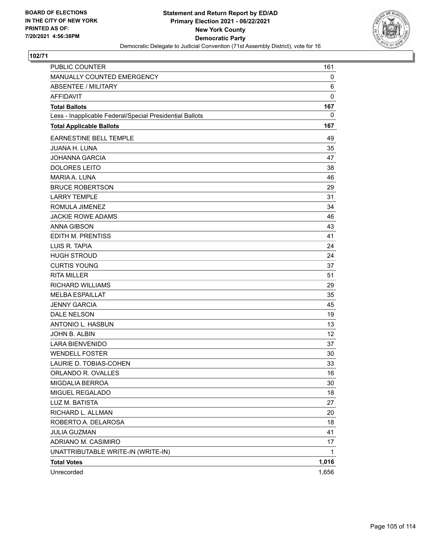

| <b>PUBLIC COUNTER</b>                                    | 161   |
|----------------------------------------------------------|-------|
| MANUALLY COUNTED EMERGENCY                               | 0     |
| <b>ABSENTEE / MILITARY</b>                               | 6     |
| <b>AFFIDAVIT</b>                                         | 0     |
| <b>Total Ballots</b>                                     | 167   |
| Less - Inapplicable Federal/Special Presidential Ballots | 0     |
| <b>Total Applicable Ballots</b>                          | 167   |
| <b>EARNESTINE BELL TEMPLE</b>                            | 49    |
| <b>JUANA H. LUNA</b>                                     | 35    |
| <b>JOHANNA GARCIA</b>                                    | 47    |
| <b>DOLORES LEITO</b>                                     | 38    |
| MARIA A. LUNA                                            | 46    |
| <b>BRUCE ROBERTSON</b>                                   | 29    |
| <b>LARRY TEMPLE</b>                                      | 31    |
| ROMULA JIMENEZ                                           | 34    |
| <b>JACKIE ROWE ADAMS</b>                                 | 46    |
| <b>ANNA GIBSON</b>                                       | 43    |
| EDITH M. PRENTISS                                        | 41    |
| LUIS R. TAPIA                                            | 24    |
| <b>HUGH STROUD</b>                                       | 24    |
| <b>CURTIS YOUNG</b>                                      | 37    |
| <b>RITA MILLER</b>                                       | 51    |
| <b>RICHARD WILLIAMS</b>                                  | 29    |
| <b>MELBA ESPAILLAT</b>                                   | 35    |
| <b>JENNY GARCIA</b>                                      | 45    |
| <b>DALE NELSON</b>                                       | 19    |
| ANTONIO L. HASBUN                                        | 13    |
| JOHN B. ALBIN                                            | 12    |
| <b>LARA BIENVENIDO</b>                                   | 37    |
| <b>WENDELL FOSTER</b>                                    | 30    |
| LAURIE D. TOBIAS-COHEN                                   | 33    |
| ORLANDO R. OVALLES                                       | 16    |
| MIGDALIA BERROA                                          | 30    |
| MIGUEL REGALADO                                          | 18    |
| LUZ M. BATISTA                                           | 27    |
| RICHARD L. ALLMAN                                        | 20    |
| ROBERTO A. DELAROSA                                      | 18    |
| <b>JULIA GUZMAN</b>                                      | 41    |
| ADRIANO M. CASIMIRO                                      | 17    |
| UNATTRIBUTABLE WRITE-IN (WRITE-IN)                       | 1     |
| <b>Total Votes</b>                                       | 1,016 |
| Unrecorded                                               | 1,656 |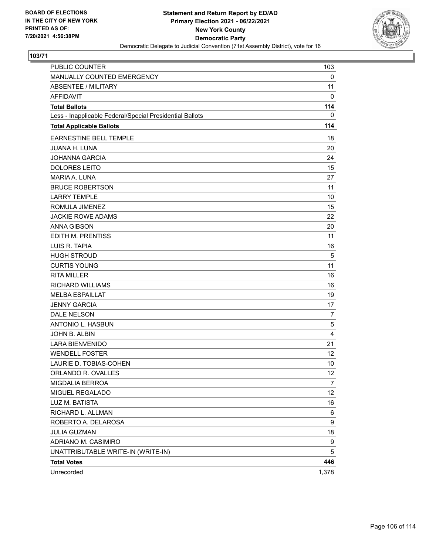

| <b>PUBLIC COUNTER</b>                                    | 103            |
|----------------------------------------------------------|----------------|
| MANUALLY COUNTED EMERGENCY                               | 0              |
| <b>ABSENTEE / MILITARY</b>                               | 11             |
| <b>AFFIDAVIT</b>                                         | 0              |
| <b>Total Ballots</b>                                     | 114            |
| Less - Inapplicable Federal/Special Presidential Ballots | 0              |
| <b>Total Applicable Ballots</b>                          | 114            |
| <b>EARNESTINE BELL TEMPLE</b>                            | 18             |
| <b>JUANA H. LUNA</b>                                     | 20             |
| <b>JOHANNA GARCIA</b>                                    | 24             |
| <b>DOLORES LEITO</b>                                     | 15             |
| MARIA A. LUNA                                            | 27             |
| <b>BRUCE ROBERTSON</b>                                   | 11             |
| <b>LARRY TEMPLE</b>                                      | 10             |
| ROMULA JIMENEZ                                           | 15             |
| <b>JACKIE ROWE ADAMS</b>                                 | 22             |
| <b>ANNA GIBSON</b>                                       | 20             |
| EDITH M. PRENTISS                                        | 11             |
| LUIS R. TAPIA                                            | 16             |
| <b>HUGH STROUD</b>                                       | 5              |
| <b>CURTIS YOUNG</b>                                      | 11             |
| <b>RITA MILLER</b>                                       | 16             |
| <b>RICHARD WILLIAMS</b>                                  | 16             |
| <b>MELBA ESPAILLAT</b>                                   | 19             |
| <b>JENNY GARCIA</b>                                      | 17             |
| <b>DALE NELSON</b>                                       | $\overline{7}$ |
| ANTONIO L. HASBUN                                        | 5              |
| JOHN B. ALBIN                                            | 4              |
| <b>LARA BIENVENIDO</b>                                   | 21             |
| <b>WENDELL FOSTER</b>                                    | 12             |
| LAURIE D. TOBIAS-COHEN                                   | 10             |
| ORLANDO R. OVALLES                                       | 12             |
| MIGDALIA BERROA                                          | $\overline{7}$ |
| MIGUEL REGALADO                                          | 12             |
| LUZ M. BATISTA                                           | 16             |
| RICHARD L. ALLMAN                                        | 6              |
| ROBERTO A. DELAROSA                                      | 9              |
| <b>JULIA GUZMAN</b>                                      | 18             |
| ADRIANO M. CASIMIRO                                      | 9              |
| UNATTRIBUTABLE WRITE-IN (WRITE-IN)                       | 5              |
| <b>Total Votes</b>                                       | 446            |
| Unrecorded                                               | 1,378          |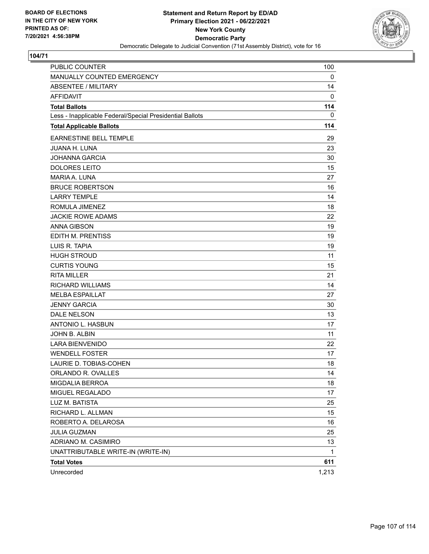

| <b>PUBLIC COUNTER</b>                                    | 100   |
|----------------------------------------------------------|-------|
| MANUALLY COUNTED EMERGENCY                               | 0     |
| <b>ABSENTEE / MILITARY</b>                               | 14    |
| <b>AFFIDAVIT</b>                                         | 0     |
| <b>Total Ballots</b>                                     | 114   |
| Less - Inapplicable Federal/Special Presidential Ballots | 0     |
| <b>Total Applicable Ballots</b>                          | 114   |
| EARNESTINE BELL TEMPLE                                   | 29    |
| <b>JUANA H. LUNA</b>                                     | 23    |
| <b>JOHANNA GARCIA</b>                                    | 30    |
| <b>DOLORES LEITO</b>                                     | 15    |
| MARIA A. LUNA                                            | 27    |
| <b>BRUCE ROBERTSON</b>                                   | 16    |
| <b>LARRY TEMPLE</b>                                      | 14    |
| ROMULA JIMENEZ                                           | 18    |
| <b>JACKIE ROWE ADAMS</b>                                 | 22    |
| <b>ANNA GIBSON</b>                                       | 19    |
| EDITH M. PRENTISS                                        | 19    |
| LUIS R. TAPIA                                            | 19    |
| <b>HUGH STROUD</b>                                       | 11    |
| <b>CURTIS YOUNG</b>                                      | 15    |
| <b>RITA MILLER</b>                                       | 21    |
| RICHARD WILLIAMS                                         | 14    |
| <b>MELBA ESPAILLAT</b>                                   | 27    |
| <b>JENNY GARCIA</b>                                      | 30    |
| <b>DALE NELSON</b>                                       | 13    |
| <b>ANTONIO L. HASBUN</b>                                 | 17    |
| JOHN B. ALBIN                                            | 11    |
| <b>LARA BIENVENIDO</b>                                   | 22    |
| <b>WENDELL FOSTER</b>                                    | 17    |
| LAURIE D. TOBIAS-COHEN                                   | 18    |
| ORLANDO R. OVALLES                                       | 14    |
| MIGDALIA BERROA                                          | 18    |
| MIGUEL REGALADO                                          | 17    |
| LUZ M. BATISTA                                           | 25    |
| RICHARD L. ALLMAN                                        | 15    |
| ROBERTO A. DELAROSA                                      | 16    |
| JULIA GUZMAN                                             | 25    |
| ADRIANO M. CASIMIRO                                      | 13    |
| UNATTRIBUTABLE WRITE-IN (WRITE-IN)                       | 1     |
| <b>Total Votes</b>                                       | 611   |
| Unrecorded                                               | 1,213 |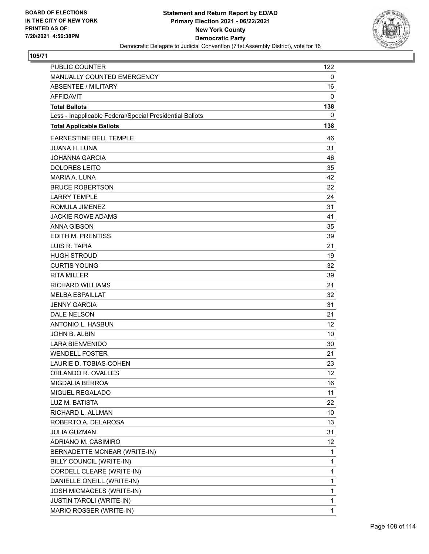

| <b>PUBLIC COUNTER</b>                                    | 122 |
|----------------------------------------------------------|-----|
| MANUALLY COUNTED EMERGENCY                               | 0   |
| ABSENTEE / MILITARY                                      | 16  |
| <b>AFFIDAVIT</b>                                         | 0   |
| <b>Total Ballots</b>                                     | 138 |
| Less - Inapplicable Federal/Special Presidential Ballots | 0   |
| <b>Total Applicable Ballots</b>                          | 138 |
| <b>EARNESTINE BELL TEMPLE</b>                            | 46  |
| <b>JUANA H. LUNA</b>                                     | 31  |
| <b>JOHANNA GARCIA</b>                                    | 46  |
| <b>DOLORES LEITO</b>                                     | 35  |
| MARIA A. LUNA                                            | 42  |
| <b>BRUCE ROBERTSON</b>                                   | 22  |
| <b>LARRY TEMPLE</b>                                      | 24  |
| ROMULA JIMENEZ                                           | 31  |
| <b>JACKIE ROWE ADAMS</b>                                 | 41  |
| <b>ANNA GIBSON</b>                                       | 35  |
| <b>EDITH M. PRENTISS</b>                                 | 39  |
| LUIS R. TAPIA                                            | 21  |
| <b>HUGH STROUD</b>                                       | 19  |
| <b>CURTIS YOUNG</b>                                      | 32  |
| <b>RITA MILLER</b>                                       | 39  |
| <b>RICHARD WILLIAMS</b>                                  | 21  |
| <b>MELBA ESPAILLAT</b>                                   | 32  |
| <b>JENNY GARCIA</b>                                      | 31  |
| <b>DALE NELSON</b>                                       | 21  |
| ANTONIO L. HASBUN                                        | 12  |
| JOHN B. ALBIN                                            | 10  |
| <b>LARA BIENVENIDO</b>                                   | 30  |
| <b>WENDELL FOSTER</b>                                    | 21  |
| LAURIE D. TOBIAS-COHEN                                   | 23  |
| ORLANDO R. OVALLES                                       | 12  |
| <b>MIGDALIA BERROA</b>                                   | 16  |
| MIGUEL REGALADO                                          | 11  |
| LUZ M. BATISTA                                           | 22  |
| RICHARD L. ALLMAN                                        | 10  |
| ROBERTO A. DELAROSA                                      | 13  |
| <b>JULIA GUZMAN</b>                                      | 31  |
| ADRIANO M. CASIMIRO                                      | 12  |
| BERNADETTE MCNEAR (WRITE-IN)                             | 1   |
| BILLY COUNCIL (WRITE-IN)                                 | 1   |
| CORDELL CLEARE (WRITE-IN)                                | 1   |
| DANIELLE ONEILL (WRITE-IN)                               | 1   |
| JOSH MICMAGELS (WRITE-IN)                                | 1   |
| <b>JUSTIN TAROLI (WRITE-IN)</b>                          | 1   |
| MARIO ROSSER (WRITE-IN)                                  | 1   |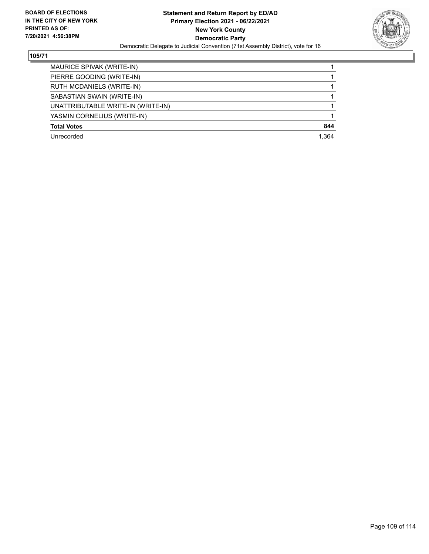

| MAURICE SPIVAK (WRITE-IN)          |       |
|------------------------------------|-------|
| PIERRE GOODING (WRITE-IN)          |       |
| RUTH MCDANIELS (WRITE-IN)          |       |
| SABASTIAN SWAIN (WRITE-IN)         |       |
| UNATTRIBUTABLE WRITE-IN (WRITE-IN) |       |
| YASMIN CORNELIUS (WRITE-IN)        |       |
| <b>Total Votes</b>                 | 844   |
| Unrecorded                         | 1.364 |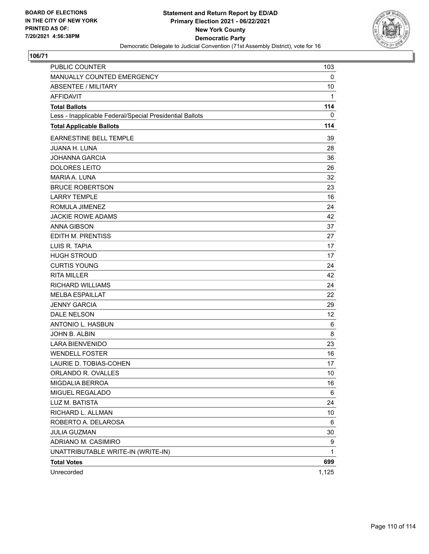

| PUBLIC COUNTER                                           | 103   |
|----------------------------------------------------------|-------|
| MANUALLY COUNTED EMERGENCY                               | 0     |
| <b>ABSENTEE / MILITARY</b>                               | 10    |
| <b>AFFIDAVIT</b>                                         | 1     |
| <b>Total Ballots</b>                                     | 114   |
| Less - Inapplicable Federal/Special Presidential Ballots | 0     |
| <b>Total Applicable Ballots</b>                          | 114   |
| EARNESTINE BELL TEMPLE                                   | 39    |
| <b>JUANA H. LUNA</b>                                     | 28    |
| <b>JOHANNA GARCIA</b>                                    | 36    |
| <b>DOLORES LEITO</b>                                     | 26    |
| MARIA A. LUNA                                            | 32    |
| <b>BRUCE ROBERTSON</b>                                   | 23    |
| <b>LARRY TEMPLE</b>                                      | 16    |
| ROMULA JIMENEZ                                           | 24    |
| <b>JACKIE ROWE ADAMS</b>                                 | 42    |
| <b>ANNA GIBSON</b>                                       | 37    |
| EDITH M. PRENTISS                                        | 27    |
| LUIS R. TAPIA                                            | 17    |
| <b>HUGH STROUD</b>                                       | 17    |
| <b>CURTIS YOUNG</b>                                      | 24    |
| <b>RITA MILLER</b>                                       | 42    |
| <b>RICHARD WILLIAMS</b>                                  | 24    |
| <b>MELBA ESPAILLAT</b>                                   | 22    |
| <b>JENNY GARCIA</b>                                      | 29    |
| DALE NELSON                                              | 12    |
| ANTONIO L. HASBUN                                        | 6     |
| JOHN B. ALBIN                                            | 8     |
| <b>LARA BIENVENIDO</b>                                   | 23    |
| <b>WENDELL FOSTER</b>                                    | 16    |
| LAURIE D. TOBIAS-COHEN                                   | 17    |
| ORLANDO R. OVALLES                                       | 10    |
| MIGDALIA BERROA                                          | 16    |
| MIGUEL REGALADO                                          | 6     |
| LUZ M. BATISTA                                           | 24    |
| RICHARD L. ALLMAN                                        | 10    |
| ROBERTO A. DELAROSA                                      | 6     |
| <b>JULIA GUZMAN</b>                                      | 30    |
| ADRIANO M. CASIMIRO                                      | 9     |
| UNATTRIBUTABLE WRITE-IN (WRITE-IN)                       | 1     |
| <b>Total Votes</b>                                       | 699   |
| Unrecorded                                               | 1,125 |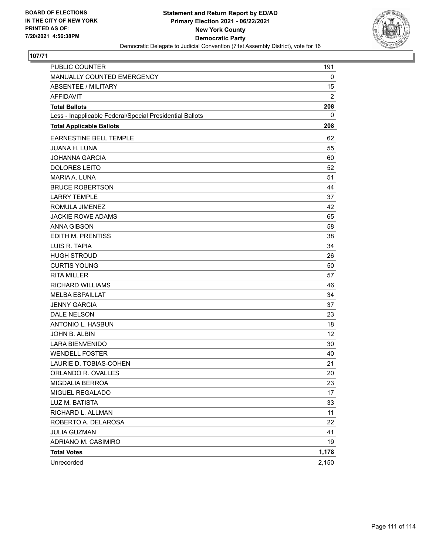

| PUBLIC COUNTER                                           | 191            |
|----------------------------------------------------------|----------------|
| MANUALLY COUNTED EMERGENCY                               | 0              |
| <b>ABSENTEE / MILITARY</b>                               | 15             |
| <b>AFFIDAVIT</b>                                         | $\overline{2}$ |
| <b>Total Ballots</b>                                     | 208            |
| Less - Inapplicable Federal/Special Presidential Ballots | 0              |
| <b>Total Applicable Ballots</b>                          | 208            |
| <b>EARNESTINE BELL TEMPLE</b>                            | 62             |
| <b>JUANA H. LUNA</b>                                     | 55             |
| <b>JOHANNA GARCIA</b>                                    | 60             |
| <b>DOLORES LEITO</b>                                     | 52             |
| <b>MARIA A. LUNA</b>                                     | 51             |
| <b>BRUCE ROBERTSON</b>                                   | 44             |
| <b>LARRY TEMPLE</b>                                      | 37             |
| ROMULA JIMENEZ                                           | 42             |
| <b>JACKIE ROWE ADAMS</b>                                 | 65             |
| <b>ANNA GIBSON</b>                                       | 58             |
| EDITH M. PRENTISS                                        | 38             |
| LUIS R. TAPIA                                            | 34             |
| <b>HUGH STROUD</b>                                       | 26             |
| <b>CURTIS YOUNG</b>                                      | 50             |
| <b>RITA MILLER</b>                                       | 57             |
| <b>RICHARD WILLIAMS</b>                                  | 46             |
| <b>MELBA ESPAILLAT</b>                                   | 34             |
| <b>JENNY GARCIA</b>                                      | 37             |
| DALE NELSON                                              | 23             |
| ANTONIO L. HASBUN                                        | 18             |
| JOHN B. ALBIN                                            | 12             |
| <b>LARA BIENVENIDO</b>                                   | 30             |
| <b>WENDELL FOSTER</b>                                    | 40             |
| LAURIE D. TOBIAS-COHEN                                   | 21             |
| ORLANDO R. OVALLES                                       | 20             |
| MIGDALIA BERROA                                          | 23             |
| MIGUEL REGALADO                                          | 17             |
| LUZ M. BATISTA                                           | 33             |
| RICHARD L. ALLMAN                                        | 11             |
| ROBERTO A. DELAROSA                                      | 22             |
| <b>JULIA GUZMAN</b>                                      | 41             |
| ADRIANO M. CASIMIRO                                      | 19             |
| <b>Total Votes</b>                                       | 1,178          |
| Unrecorded                                               | 2,150          |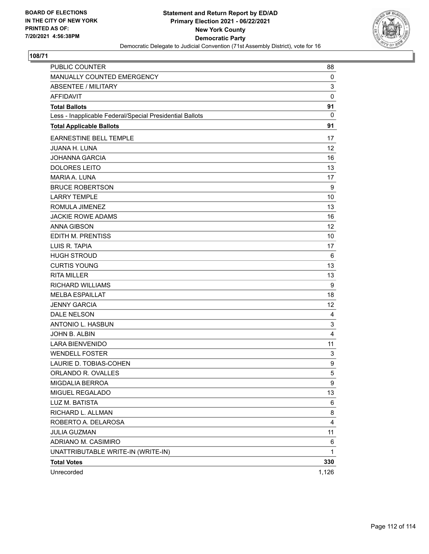

| PUBLIC COUNTER                                           | 88           |
|----------------------------------------------------------|--------------|
| MANUALLY COUNTED EMERGENCY                               | 0            |
| <b>ABSENTEE / MILITARY</b>                               | 3            |
| <b>AFFIDAVIT</b>                                         | $\mathbf 0$  |
| <b>Total Ballots</b>                                     | 91           |
| Less - Inapplicable Federal/Special Presidential Ballots | $\mathbf{0}$ |
| <b>Total Applicable Ballots</b>                          | 91           |
| EARNESTINE BELL TEMPLE                                   | 17           |
| <b>JUANA H. LUNA</b>                                     | 12           |
| <b>JOHANNA GARCIA</b>                                    | 16           |
| <b>DOLORES LEITO</b>                                     | 13           |
| MARIA A. LUNA                                            | 17           |
| <b>BRUCE ROBERTSON</b>                                   | 9            |
| <b>LARRY TEMPLE</b>                                      | 10           |
| ROMULA JIMENEZ                                           | 13           |
| <b>JACKIE ROWE ADAMS</b>                                 | 16           |
| <b>ANNA GIBSON</b>                                       | 12           |
| EDITH M. PRENTISS                                        | 10           |
| LUIS R. TAPIA                                            | 17           |
| <b>HUGH STROUD</b>                                       | 6            |
| <b>CURTIS YOUNG</b>                                      | 13           |
| <b>RITA MILLER</b>                                       | 13           |
| <b>RICHARD WILLIAMS</b>                                  | 9            |
| <b>MELBA ESPAILLAT</b>                                   | 18           |
| <b>JENNY GARCIA</b>                                      | 12           |
| DALE NELSON                                              | 4            |
| ANTONIO L. HASBUN                                        | $\mathsf 3$  |
| JOHN B. ALBIN                                            | 4            |
| <b>LARA BIENVENIDO</b>                                   | 11           |
| <b>WENDELL FOSTER</b>                                    | 3            |
| LAURIE D. TOBIAS-COHEN                                   | 9            |
| ORLANDO R. OVALLES                                       | 5            |
| MIGDALIA BERROA                                          | 9            |
| MIGUEL REGALADO                                          | 13           |
| LUZ M. BATISTA                                           | 6            |
| RICHARD L. ALLMAN                                        | 8            |
| ROBERTO A. DELAROSA                                      | 4            |
| <b>JULIA GUZMAN</b>                                      | 11           |
| ADRIANO M. CASIMIRO                                      | 6            |
| UNATTRIBUTABLE WRITE-IN (WRITE-IN)                       | 1            |
| <b>Total Votes</b>                                       | 330          |
| Unrecorded                                               | 1,126        |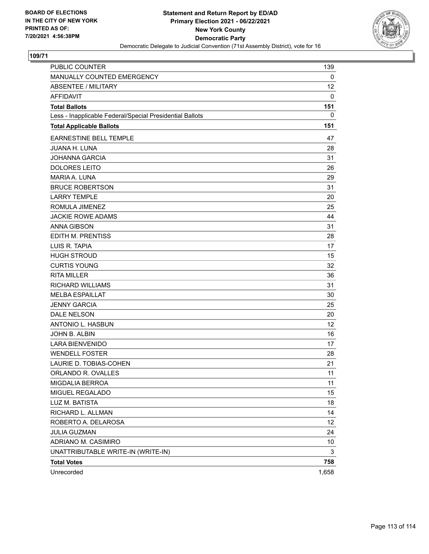

| PUBLIC COUNTER                                           | 139   |
|----------------------------------------------------------|-------|
| MANUALLY COUNTED EMERGENCY                               | 0     |
| <b>ABSENTEE / MILITARY</b>                               | 12    |
| <b>AFFIDAVIT</b>                                         | 0     |
| <b>Total Ballots</b>                                     | 151   |
| Less - Inapplicable Federal/Special Presidential Ballots | 0     |
| <b>Total Applicable Ballots</b>                          | 151   |
| EARNESTINE BELL TEMPLE                                   | 47    |
| <b>JUANA H. LUNA</b>                                     | 28    |
| <b>JOHANNA GARCIA</b>                                    | 31    |
| <b>DOLORES LEITO</b>                                     | 26    |
| MARIA A. LUNA                                            | 29    |
| <b>BRUCE ROBERTSON</b>                                   | 31    |
| <b>LARRY TEMPLE</b>                                      | 20    |
| ROMULA JIMENEZ                                           | 25    |
| <b>JACKIE ROWE ADAMS</b>                                 | 44    |
| <b>ANNA GIBSON</b>                                       | 31    |
| EDITH M. PRENTISS                                        | 28    |
| LUIS R. TAPIA                                            | 17    |
| <b>HUGH STROUD</b>                                       | 15    |
| <b>CURTIS YOUNG</b>                                      | 32    |
| <b>RITA MILLER</b>                                       | 36    |
| <b>RICHARD WILLIAMS</b>                                  | 31    |
| <b>MELBA ESPAILLAT</b>                                   | 30    |
| <b>JENNY GARCIA</b>                                      | 25    |
| DALE NELSON                                              | 20    |
| ANTONIO L. HASBUN                                        | 12    |
| JOHN B. ALBIN                                            | 16    |
| <b>LARA BIENVENIDO</b>                                   | 17    |
| <b>WENDELL FOSTER</b>                                    | 28    |
| LAURIE D. TOBIAS-COHEN                                   | 21    |
| ORLANDO R. OVALLES                                       | 11    |
| MIGDALIA BERROA                                          | 11    |
| MIGUEL REGALADO                                          | 15    |
| LUZ M. BATISTA                                           | 18    |
| RICHARD L. ALLMAN                                        | 14    |
| ROBERTO A. DELAROSA                                      | 12    |
| JULIA GUZMAN                                             | 24    |
| ADRIANO M. CASIMIRO                                      | 10    |
| UNATTRIBUTABLE WRITE-IN (WRITE-IN)                       | 3     |
| <b>Total Votes</b>                                       | 758   |
| Unrecorded                                               | 1,658 |